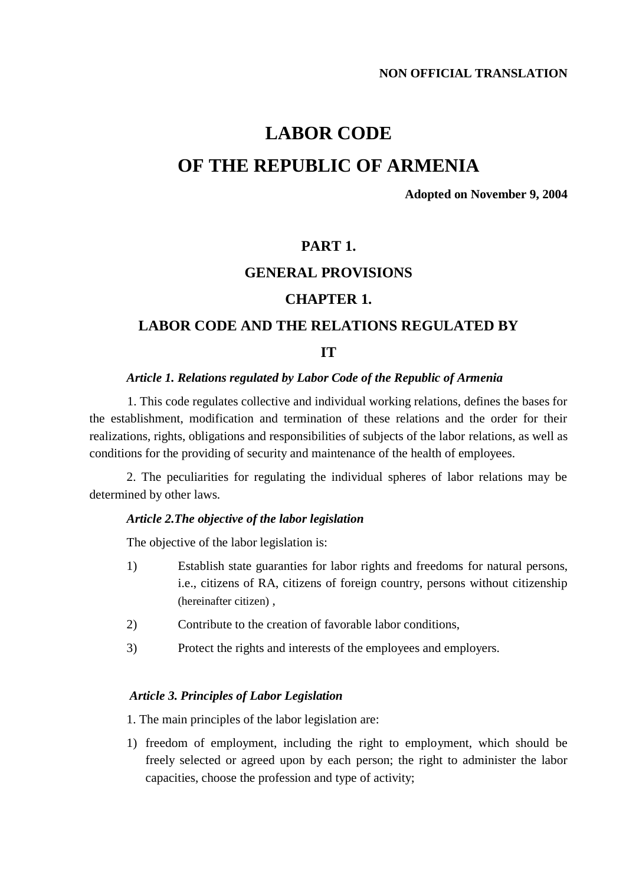## **LABOR CODE**

## **OF THE REPUBLIC OF ARMENIA**

**Adopted on November 9, 2004**

### **PART 1.**

### **GENERAL PROVISIONS**

### **CHAPTER 1.**

### **LABOR CODE AND THE RELATIONS REGULATED BY**

#### **IT**

#### *Article 1. Relations regulated by Labor Code of the Republic of Armenia*

1. This code regulates collective and individual working relations, defines the bases for the establishment, modification and termination of these relations and the order for their realizations, rights, obligations and responsibilities of subjects of the labor relations, as well as conditions for the providing of security and maintenance of the health of employees.

2. The peculiarities for regulating the individual spheres of labor relations may be determined by other laws.

#### *Article 2.The objective of the labor legislation*

The objective of the labor legislation is:

- 1) Establish state guaranties for labor rights and freedoms for natural persons, i.e., citizens of RA, citizens of foreign country, persons without citizenship (hereinafter citizen) ,
- 2) Contribute to the creation of favorable labor conditions,
- 3) Protect the rights and interests of the employees and employers.

#### *Article 3. Principles of Labor Legislation*

1. The main principles of the labor legislation are:

1) freedom of employment, including the right to employment, which should be freely selected or agreed upon by each person; the right to administer the labor capacities, choose the profession and type of activity;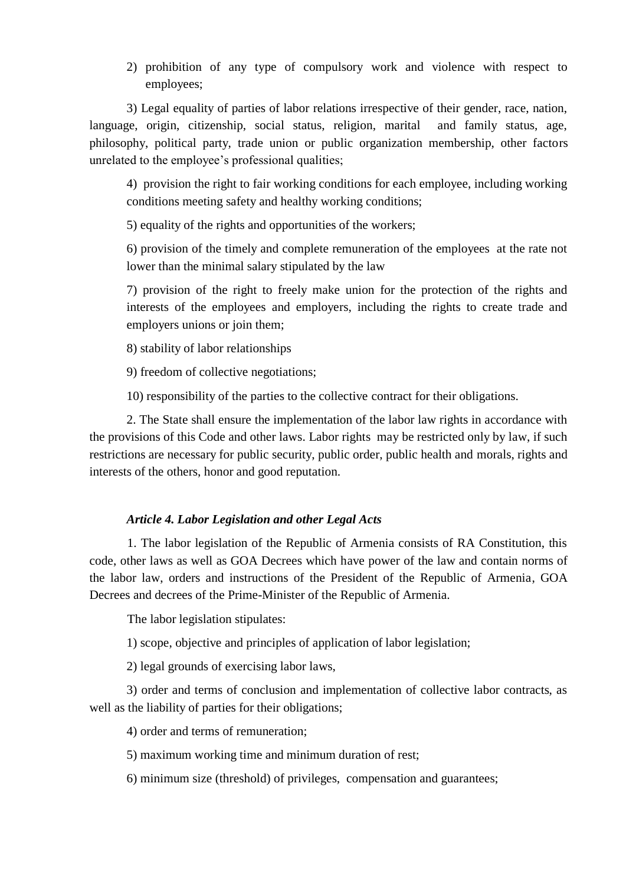2) prohibition of any type of compulsory work and violence with respect to employees;

3) Legal equality of parties of labor relations irrespective of their gender, race, nation, language, origin, citizenship, social status, religion, marital and family status, age, philosophy, political party, trade union or public organization membership, other factors unrelated to the employee's professional qualities;

4) provision the right to fair working conditions for each employee, including working conditions meeting safety and healthy working conditions;

5) equality of the rights and opportunities of the workers;

6) provision of the timely and complete remuneration of the employees at the rate not lower than the minimal salary stipulated by the law

7) provision of the right to freely make union for the protection of the rights and interests of the employees and employers, including the rights to create trade and employers unions or join them;

8) stability of labor relationships

9) freedom of collective negotiations;

10) responsibility of the parties to the collective contract for their obligations.

2. The State shall ensure the implementation of the labor law rights in accordance with the provisions of this Code and other laws. Labor rights may be restricted only by law, if such restrictions are necessary for public security, public order, public health and morals, rights and interests of the others, honor and good reputation.

#### *Article 4. Labor Legislation and other Legal Acts*

1. The labor legislation of the Republic of Armenia consists of RA Constitution, this code, other laws as well as GOA Decrees which have power of the law and contain norms of the labor law, orders and instructions of the President of the Republic of Armenia, GOA Decrees and decrees of the Prime-Minister of the Republic of Armenia.

The labor legislation stipulates:

1) scope, objective and principles of application of labor legislation;

2) legal grounds of exercising labor laws,

3) order and terms of conclusion and implementation of collective labor contracts, as well as the liability of parties for their obligations;

4) order and terms of remuneration;

5) maximum working time and minimum duration of rest;

6) minimum size (threshold) of privileges, compensation and guarantees;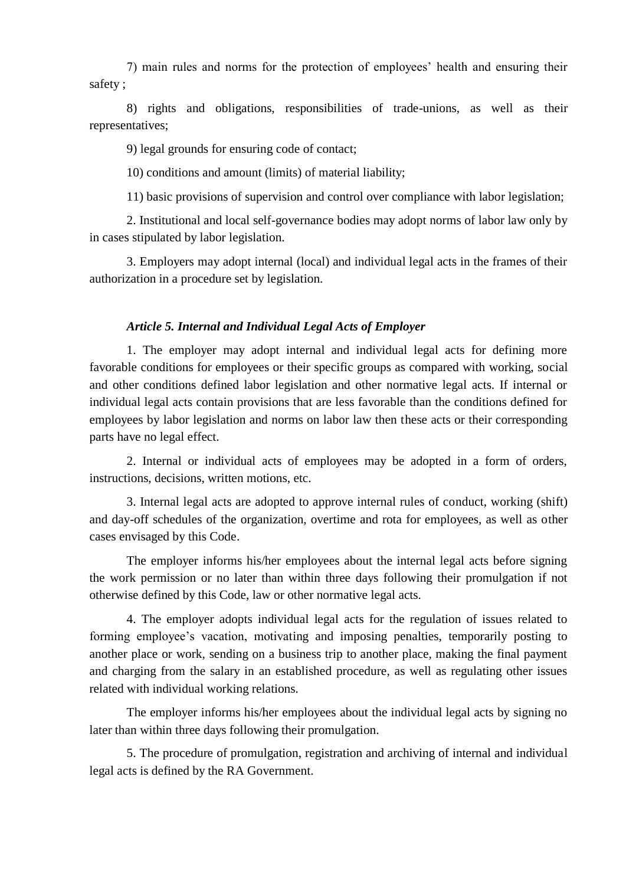7) main rules and norms for the protection of employees' health and ensuring their safety ;

8) rights and obligations, responsibilities of trade-unions, as well as their representatives;

9) legal grounds for ensuring code of contact;

10) conditions and amount (limits) of material liability;

11) basic provisions of supervision and control over compliance with labor legislation;

2. Institutional and local self-governance bodies may adopt norms of labor law only by in cases stipulated by labor legislation.

3. Employers may adopt internal (local) and individual legal acts in the frames of their authorization in a procedure set by legislation.

#### *Article 5. Internal and Individual Legal Acts of Employer*

1. The employer may adopt internal and individual legal acts for defining more favorable conditions for employees or their specific groups as compared with working, social and other conditions defined labor legislation and other normative legal acts. If internal or individual legal acts contain provisions that are less favorable than the conditions defined for employees by labor legislation and norms on labor law then these acts or their corresponding parts have no legal effect.

2. Internal or individual acts of employees may be adopted in a form of orders, instructions, decisions, written motions, etc.

3. Internal legal acts are adopted to approve internal rules of conduct, working (shift) and day-off schedules of the organization, overtime and rota for employees, as well as other cases envisaged by this Code.

The employer informs his/her employees about the internal legal acts before signing the work permission or no later than within three days following their promulgation if not otherwise defined by this Code, law or other normative legal acts.

4. The employer adopts individual legal acts for the regulation of issues related to forming employee's vacation, motivating and imposing penalties, temporarily posting to another place or work, sending on a business trip to another place, making the final payment and charging from the salary in an established procedure, as well as regulating other issues related with individual working relations.

The employer informs his/her employees about the individual legal acts by signing no later than within three days following their promulgation.

5. The procedure of promulgation, registration and archiving of internal and individual legal acts is defined by the RA Government.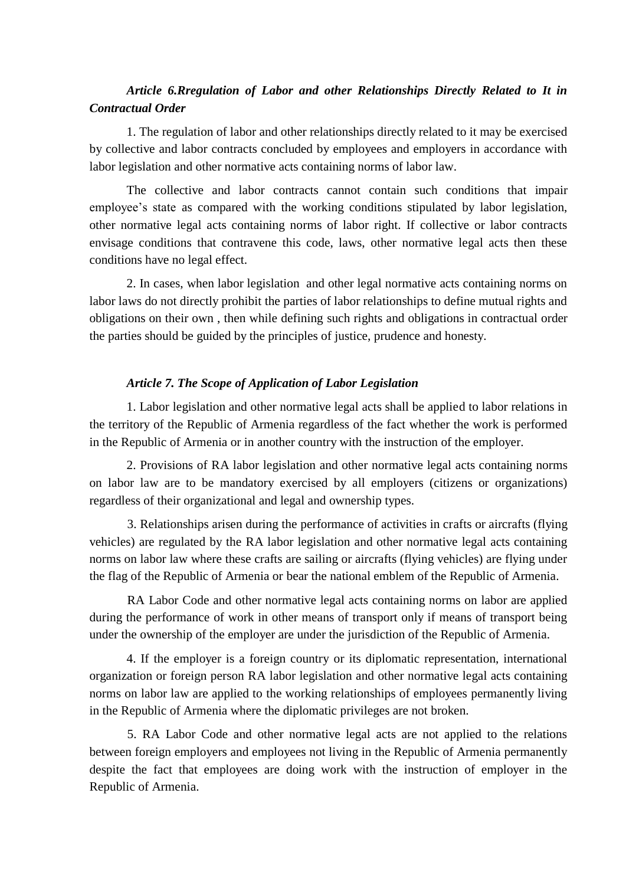### *Article 6.Rregulation of Labor and other Relationships Directly Related to It in Contractual Order*

1. The regulation of labor and other relationships directly related to it may be exercised by collective and labor contracts concluded by employees and employers in accordance with labor legislation and other normative acts containing norms of labor law.

The collective and labor contracts cannot contain such conditions that impair employee's state as compared with the working conditions stipulated by labor legislation, other normative legal acts containing norms of labor right. If collective or labor contracts envisage conditions that contravene this code, laws, other normative legal acts then these conditions have no legal effect.

2. In cases, when labor legislation and other legal normative acts containing norms on labor laws do not directly prohibit the parties of labor relationships to define mutual rights and obligations on their own , then while defining such rights and obligations in contractual order the parties should be guided by the principles of justice, prudence and honesty.

#### *Article 7. The Scope of Application of Labor Legislation*

1. Labor legislation and other normative legal acts shall be applied to labor relations in the territory of the Republic of Armenia regardless of the fact whether the work is performed in the Republic of Armenia or in another country with the instruction of the employer.

2. Provisions of RA labor legislation and other normative legal acts containing norms on labor law are to be mandatory exercised by all employers (citizens or organizations) regardless of their organizational and legal and ownership types.

3. Relationships arisen during the performance of activities in crafts or aircrafts (flying vehicles) are regulated by the RA labor legislation and other normative legal acts containing norms on labor law where these crafts are sailing or aircrafts (flying vehicles) are flying under the flag of the Republic of Armenia or bear the national emblem of the Republic of Armenia.

RA Labor Code and other normative legal acts containing norms on labor are applied during the performance of work in other means of transport only if means of transport being under the ownership of the employer are under the jurisdiction of the Republic of Armenia.

4. If the employer is a foreign country or its diplomatic representation, international organization or foreign person RA labor legislation and other normative legal acts containing norms on labor law are applied to the working relationships of employees permanently living in the Republic of Armenia where the diplomatic privileges are not broken.

5. RA Labor Code and other normative legal acts are not applied to the relations between foreign employers and employees not living in the Republic of Armenia permanently despite the fact that employees are doing work with the instruction of employer in the Republic of Armenia.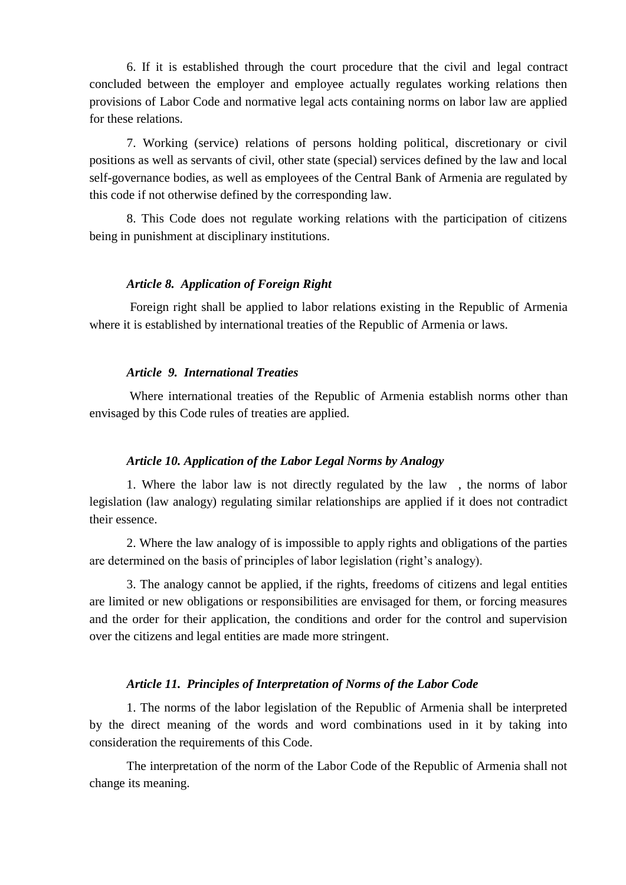6. If it is established through the court procedure that the civil and legal contract concluded between the employer and employee actually regulates working relations then provisions of Labor Code and normative legal acts containing norms on labor law are applied for these relations.

7. Working (service) relations of persons holding political, discretionary or civil positions as well as servants of civil, other state (special) services defined by the law and local self-governance bodies, as well as employees of the Central Bank of Armenia are regulated by this code if not otherwise defined by the corresponding law.

8. This Code does not regulate working relations with the participation of citizens being in punishment at disciplinary institutions.

#### *Article 8. Application of Foreign Right*

Foreign right shall be applied to labor relations existing in the Republic of Armenia where it is established by international treaties of the Republic of Armenia or laws.

#### *Article 9. International Treaties*

Where international treaties of the Republic of Armenia establish norms other than envisaged by this Code rules of treaties are applied.

#### *Article 10. Application of the Labor Legal Norms by Analogy*

1. Where the labor law is not directly regulated by the law , the norms of labor legislation (law analogy) regulating similar relationships are applied if it does not contradict their essence.

2. Where the law analogy of is impossible to apply rights and obligations of the parties are determined on the basis of principles of labor legislation (right's analogy).

3. The analogy cannot be applied, if the rights, freedoms of citizens and legal entities are limited or new obligations or responsibilities are envisaged for them, or forcing measures and the order for their application, the conditions and order for the control and supervision over the citizens and legal entities are made more stringent.

#### *Article 11. Principles of Interpretation of Norms of the Labor Code*

1. The norms of the labor legislation of the Republic of Armenia shall be interpreted by the direct meaning of the words and word combinations used in it by taking into consideration the requirements of this Code.

The interpretation of the norm of the Labor Code of the Republic of Armenia shall not change its meaning.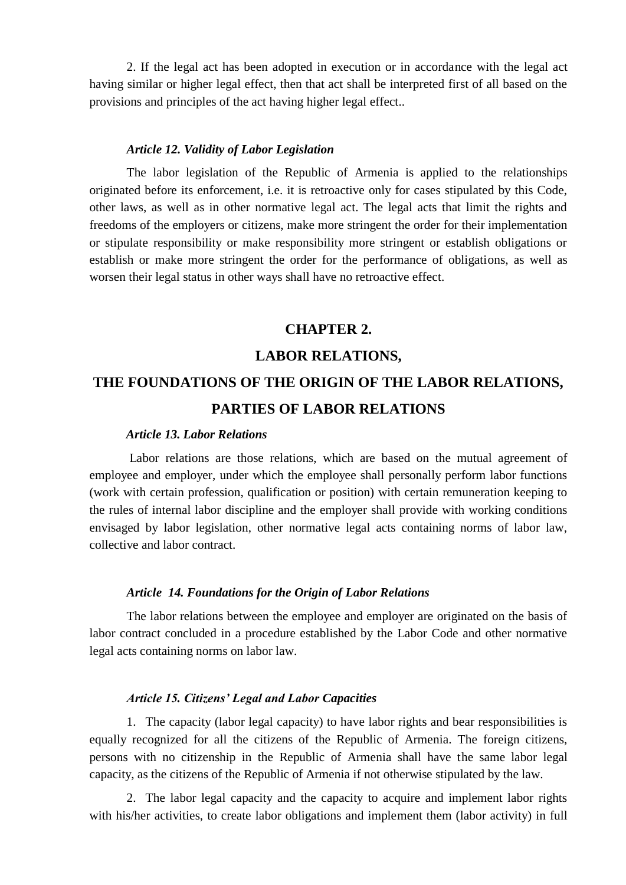2. If the legal act has been adopted in execution or in accordance with the legal act having similar or higher legal effect, then that act shall be interpreted first of all based on the provisions and principles of the act having higher legal effect..

#### *Article 12. Validity of Labor Legislation*

The labor legislation of the Republic of Armenia is applied to the relationships originated before its enforcement, i.e. it is retroactive only for cases stipulated by this Code, other laws, as well as in other normative legal act. The legal acts that limit the rights and freedoms of the employers or citizens, make more stringent the order for their implementation or stipulate responsibility or make responsibility more stringent or establish obligations or establish or make more stringent the order for the performance of obligations, as well as worsen their legal status in other ways shall have no retroactive effect.

### **CHAPTER 2.**

#### **LABOR RELATIONS,**

# **THE FOUNDATIONS OF THE ORIGIN OF THE LABOR RELATIONS, PARTIES OF LABOR RELATIONS**

#### *Article 13. Labor Relations*

Labor relations are those relations, which are based on the mutual agreement of employee and employer, under which the employee shall personally perform labor functions (work with certain profession, qualification or position) with certain remuneration keeping to the rules of internal labor discipline and the employer shall provide with working conditions envisaged by labor legislation, other normative legal acts containing norms of labor law, collective and labor contract.

#### *Article 14. Foundations for the Origin of Labor Relations*

The labor relations between the employee and employer are originated on the basis of labor contract concluded in a procedure established by the Labor Code and other normative legal acts containing norms on labor law.

#### *Article 15. Citizens' Legal and Labor Capacities*

1. The capacity (labor legal capacity) to have labor rights and bear responsibilities is equally recognized for all the citizens of the Republic of Armenia. The foreign citizens, persons with no citizenship in the Republic of Armenia shall have the same labor legal capacity, as the citizens of the Republic of Armenia if not otherwise stipulated by the law.

2. The labor legal capacity and the capacity to acquire and implement labor rights with his/her activities, to create labor obligations and implement them (labor activity) in full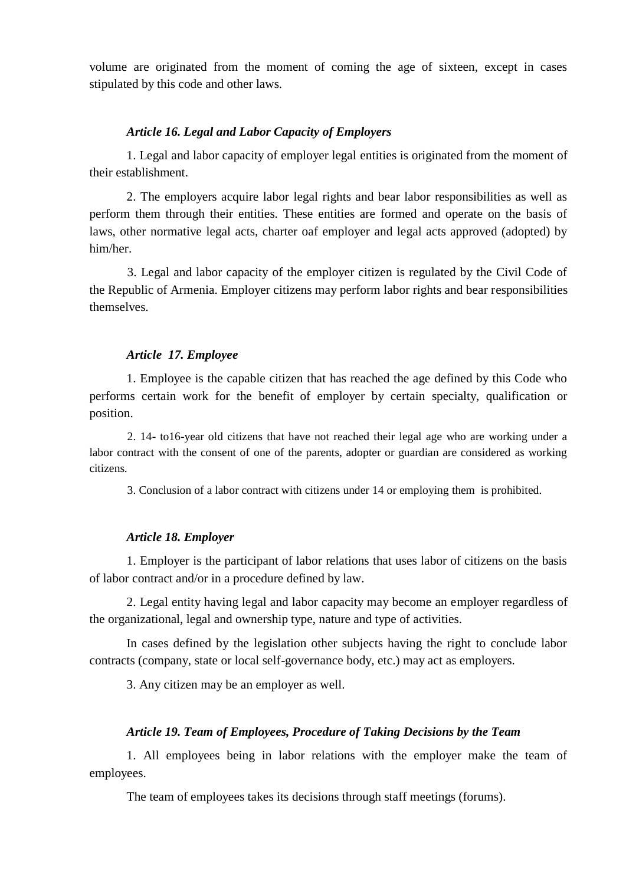volume are originated from the moment of coming the age of sixteen, except in cases stipulated by this code and other laws.

#### *Article 16. Legal and Labor Capacity of Employers*

1. Legal and labor capacity of employer legal entities is originated from the moment of their establishment.

2. The employers acquire labor legal rights and bear labor responsibilities as well as perform them through their entities. These entities are formed and operate on the basis of laws, other normative legal acts, charter oaf employer and legal acts approved (adopted) by him/her.

3. Legal and labor capacity of the employer citizen is regulated by the Civil Code of the Republic of Armenia. Employer citizens may perform labor rights and bear responsibilities themselves.

#### *Article 17. Employee*

1. Employee is the capable citizen that has reached the age defined by this Code who performs certain work for the benefit of employer by certain specialty, qualification or position.

2. 14- to16-year old citizens that have not reached their legal age who are working under a labor contract with the consent of one of the parents, adopter or guardian are considered as working citizens.

3. Conclusion of a labor contract with citizens under 14 or employing them is prohibited.

#### *Article 18. Employer*

1. Employer is the participant of labor relations that uses labor of citizens on the basis of labor contract and/or in a procedure defined by law.

2. Legal entity having legal and labor capacity may become an employer regardless of the organizational, legal and ownership type, nature and type of activities.

In cases defined by the legislation other subjects having the right to conclude labor contracts (company, state or local self-governance body, etc.) may act as employers.

3. Any citizen may be an employer as well.

#### *Article 19. Team of Employees, Procedure of Taking Decisions by the Team*

1. All employees being in labor relations with the employer make the team of employees.

The team of employees takes its decisions through staff meetings (forums).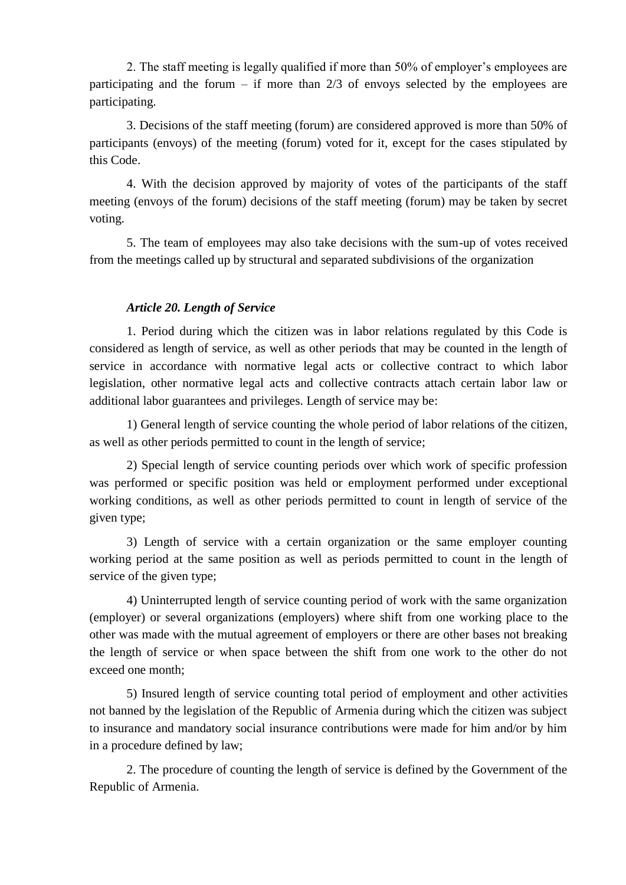2. The staff meeting is legally qualified if more than 50% of employer's employees are participating and the forum – if more than  $2/3$  of envoys selected by the employees are participating.

3. Decisions of the staff meeting (forum) are considered approved is more than 50% of participants (envoys) of the meeting (forum) voted for it, except for the cases stipulated by this Code.

4. With the decision approved by majority of votes of the participants of the staff meeting (envoys of the forum) decisions of the staff meeting (forum) may be taken by secret voting.

5. The team of employees may also take decisions with the sum-up of votes received from the meetings called up by structural and separated subdivisions of the organization

### *Article 20. Length of Service*

1. Period during which the citizen was in labor relations regulated by this Code is considered as length of service, as well as other periods that may be counted in the length of service in accordance with normative legal acts or collective contract to which labor legislation, other normative legal acts and collective contracts attach certain labor law or additional labor guarantees and privileges. Length of service may be:

1) General length of service counting the whole period of labor relations of the citizen, as well as other periods permitted to count in the length of service;

2) Special length of service counting periods over which work of specific profession was performed or specific position was held or employment performed under exceptional working conditions, as well as other periods permitted to count in length of service of the given type;

3) Length of service with a certain organization or the same employer counting working period at the same position as well as periods permitted to count in the length of service of the given type;

4) Uninterrupted length of service counting period of work with the same organization (employer) or several organizations (employers) where shift from one working place to the other was made with the mutual agreement of employers or there are other bases not breaking the length of service or when space between the shift from one work to the other do not exceed one month;

5) Insured length of service counting total period of employment and other activities not banned by the legislation of the Republic of Armenia during which the citizen was subject to insurance and mandatory social insurance contributions were made for him and/or by him in a procedure defined by law;

2. The procedure of counting the length of service is defined by the Government of the Republic of Armenia.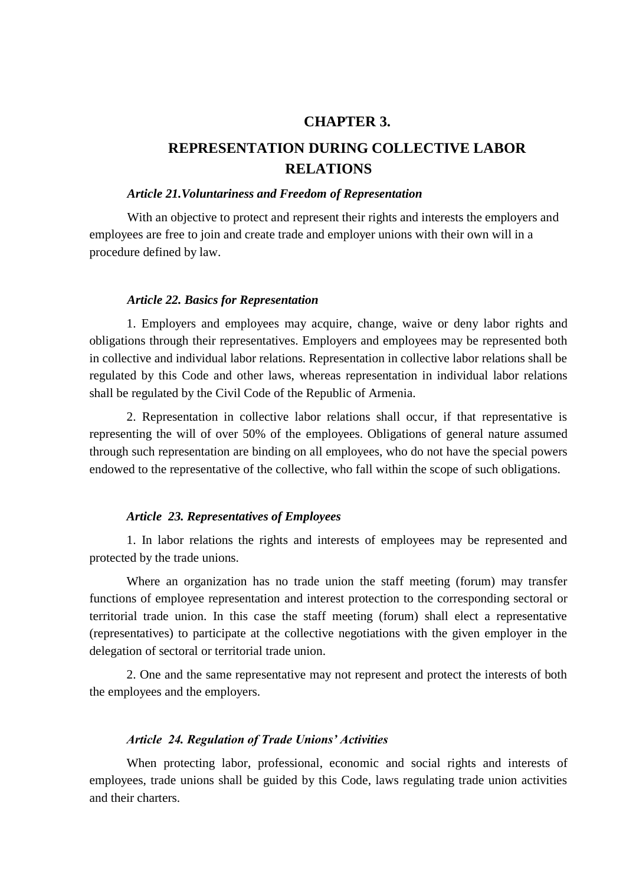### **CHAPTER 3.**

## **REPRESENTATION DURING COLLECTIVE LABOR RELATIONS**

#### *Article 21.Voluntariness and Freedom of Representation*

With an objective to protect and represent their rights and interests the employers and employees are free to join and create trade and employer unions with their own will in a procedure defined by law.

#### *Article 22. Basics for Representation*

1. Employers and employees may acquire, change, waive or deny labor rights and obligations through their representatives. Employers and employees may be represented both in collective and individual labor relations. Representation in collective labor relations shall be regulated by this Code and other laws, whereas representation in individual labor relations shall be regulated by the Civil Code of the Republic of Armenia.

2. Representation in collective labor relations shall occur, if that representative is representing the will of over 50% of the employees. Obligations of general nature assumed through such representation are binding on all employees, who do not have the special powers endowed to the representative of the collective, who fall within the scope of such obligations.

#### *Article 23. Representatives of Employees*

1. In labor relations the rights and interests of employees may be represented and protected by the trade unions.

Where an organization has no trade union the staff meeting (forum) may transfer functions of employee representation and interest protection to the corresponding sectoral or territorial trade union. In this case the staff meeting (forum) shall elect a representative (representatives) to participate at the collective negotiations with the given employer in the delegation of sectoral or territorial trade union.

2. One and the same representative may not represent and protect the interests of both the employees and the employers.

#### *Article 24. Regulation of Trade Unions' Activities*

When protecting labor, professional, economic and social rights and interests of employees, trade unions shall be guided by this Code, laws regulating trade union activities and their charters.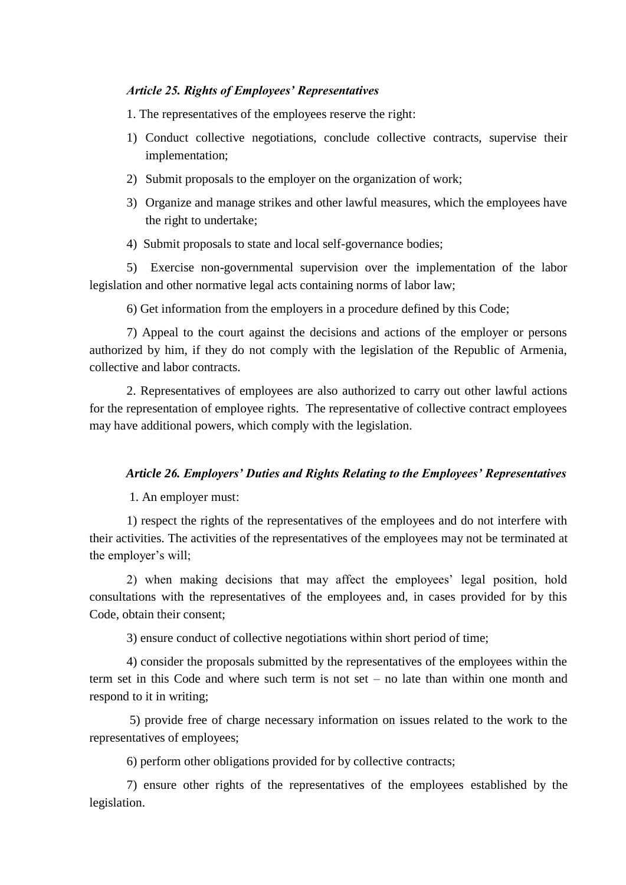#### *Article 25. Rights of Employees' Representatives*

1. The representatives of the employees reserve the right:

- 1) Conduct collective negotiations, conclude collective contracts, supervise their implementation;
- 2) Submit proposals to the employer on the organization of work;
- 3) Organize and manage strikes and other lawful measures, which the employees have the right to undertake;
- 4) Submit proposals to state and local self-governance bodies;

5) Exercise non-governmental supervision over the implementation of the labor legislation and other normative legal acts containing norms of labor law;

6) Get information from the employers in a procedure defined by this Code;

7) Appeal to the court against the decisions and actions of the employer or persons authorized by him, if they do not comply with the legislation of the Republic of Armenia, collective and labor contracts.

2. Representatives of employees are also authorized to carry out other lawful actions for the representation of employee rights. The representative of collective contract employees may have additional powers, which comply with the legislation.

#### *Article 26. Employers' Duties and Rights Relating to the Employees' Representatives*

1. An employer must:

1) respect the rights of the representatives of the employees and do not interfere with their activities. The activities of the representatives of the employees may not be terminated at the employer's will;

2) when making decisions that may affect the employees' legal position, hold consultations with the representatives of the employees and, in cases provided for by this Code, obtain their consent;

3) ensure conduct of collective negotiations within short period of time;

4) consider the proposals submitted by the representatives of the employees within the term set in this Code and where such term is not set – no late than within one month and respond to it in writing;

5) provide free of charge necessary information on issues related to the work to the representatives of employees;

6) perform other obligations provided for by collective contracts;

7) ensure other rights of the representatives of the employees established by the legislation.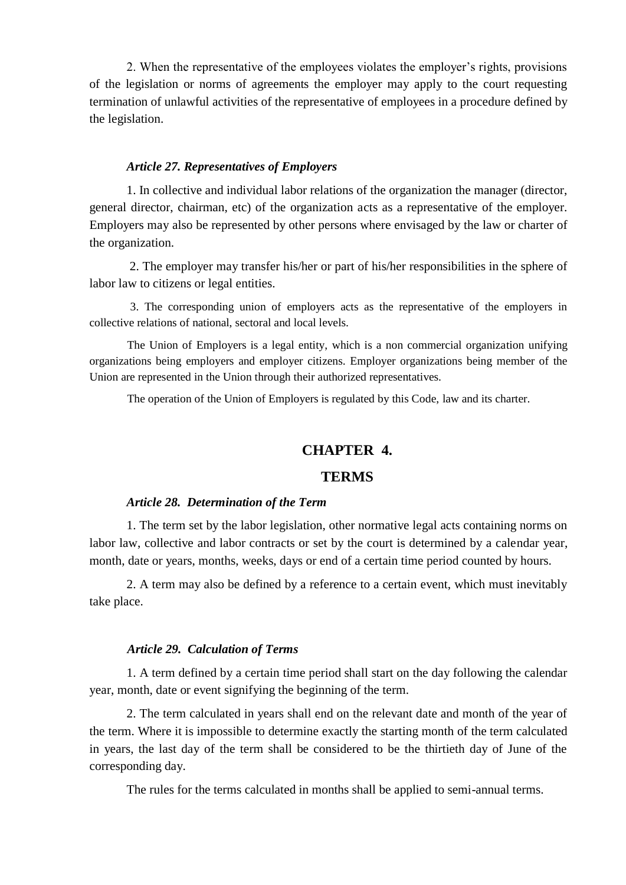2. When the representative of the employees violates the employer's rights, provisions of the legislation or norms of agreements the employer may apply to the court requesting termination of unlawful activities of the representative of employees in a procedure defined by the legislation.

### *Article 27. Representatives of Employers*

1. In collective and individual labor relations of the organization the manager (director, general director, chairman, etc) of the organization acts as a representative of the employer. Employers may also be represented by other persons where envisaged by the law or charter of the organization.

2. The employer may transfer his/her or part of his/her responsibilities in the sphere of labor law to citizens or legal entities.

3. The corresponding union of employers acts as the representative of the employers in collective relations of national, sectoral and local levels.

The Union of Employers is a legal entity, which is a non commercial organization unifying organizations being employers and employer citizens. Employer organizations being member of the Union are represented in the Union through their authorized representatives.

The operation of the Union of Employers is regulated by this Code, law and its charter.

### **CHAPTER 4.**

### **TERMS**

#### *Article 28. Determination of the Term*

1. The term set by the labor legislation, other normative legal acts containing norms on labor law, collective and labor contracts or set by the court is determined by a calendar year, month, date or years, months, weeks, days or end of a certain time period counted by hours.

2. A term may also be defined by a reference to a certain event, which must inevitably take place.

#### *Article 29. Calculation of Terms*

1. A term defined by a certain time period shall start on the day following the calendar year, month, date or event signifying the beginning of the term.

2. The term calculated in years shall end on the relevant date and month of the year of the term. Where it is impossible to determine exactly the starting month of the term calculated in years, the last day of the term shall be considered to be the thirtieth day of June of the corresponding day.

The rules for the terms calculated in months shall be applied to semi-annual terms.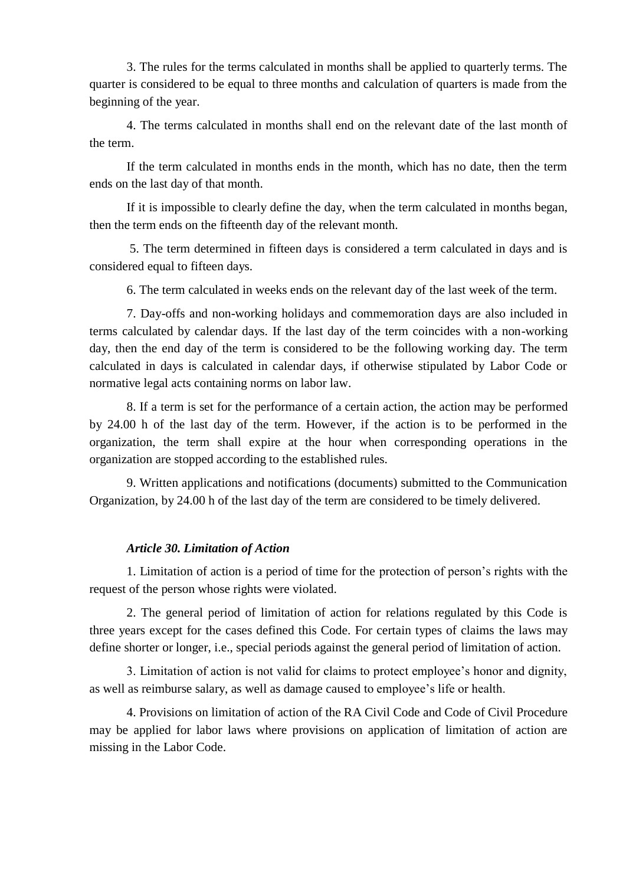3. The rules for the terms calculated in months shall be applied to quarterly terms. The quarter is considered to be equal to three months and calculation of quarters is made from the beginning of the year.

4. The terms calculated in months shall end on the relevant date of the last month of the term.

If the term calculated in months ends in the month, which has no date, then the term ends on the last day of that month.

If it is impossible to clearly define the day, when the term calculated in months began, then the term ends on the fifteenth day of the relevant month.

5. The term determined in fifteen days is considered a term calculated in days and is considered equal to fifteen days.

6. The term calculated in weeks ends on the relevant day of the last week of the term.

7. Day-offs and non-working holidays and commemoration days are also included in terms calculated by calendar days. If the last day of the term coincides with a non-working day, then the end day of the term is considered to be the following working day. The term calculated in days is calculated in calendar days, if otherwise stipulated by Labor Code or normative legal acts containing norms on labor law.

8. If a term is set for the performance of a certain action, the action may be performed by 24.00 h of the last day of the term. However, if the action is to be performed in the organization, the term shall expire at the hour when corresponding operations in the organization are stopped according to the established rules.

9. Written applications and notifications (documents) submitted to the Communication Organization, by 24.00 h of the last day of the term are considered to be timely delivered.

### *Article 30. Limitation of Action*

1. Limitation of action is a period of time for the protection of person's rights with the request of the person whose rights were violated.

2. The general period of limitation of action for relations regulated by this Code is three years except for the cases defined this Code. For certain types of claims the laws may define shorter or longer, i.e., special periods against the general period of limitation of action.

3. Limitation of action is not valid for claims to protect employee's honor and dignity, as well as reimburse salary, as well as damage caused to employee's life or health.

4. Provisions on limitation of action of the RA Civil Code and Code of Civil Procedure may be applied for labor laws where provisions on application of limitation of action are missing in the Labor Code.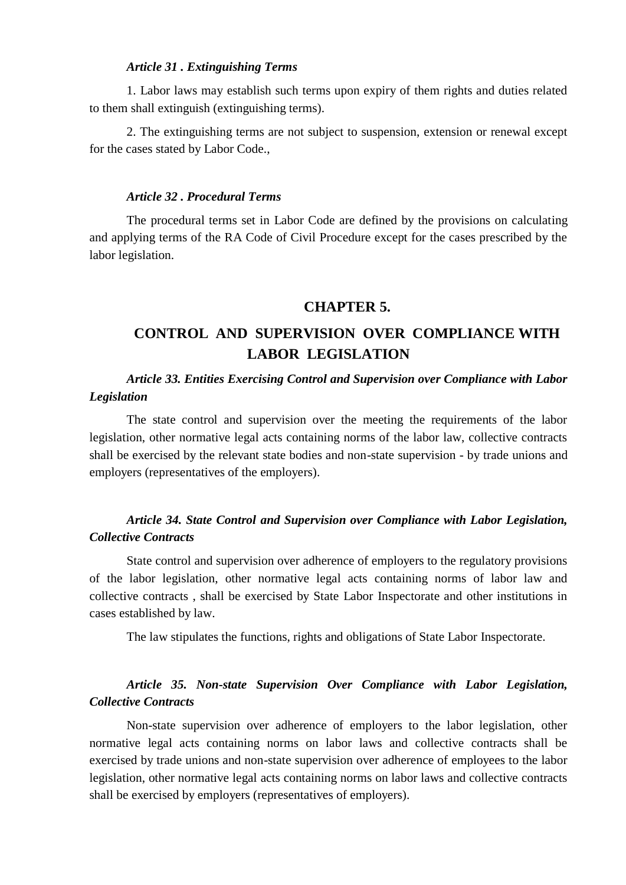#### *Article 31 . Extinguishing Terms*

1. Labor laws may establish such terms upon expiry of them rights and duties related to them shall extinguish (extinguishing terms).

2. The extinguishing terms are not subject to suspension, extension or renewal except for the cases stated by Labor Code.,

#### *Article 32 . Procedural Terms*

The procedural terms set in Labor Code are defined by the provisions on calculating and applying terms of the RA Code of Civil Procedure except for the cases prescribed by the labor legislation.

#### **CHAPTER 5.**

## **CONTROL AND SUPERVISION OVER COMPLIANCE WITH LABOR LEGISLATION**

### *Article 33. Entities Exercising Control and Supervision over Compliance with Labor Legislation*

The state control and supervision over the meeting the requirements of the labor legislation, other normative legal acts containing norms of the labor law, collective contracts shall be exercised by the relevant state bodies and non-state supervision - by trade unions and employers (representatives of the employers).

### *Article 34. State Control and Supervision over Compliance with Labor Legislation, Collective Contracts*

State control and supervision over adherence of employers to the regulatory provisions of the labor legislation, other normative legal acts containing norms of labor law and collective contracts , shall be exercised by State Labor Inspectorate and other institutions in cases established by law.

The law stipulates the functions, rights and obligations of State Labor Inspectorate.

### *Article 35. Non-state Supervision Over Compliance with Labor Legislation, Collective Contracts*

Non-state supervision over adherence of employers to the labor legislation, other normative legal acts containing norms on labor laws and collective contracts shall be exercised by trade unions and non-state supervision over adherence of employees to the labor legislation, other normative legal acts containing norms on labor laws and collective contracts shall be exercised by employers (representatives of employers).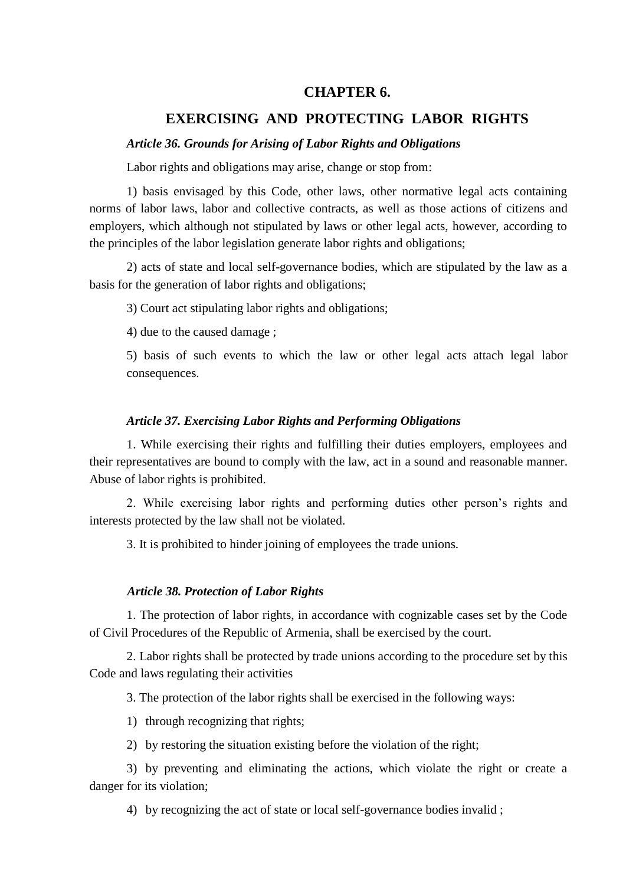### **CHAPTER 6.**

#### **EXERCISING AND PROTECTING LABOR RIGHTS**

#### *Article 36. Grounds for Arising of Labor Rights and Obligations*

Labor rights and obligations may arise, change or stop from:

1) basis envisaged by this Code, other laws, other normative legal acts containing norms of labor laws, labor and collective contracts, as well as those actions of citizens and employers, which although not stipulated by laws or other legal acts, however, according to the principles of the labor legislation generate labor rights and obligations;

2) acts of state and local self-governance bodies, which are stipulated by the law as a basis for the generation of labor rights and obligations;

3) Court act stipulating labor rights and obligations;

4) due to the caused damage ;

5) basis of such events to which the law or other legal acts attach legal labor consequences.

### *Article 37. Exercising Labor Rights and Performing Obligations*

1. While exercising their rights and fulfilling their duties employers, employees and their representatives are bound to comply with the law, act in a sound and reasonable manner. Abuse of labor rights is prohibited.

2. While exercising labor rights and performing duties other person's rights and interests protected by the law shall not be violated.

3. It is prohibited to hinder joining of employees the trade unions.

#### *Article 38. Protection of Labor Rights*

1. The protection of labor rights, in accordance with cognizable cases set by the Code of Civil Procedures of the Republic of Armenia, shall be exercised by the court.

2. Labor rights shall be protected by trade unions according to the procedure set by this Code and laws regulating their activities

3. The protection of the labor rights shall be exercised in the following ways:

1) through recognizing that rights;

2) by restoring the situation existing before the violation of the right;

3) by preventing and eliminating the actions, which violate the right or create a danger for its violation;

4) by recognizing the act of state or local self-governance bodies invalid ;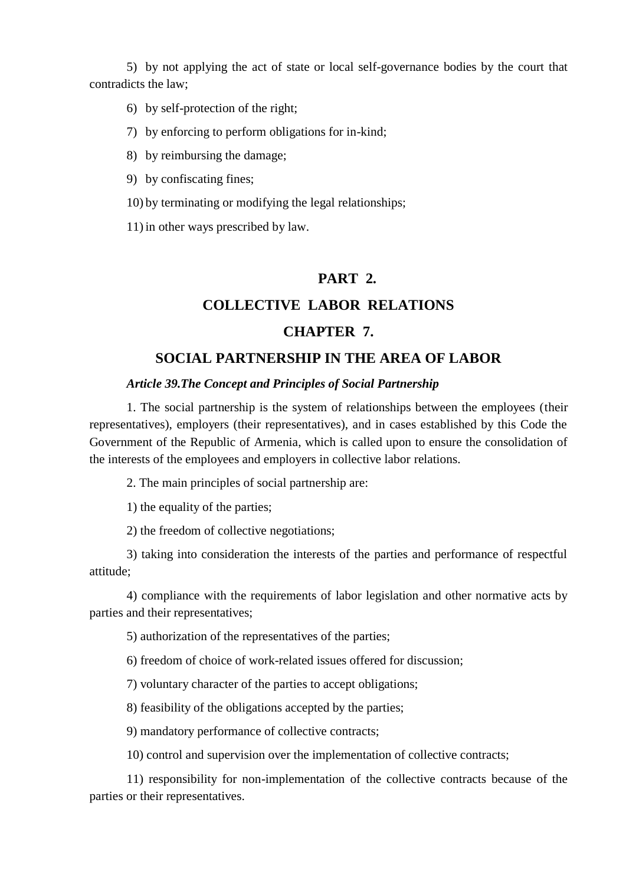5) by not applying the act of state or local self-governance bodies by the court that contradicts the law;

- 6) by self-protection of the right;
- 7) by enforcing to perform obligations for in-kind;
- 8) by reimbursing the damage;
- 9) by confiscating fines;
- 10) by terminating or modifying the legal relationships;

11) in other ways prescribed by law.

### **PART 2.**

### **COLLECTIVE LABOR RELATIONS**

### **CHAPTER 7.**

### **SOCIAL PARTNERSHIP IN THE AREA OF LABOR**

#### *Article 39.The Concept and Principles of Social Partnership*

1. The social partnership is the system of relationships between the employees (their representatives), employers (their representatives), and in cases established by this Code the Government of the Republic of Armenia, which is called upon to ensure the consolidation of the interests of the employees and employers in collective labor relations.

2. The main principles of social partnership are:

1) the equality of the parties;

2) the freedom of collective negotiations;

3) taking into consideration the interests of the parties and performance of respectful attitude;

4) compliance with the requirements of labor legislation and other normative acts by parties and their representatives;

5) authorization of the representatives of the parties;

6) freedom of choice of work-related issues offered for discussion;

7) voluntary character of the parties to accept obligations;

8) feasibility of the obligations accepted by the parties;

9) mandatory performance of collective contracts;

10) control and supervision over the implementation of collective contracts;

11) responsibility for non-implementation of the collective contracts because of the parties or their representatives.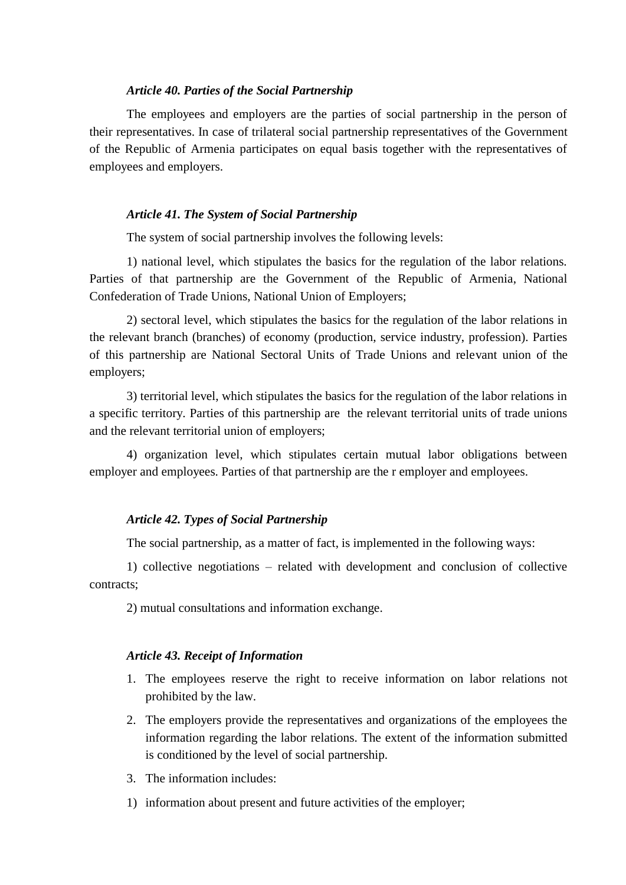#### *Article 40. Parties of the Social Partnership*

The employees and employers are the parties of social partnership in the person of their representatives. In case of trilateral social partnership representatives of the Government of the Republic of Armenia participates on equal basis together with the representatives of employees and employers.

#### *Article 41. The System of Social Partnership*

The system of social partnership involves the following levels:

1) national level, which stipulates the basics for the regulation of the labor relations. Parties of that partnership are the Government of the Republic of Armenia, National Confederation of Trade Unions, National Union of Employers;

2) sectoral level, which stipulates the basics for the regulation of the labor relations in the relevant branch (branches) of economy (production, service industry, profession). Parties of this partnership are National Sectoral Units of Trade Unions and relevant union of the employers;

3) territorial level, which stipulates the basics for the regulation of the labor relations in a specific territory. Parties of this partnership are the relevant territorial units of trade unions and the relevant territorial union of employers;

4) organization level, which stipulates certain mutual labor obligations between employer and employees. Parties of that partnership are the r employer and employees.

#### *Article 42. Types of Social Partnership*

The social partnership, as a matter of fact, is implemented in the following ways:

1) collective negotiations – related with development and conclusion of collective contracts;

2) mutual consultations and information exchange.

#### *Article 43. Receipt of Information*

- 1. The employees reserve the right to receive information on labor relations not prohibited by the law.
- 2. The employers provide the representatives and organizations of the employees the information regarding the labor relations. The extent of the information submitted is conditioned by the level of social partnership.
- 3. The information includes:
- 1) information about present and future activities of the employer;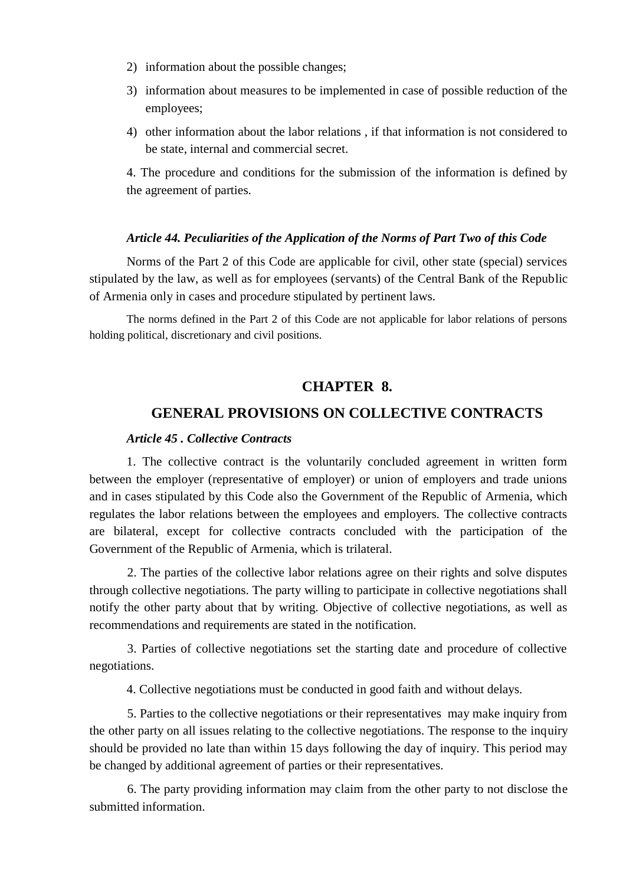- 2) information about the possible changes;
- 3) information about measures to be implemented in case of possible reduction of the employees;
- 4) other information about the labor relations , if that information is not considered to be state, internal and commercial secret.

4. The procedure and conditions for the submission of the information is defined by the agreement of parties.

#### *Article 44. Peculiarities of the Application of the Norms of Part Two of this Code*

Norms of the Part 2 of this Code are applicable for civil, other state (special) services stipulated by the law, as well as for employees (servants) of the Central Bank of the Republic of Armenia only in cases and procedure stipulated by pertinent laws.

The norms defined in the Part 2 of this Code are not applicable for labor relations of persons holding political, discretionary and civil positions.

### **CHAPTER 8.**

### **GENERAL PROVISIONS ON COLLECTIVE CONTRACTS**

#### *Article 45 . Collective Contracts*

1. The collective contract is the voluntarily concluded agreement in written form between the employer (representative of employer) or union of employers and trade unions and in cases stipulated by this Code also the Government of the Republic of Armenia, which regulates the labor relations between the employees and employers. The collective contracts are bilateral, except for collective contracts concluded with the participation of the Government of the Republic of Armenia, which is trilateral.

2. The parties of the collective labor relations agree on their rights and solve disputes through collective negotiations. The party willing to participate in collective negotiations shall notify the other party about that by writing. Objective of collective negotiations, as well as recommendations and requirements are stated in the notification.

3. Parties of collective negotiations set the starting date and procedure of collective negotiations.

4. Collective negotiations must be conducted in good faith and without delays.

5. Parties to the collective negotiations or their representatives may make inquiry from the other party on all issues relating to the collective negotiations. The response to the inquiry should be provided no late than within 15 days following the day of inquiry. This period may be changed by additional agreement of parties or their representatives.

6. The party providing information may claim from the other party to not disclose the submitted information.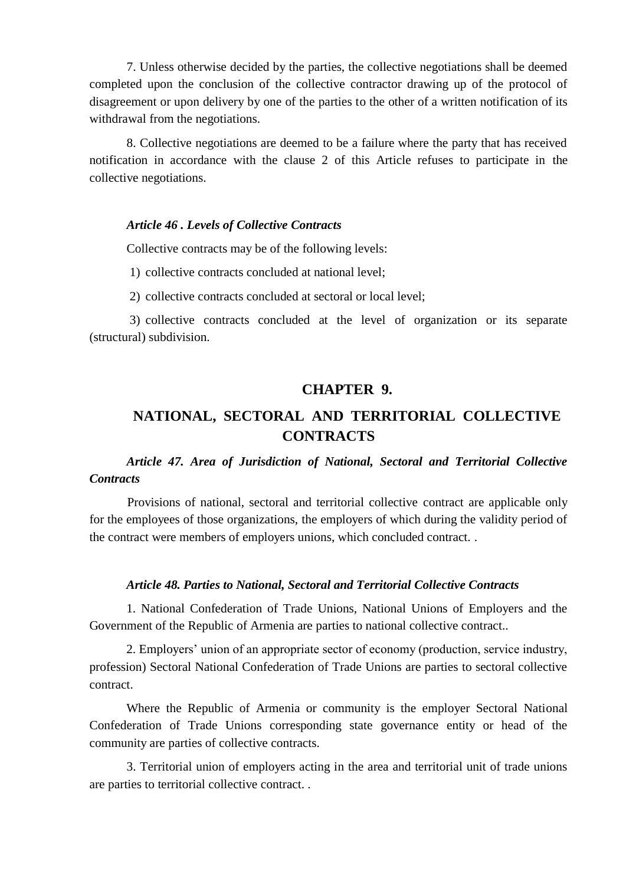7. Unless otherwise decided by the parties, the collective negotiations shall be deemed completed upon the conclusion of the collective contractor drawing up of the protocol of disagreement or upon delivery by one of the parties to the other of a written notification of its withdrawal from the negotiations.

8. Collective negotiations are deemed to be a failure where the party that has received notification in accordance with the clause 2 of this Article refuses to participate in the collective negotiations.

#### *Article 46 . Levels of Collective Contracts*

Collective contracts may be of the following levels:

- 1) collective contracts concluded at national level;
- 2) collective contracts concluded at sectoral or local level;

3) collective contracts concluded at the level of organization or its separate (structural) subdivision.

### **CHAPTER 9.**

## **NATIONAL, SECTORAL AND TERRITORIAL COLLECTIVE CONTRACTS**

### *Article 47. Area of Jurisdiction of National, Sectoral and Territorial Collective Contracts*

Provisions of national, sectoral and territorial collective contract are applicable only for the employees of those organizations, the employers of which during the validity period of the contract were members of employers unions, which concluded contract. .

#### *Article 48. Parties to National, Sectoral and Territorial Collective Contracts*

1. National Confederation of Trade Unions, National Unions of Employers and the Government of the Republic of Armenia are parties to national collective contract..

2. Employers' union of an appropriate sector of economy (production, service industry, profession) Sectoral National Confederation of Trade Unions are parties to sectoral collective contract.

Where the Republic of Armenia or community is the employer Sectoral National Confederation of Trade Unions corresponding state governance entity or head of the community are parties of collective contracts.

3. Territorial union of employers acting in the area and territorial unit of trade unions are parties to territorial collective contract. .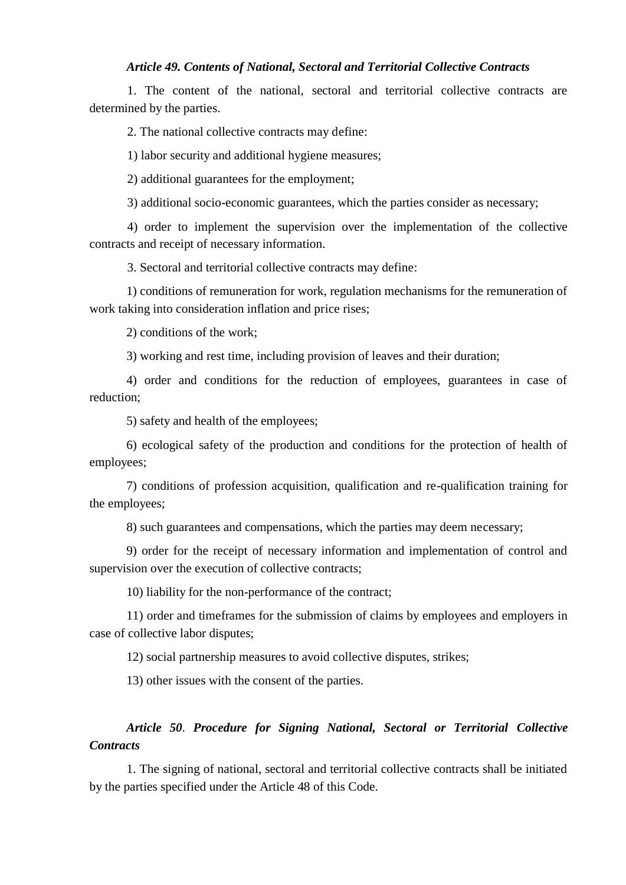#### *Article 49. Contents of National, Sectoral and Territorial Collective Contracts*

1. The content of the national, sectoral and territorial collective contracts are determined by the parties.

2. The national collective contracts may define:

1) labor security and additional hygiene measures;

2) additional guarantees for the employment;

3) additional socio-economic guarantees, which the parties consider as necessary;

4) order to implement the supervision over the implementation of the collective contracts and receipt of necessary information.

3. Sectoral and territorial collective contracts may define:

1) conditions of remuneration for work, regulation mechanisms for the remuneration of work taking into consideration inflation and price rises;

2) conditions of the work;

3) working and rest time, including provision of leaves and their duration;

4) order and conditions for the reduction of employees, guarantees in case of reduction;

5) safety and health of the employees;

6) ecological safety of the production and conditions for the protection of health of employees;

7) conditions of profession acquisition, qualification and re-qualification training for the employees;

8) such guarantees and compensations, which the parties may deem necessary;

9) order for the receipt of necessary information and implementation of control and supervision over the execution of collective contracts;

10) liability for the non-performance of the contract;

11) order and timeframes for the submission of claims by employees and employers in case of collective labor disputes;

12) social partnership measures to avoid collective disputes, strikes;

13) other issues with the consent of the parties.

### *Article 50. Procedure for Signing National, Sectoral or Territorial Collective Contracts*

1. The signing of national, sectoral and territorial collective contracts shall be initiated by the parties specified under the Article 48 of this Code.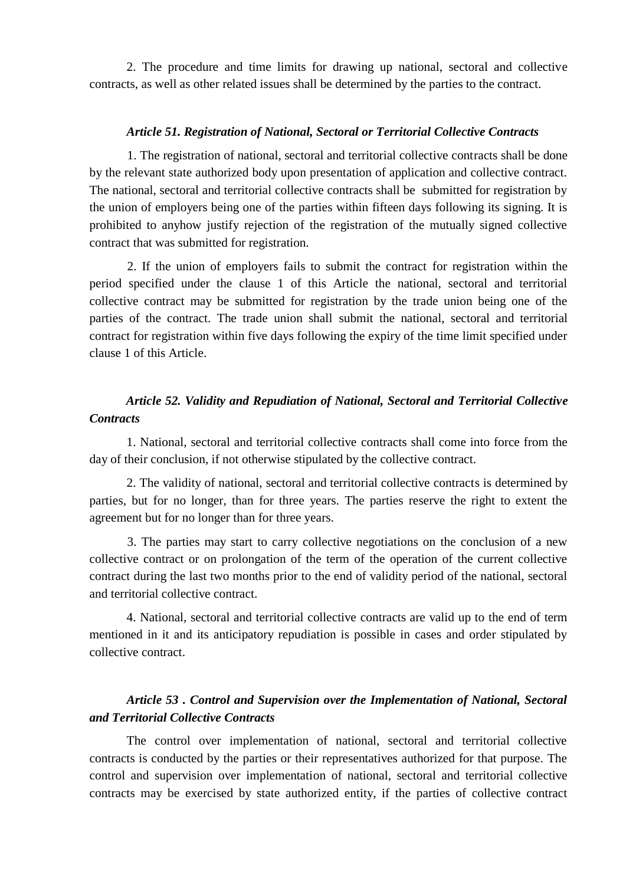2. The procedure and time limits for drawing up national, sectoral and collective contracts, as well as other related issues shall be determined by the parties to the contract.

#### *Article 51. Registration of National, Sectoral or Territorial Collective Contracts*

1. The registration of national, sectoral and territorial collective contracts shall be done by the relevant state authorized body upon presentation of application and collective contract. The national, sectoral and territorial collective contracts shall be submitted for registration by the union of employers being one of the parties within fifteen days following its signing. It is prohibited to anyhow justify rejection of the registration of the mutually signed collective contract that was submitted for registration.

2. If the union of employers fails to submit the contract for registration within the period specified under the clause 1 of this Article the national, sectoral and territorial collective contract may be submitted for registration by the trade union being one of the parties of the contract. The trade union shall submit the national, sectoral and territorial contract for registration within five days following the expiry of the time limit specified under clause 1 of this Article.

### *Article 52. Validity and Repudiation of National, Sectoral and Territorial Collective Contracts*

1. National, sectoral and territorial collective contracts shall come into force from the day of their conclusion, if not otherwise stipulated by the collective contract.

2. The validity of national, sectoral and territorial collective contracts is determined by parties, but for no longer, than for three years. The parties reserve the right to extent the agreement but for no longer than for three years.

3. The parties may start to carry collective negotiations on the conclusion of a new collective contract or on prolongation of the term of the operation of the current collective contract during the last two months prior to the end of validity period of the national, sectoral and territorial collective contract.

4. National, sectoral and territorial collective contracts are valid up to the end of term mentioned in it and its anticipatory repudiation is possible in cases and order stipulated by collective contract.

### *Article 53 . Control and Supervision over the Implementation of National, Sectoral and Territorial Collective Contracts*

The control over implementation of national, sectoral and territorial collective contracts is conducted by the parties or their representatives authorized for that purpose. The control and supervision over implementation of national, sectoral and territorial collective contracts may be exercised by state authorized entity, if the parties of collective contract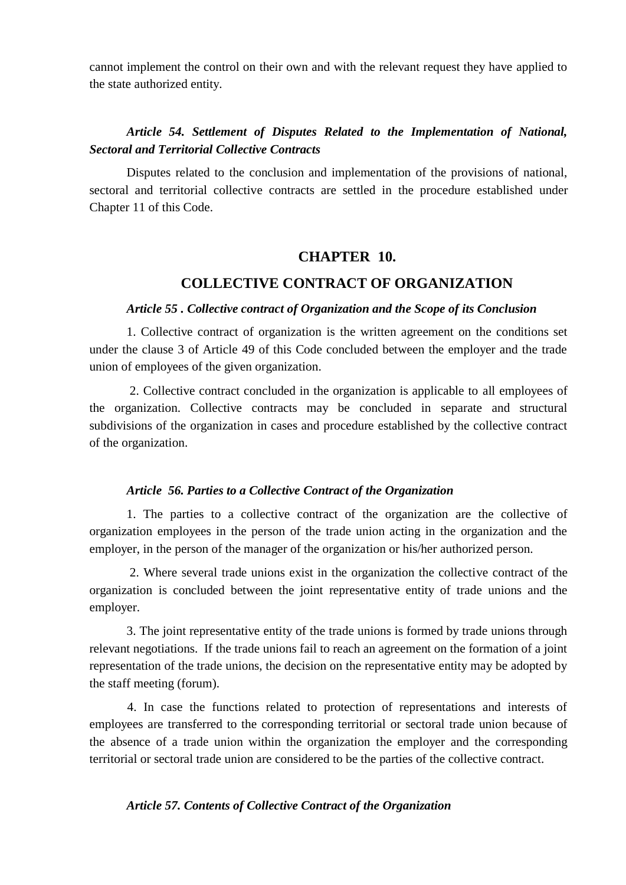cannot implement the control on their own and with the relevant request they have applied to the state authorized entity.

### *Article 54. Settlement of Disputes Related to the Implementation of National, Sectoral and Territorial Collective Contracts*

Disputes related to the conclusion and implementation of the provisions of national, sectoral and territorial collective contracts are settled in the procedure established under Chapter 11 of this Code.

### **CHAPTER 10.**

### **COLLECTIVE CONTRACT OF ORGANIZATION**

#### *Article 55 . Collective contract of Organization and the Scope of its Conclusion*

1. Collective contract of organization is the written agreement on the conditions set under the clause 3 of Article 49 of this Code concluded between the employer and the trade union of employees of the given organization.

2. Collective contract concluded in the organization is applicable to all employees of the organization. Collective contracts may be concluded in separate and structural subdivisions of the organization in cases and procedure established by the collective contract of the organization.

#### *Article 56. Parties to a Collective Contract of the Organization*

1. The parties to a collective contract of the organization are the collective of organization employees in the person of the trade union acting in the organization and the employer, in the person of the manager of the organization or his/her authorized person.

2. Where several trade unions exist in the organization the collective contract of the organization is concluded between the joint representative entity of trade unions and the employer.

3. The joint representative entity of the trade unions is formed by trade unions through relevant negotiations. If the trade unions fail to reach an agreement on the formation of a joint representation of the trade unions, the decision on the representative entity may be adopted by the staff meeting (forum).

4. In case the functions related to protection of representations and interests of employees are transferred to the corresponding territorial or sectoral trade union because of the absence of a trade union within the organization the employer and the corresponding territorial or sectoral trade union are considered to be the parties of the collective contract.

#### *Article 57. Contents of Collective Contract of the Organization*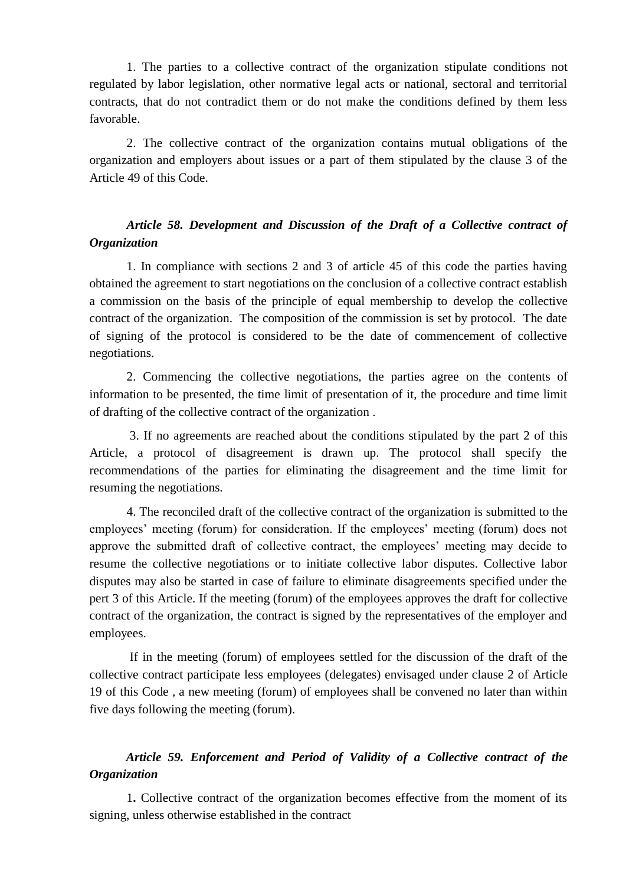1. The parties to a collective contract of the organization stipulate conditions not regulated by labor legislation, other normative legal acts or national, sectoral and territorial contracts, that do not contradict them or do not make the conditions defined by them less favorable.

2. The collective contract of the organization contains mutual obligations of the organization and employers about issues or a part of them stipulated by the clause 3 of the Article 49 of this Code.

### *Article 58. Development and Discussion of the Draft of a Collective contract of Organization*

1. In compliance with sections 2 and 3 of article 45 of this code the parties having obtained the agreement to start negotiations on the conclusion of a collective contract establish a commission on the basis of the principle of equal membership to develop the collective contract of the organization. The composition of the commission is set by protocol. The date of signing of the protocol is considered to be the date of commencement of collective negotiations.

2. Commencing the collective negotiations, the parties agree on the contents of information to be presented, the time limit of presentation of it, the procedure and time limit of drafting of the collective contract of the organization .

3. If no agreements are reached about the conditions stipulated by the part 2 of this Article, a protocol of disagreement is drawn up. The protocol shall specify the recommendations of the parties for eliminating the disagreement and the time limit for resuming the negotiations.

4. The reconciled draft of the collective contract of the organization is submitted to the employees' meeting (forum) for consideration. If the employees' meeting (forum) does not approve the submitted draft of collective contract, the employees' meeting may decide to resume the collective negotiations or to initiate collective labor disputes. Collective labor disputes may also be started in case of failure to eliminate disagreements specified under the pert 3 of this Article. If the meeting (forum) of the employees approves the draft for collective contract of the organization, the contract is signed by the representatives of the employer and employees.

If in the meeting (forum) of employees settled for the discussion of the draft of the collective contract participate less employees (delegates) envisaged under clause 2 of Article 19 of this Code , a new meeting (forum) of employees shall be convened no later than within five days following the meeting (forum).

### *Article 59. Enforcement and Period of Validity of a Collective contract of the Organization*

1**.** Collective contract of the organization becomes effective from the moment of its signing, unless otherwise established in the contract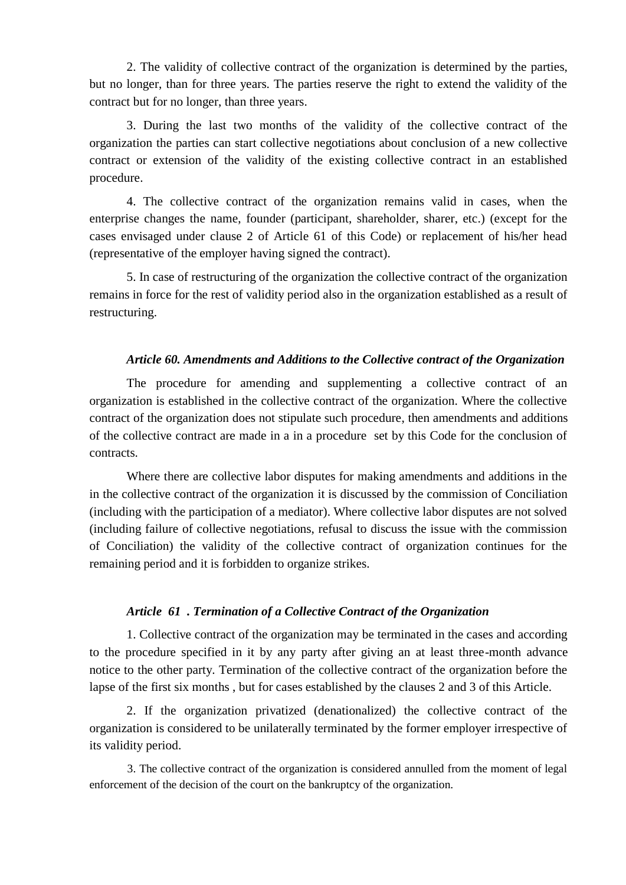2. The validity of collective contract of the organization is determined by the parties, but no longer, than for three years. The parties reserve the right to extend the validity of the contract but for no longer, than three years.

3. During the last two months of the validity of the collective contract of the organization the parties can start collective negotiations about conclusion of a new collective contract or extension of the validity of the existing collective contract in an established procedure.

4. The collective contract of the organization remains valid in cases, when the enterprise changes the name, founder (participant, shareholder, sharer, etc.) (except for the cases envisaged under clause 2 of Article 61 of this Code) or replacement of his/her head (representative of the employer having signed the contract).

5. In case of restructuring of the organization the collective contract of the organization remains in force for the rest of validity period also in the organization established as a result of restructuring.

#### *Article 60. Amendments and Additions to the Collective contract of the Organization*

The procedure for amending and supplementing a collective contract of an organization is established in the collective contract of the organization. Where the collective contract of the organization does not stipulate such procedure, then amendments and additions of the collective contract are made in a in a procedure set by this Code for the conclusion of contracts.

Where there are collective labor disputes for making amendments and additions in the in the collective contract of the organization it is discussed by the commission of Conciliation (including with the participation of a mediator). Where collective labor disputes are not solved (including failure of collective negotiations, refusal to discuss the issue with the commission of Conciliation) the validity of the collective contract of organization continues for the remaining period and it is forbidden to organize strikes.

#### *Article 61 . Termination of a Collective Contract of the Organization*

1. Collective contract of the organization may be terminated in the cases and according to the procedure specified in it by any party after giving an at least three-month advance notice to the other party. Termination of the collective contract of the organization before the lapse of the first six months , but for cases established by the clauses 2 and 3 of this Article.

2. If the organization privatized (denationalized) the collective contract of the organization is considered to be unilaterally terminated by the former employer irrespective of its validity period.

3. The collective contract of the organization is considered annulled from the moment of legal enforcement of the decision of the court on the bankruptcy of the organization.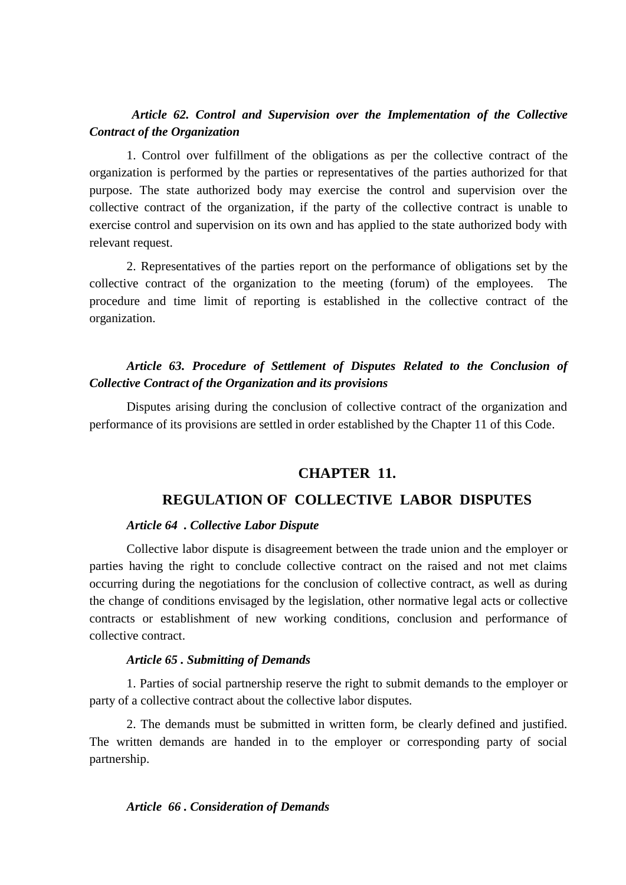### *Article 62. Control and Supervision over the Implementation of the Collective Contract of the Organization*

1. Control over fulfillment of the obligations as per the collective contract of the organization is performed by the parties or representatives of the parties authorized for that purpose. The state authorized body may exercise the control and supervision over the collective contract of the organization, if the party of the collective contract is unable to exercise control and supervision on its own and has applied to the state authorized body with relevant request.

2. Representatives of the parties report on the performance of obligations set by the collective contract of the organization to the meeting (forum) of the employees. The procedure and time limit of reporting is established in the collective contract of the organization.

### *Article 63. Procedure of Settlement of Disputes Related to the Conclusion of Collective Contract of the Organization and its provisions*

Disputes arising during the conclusion of collective contract of the organization and performance of its provisions are settled in order established by the Chapter 11 of this Code.

### **CHAPTER 11.**

### **REGULATION OF COLLECTIVE LABOR DISPUTES**

#### *Article 64 . Collective Labor Dispute*

Collective labor dispute is disagreement between the trade union and the employer or parties having the right to conclude collective contract on the raised and not met claims occurring during the negotiations for the conclusion of collective contract, as well as during the change of conditions envisaged by the legislation, other normative legal acts or collective contracts or establishment of new working conditions, conclusion and performance of collective contract.

#### *Article 65 . Submitting of Demands*

1. Parties of social partnership reserve the right to submit demands to the employer or party of a collective contract about the collective labor disputes.

2. The demands must be submitted in written form, be clearly defined and justified. The written demands are handed in to the employer or corresponding party of social partnership.

#### *Article 66 . Consideration of Demands*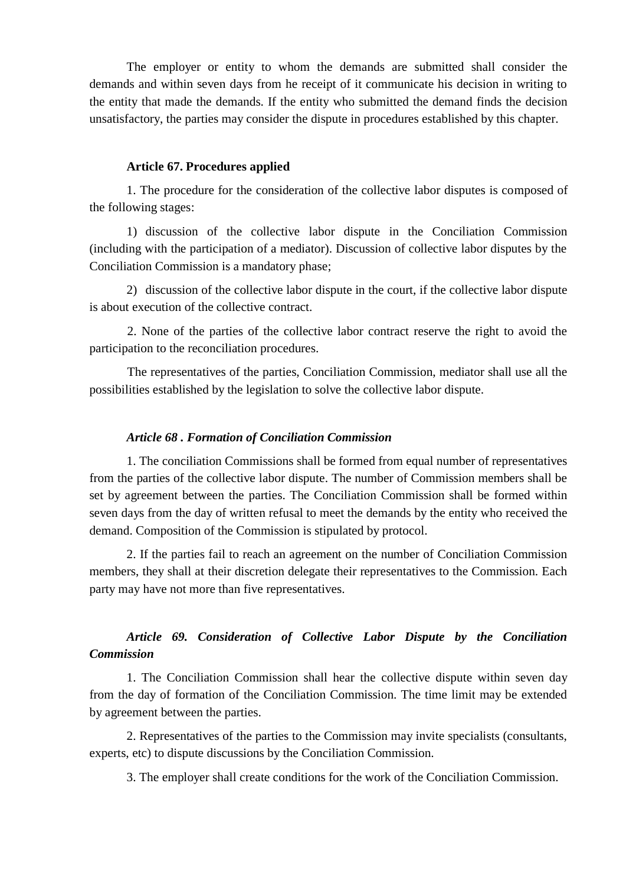The employer or entity to whom the demands are submitted shall consider the demands and within seven days from he receipt of it communicate his decision in writing to the entity that made the demands. If the entity who submitted the demand finds the decision unsatisfactory, the parties may consider the dispute in procedures established by this chapter.

#### **Article 67. Procedures applied**

1. The procedure for the consideration of the collective labor disputes is composed of the following stages:

1) discussion of the collective labor dispute in the Conciliation Commission (including with the participation of a mediator). Discussion of collective labor disputes by the Conciliation Commission is a mandatory phase;

2) discussion of the collective labor dispute in the court, if the collective labor dispute is about execution of the collective contract.

2. None of the parties of the collective labor contract reserve the right to avoid the participation to the reconciliation procedures.

The representatives of the parties, Conciliation Commission, mediator shall use all the possibilities established by the legislation to solve the collective labor dispute.

#### *Article 68 . Formation of Conciliation Commission*

1. The conciliation Commissions shall be formed from equal number of representatives from the parties of the collective labor dispute. The number of Commission members shall be set by agreement between the parties. The Conciliation Commission shall be formed within seven days from the day of written refusal to meet the demands by the entity who received the demand. Composition of the Commission is stipulated by protocol.

2. If the parties fail to reach an agreement on the number of Conciliation Commission members, they shall at their discretion delegate their representatives to the Commission. Each party may have not more than five representatives.

### *Article 69. Consideration of Collective Labor Dispute by the Conciliation Commission*

1. The Conciliation Commission shall hear the collective dispute within seven day from the day of formation of the Conciliation Commission. The time limit may be extended by agreement between the parties.

2. Representatives of the parties to the Commission may invite specialists (consultants, experts, etc) to dispute discussions by the Conciliation Commission.

3. The employer shall create conditions for the work of the Conciliation Commission.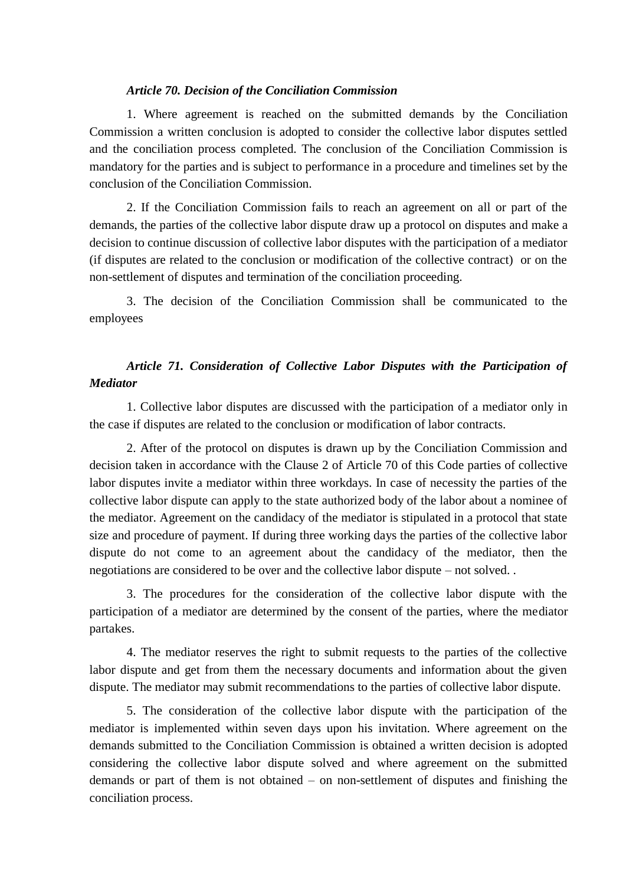#### *Article 70. Decision of the Conciliation Commission*

1. Where agreement is reached on the submitted demands by the Conciliation Commission a written conclusion is adopted to consider the collective labor disputes settled and the conciliation process completed. The conclusion of the Conciliation Commission is mandatory for the parties and is subject to performance in a procedure and timelines set by the conclusion of the Conciliation Commission.

2. If the Conciliation Commission fails to reach an agreement on all or part of the demands, the parties of the collective labor dispute draw up a protocol on disputes and make a decision to continue discussion of collective labor disputes with the participation of a mediator (if disputes are related to the conclusion or modification of the collective contract) or on the non-settlement of disputes and termination of the conciliation proceeding.

3. The decision of the Conciliation Commission shall be communicated to the employees

### *Article 71. Consideration of Collective Labor Disputes with the Participation of Mediator*

1. Collective labor disputes are discussed with the participation of a mediator only in the case if disputes are related to the conclusion or modification of labor contracts.

2. After of the protocol on disputes is drawn up by the Conciliation Commission and decision taken in accordance with the Clause 2 of Article 70 of this Code parties of collective labor disputes invite a mediator within three workdays. In case of necessity the parties of the collective labor dispute can apply to the state authorized body of the labor about a nominee of the mediator. Agreement on the candidacy of the mediator is stipulated in a protocol that state size and procedure of payment. If during three working days the parties of the collective labor dispute do not come to an agreement about the candidacy of the mediator, then the negotiations are considered to be over and the collective labor dispute – not solved. .

3. The procedures for the consideration of the collective labor dispute with the participation of a mediator are determined by the consent of the parties, where the mediator partakes.

4. The mediator reserves the right to submit requests to the parties of the collective labor dispute and get from them the necessary documents and information about the given dispute. The mediator may submit recommendations to the parties of collective labor dispute.

5. The consideration of the collective labor dispute with the participation of the mediator is implemented within seven days upon his invitation. Where agreement on the demands submitted to the Conciliation Commission is obtained a written decision is adopted considering the collective labor dispute solved and where agreement on the submitted demands or part of them is not obtained – on non-settlement of disputes and finishing the conciliation process.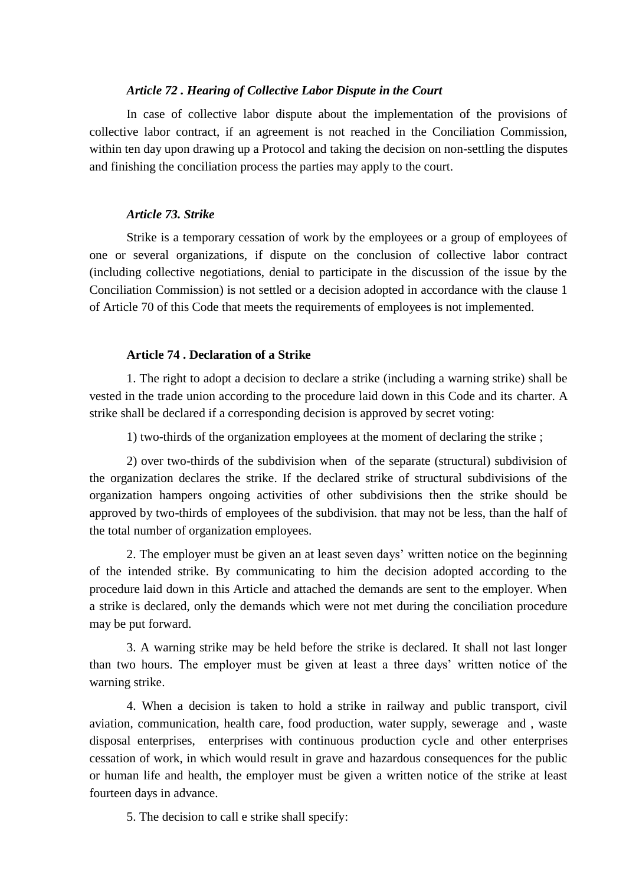#### *Article 72 . Hearing of Collective Labor Dispute in the Court*

In case of collective labor dispute about the implementation of the provisions of collective labor contract, if an agreement is not reached in the Conciliation Commission, within ten day upon drawing up a Protocol and taking the decision on non-settling the disputes and finishing the conciliation process the parties may apply to the court.

### *Article 73. Strike*

Strike is a temporary cessation of work by the employees or a group of employees of one or several organizations, if dispute on the conclusion of collective labor contract (including collective negotiations, denial to participate in the discussion of the issue by the Conciliation Commission) is not settled or a decision adopted in accordance with the clause 1 of Article 70 of this Code that meets the requirements of employees is not implemented.

### **Article 74 . Declaration of a Strike**

1. The right to adopt a decision to declare a strike (including a warning strike) shall be vested in the trade union according to the procedure laid down in this Code and its charter. A strike shall be declared if a corresponding decision is approved by secret voting:

1) two-thirds of the organization employees at the moment of declaring the strike ;

2) over two-thirds of the subdivision when of the separate (structural) subdivision of the organization declares the strike. If the declared strike of structural subdivisions of the organization hampers ongoing activities of other subdivisions then the strike should be approved by two-thirds of employees of the subdivision. that may not be less, than the half of the total number of organization employees.

2. The employer must be given an at least seven days' written notice on the beginning of the intended strike. By communicating to him the decision adopted according to the procedure laid down in this Article and attached the demands are sent to the employer. When a strike is declared, only the demands which were not met during the conciliation procedure may be put forward.

3. A warning strike may be held before the strike is declared. It shall not last longer than two hours. The employer must be given at least a three days' written notice of the warning strike.

4. When a decision is taken to hold a strike in railway and public transport, civil aviation, communication, health care, food production, water supply, sewerage and , waste disposal enterprises, enterprises with continuous production cycle and other enterprises cessation of work, in which would result in grave and hazardous consequences for the public or human life and health, the employer must be given a written notice of the strike at least fourteen days in advance.

5. The decision to call e strike shall specify: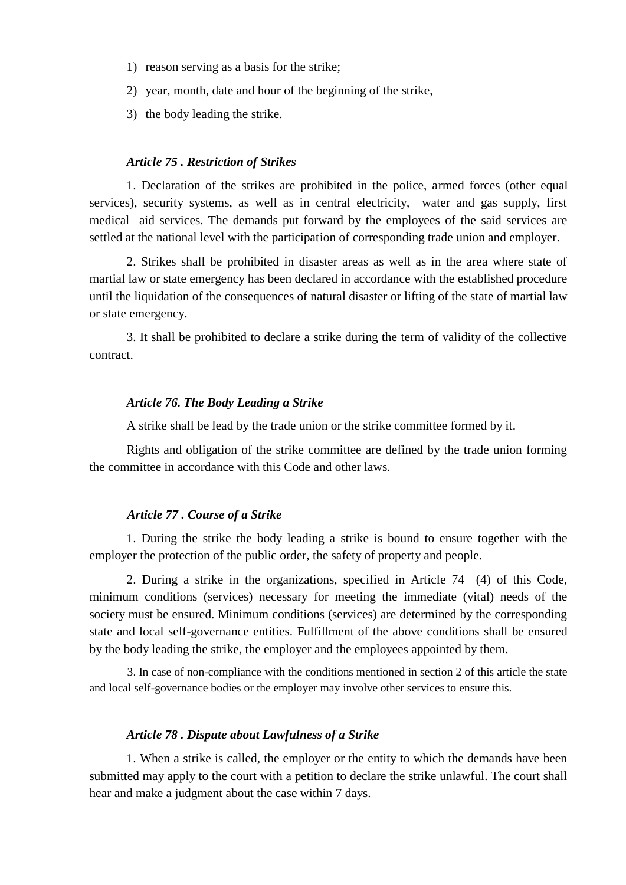- 1) reason serving as a basis for the strike;
- 2) year, month, date and hour of the beginning of the strike,
- 3) the body leading the strike.

#### *Article 75 . Restriction of Strikes*

1. Declaration of the strikes are prohibited in the police, armed forces (other equal services), security systems, as well as in central electricity, water and gas supply, first medical aid services. The demands put forward by the employees of the said services are settled at the national level with the participation of corresponding trade union and employer.

2. Strikes shall be prohibited in disaster areas as well as in the area where state of martial law or state emergency has been declared in accordance with the established procedure until the liquidation of the consequences of natural disaster or lifting of the state of martial law or state emergency.

3. It shall be prohibited to declare a strike during the term of validity of the collective contract.

#### *Article 76. The Body Leading a Strike*

A strike shall be lead by the trade union or the strike committee formed by it.

Rights and obligation of the strike committee are defined by the trade union forming the committee in accordance with this Code and other laws.

### *Article 77 . Course of a Strike*

1. During the strike the body leading a strike is bound to ensure together with the employer the protection of the public order, the safety of property and people.

2. During a strike in the organizations, specified in Article 74 (4) of this Code, minimum conditions (services) necessary for meeting the immediate (vital) needs of the society must be ensured. Minimum conditions (services) are determined by the corresponding state and local self-governance entities. Fulfillment of the above conditions shall be ensured by the body leading the strike, the employer and the employees appointed by them.

3. In case of non-compliance with the conditions mentioned in section 2 of this article the state and local self-governance bodies or the employer may involve other services to ensure this.

#### *Article 78 . Dispute about Lawfulness of a Strike*

1. When a strike is called, the employer or the entity to which the demands have been submitted may apply to the court with a petition to declare the strike unlawful. The court shall hear and make a judgment about the case within 7 days.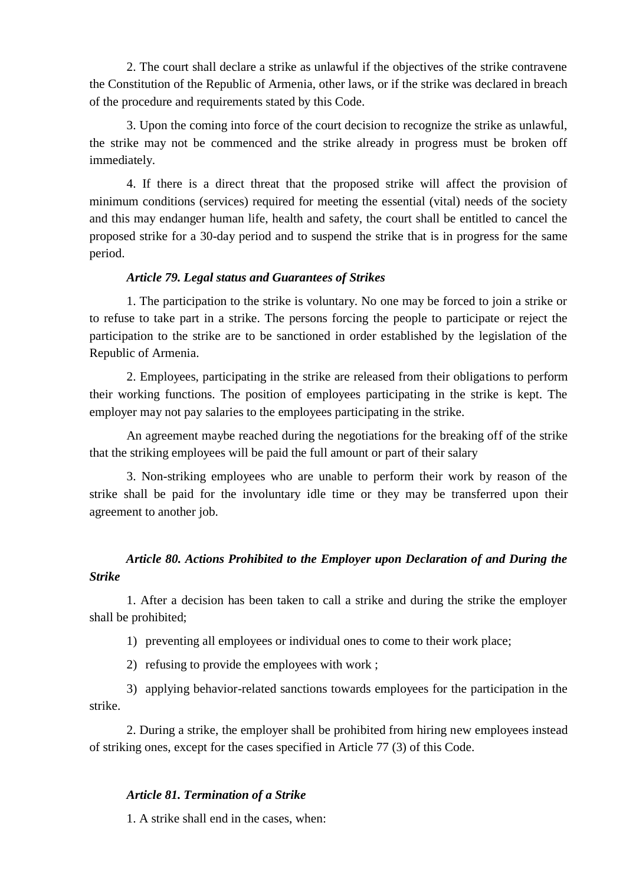2. The court shall declare a strike as unlawful if the objectives of the strike contravene the Constitution of the Republic of Armenia, other laws, or if the strike was declared in breach of the procedure and requirements stated by this Code.

3. Upon the coming into force of the court decision to recognize the strike as unlawful, the strike may not be commenced and the strike already in progress must be broken off immediately.

4. If there is a direct threat that the proposed strike will affect the provision of minimum conditions (services) required for meeting the essential (vital) needs of the society and this may endanger human life, health and safety, the court shall be entitled to cancel the proposed strike for a 30-day period and to suspend the strike that is in progress for the same period.

### *Article 79. Legal status and Guarantees of Strikes*

1. The participation to the strike is voluntary. No one may be forced to join a strike or to refuse to take part in a strike. The persons forcing the people to participate or reject the participation to the strike are to be sanctioned in order established by the legislation of the Republic of Armenia.

2. Employees, participating in the strike are released from their obligations to perform their working functions. The position of employees participating in the strike is kept. The employer may not pay salaries to the employees participating in the strike.

An agreement maybe reached during the negotiations for the breaking off of the strike that the striking employees will be paid the full amount or part of their salary

3. Non-striking employees who are unable to perform their work by reason of the strike shall be paid for the involuntary idle time or they may be transferred upon their agreement to another job.

### *Article 80. Actions Prohibited to the Employer upon Declaration of and During the Strike*

1. After a decision has been taken to call a strike and during the strike the employer shall be prohibited;

1) preventing all employees or individual ones to come to their work place;

2) refusing to provide the employees with work ;

3) applying behavior-related sanctions towards employees for the participation in the strike.

2. During a strike, the employer shall be prohibited from hiring new employees instead of striking ones, except for the cases specified in Article 77 (3) of this Code.

#### *Article 81. Termination of a Strike*

1. A strike shall end in the cases, when: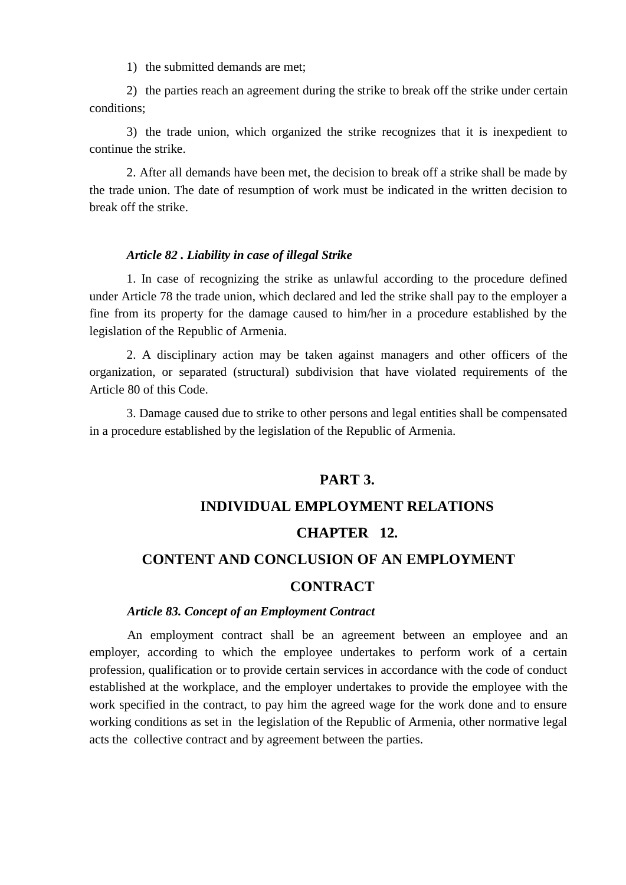1) the submitted demands are met;

2) the parties reach an agreement during the strike to break off the strike under certain conditions;

3) the trade union, which organized the strike recognizes that it is inexpedient to continue the strike.

2. After all demands have been met, the decision to break off a strike shall be made by the trade union. The date of resumption of work must be indicated in the written decision to break off the strike.

#### *Article 82 . Liability in case of illegal Strike*

1. In case of recognizing the strike as unlawful according to the procedure defined under Article 78 the trade union, which declared and led the strike shall pay to the employer a fine from its property for the damage caused to him/her in a procedure established by the legislation of the Republic of Armenia.

2. A disciplinary action may be taken against managers and other officers of the organization, or separated (structural) subdivision that have violated requirements of the Article 80 of this Code.

3. Damage caused due to strike to other persons and legal entities shall be compensated in a procedure established by the legislation of the Republic of Armenia.

### **PART 3.**

### **INDIVIDUAL EMPLOYMENT RELATIONS**

#### **CHAPTER 12.**

### **CONTENT AND CONCLUSION OF AN EMPLOYMENT**

### **CONTRACT**

#### *Article 83. Concept of an Employment Contract*

An employment contract shall be an agreement between an employee and an employer, according to which the employee undertakes to perform work of a certain profession, qualification or to provide certain services in accordance with the code of conduct established at the workplace, and the employer undertakes to provide the employee with the work specified in the contract, to pay him the agreed wage for the work done and to ensure working conditions as set in the legislation of the Republic of Armenia, other normative legal acts the collective contract and by agreement between the parties.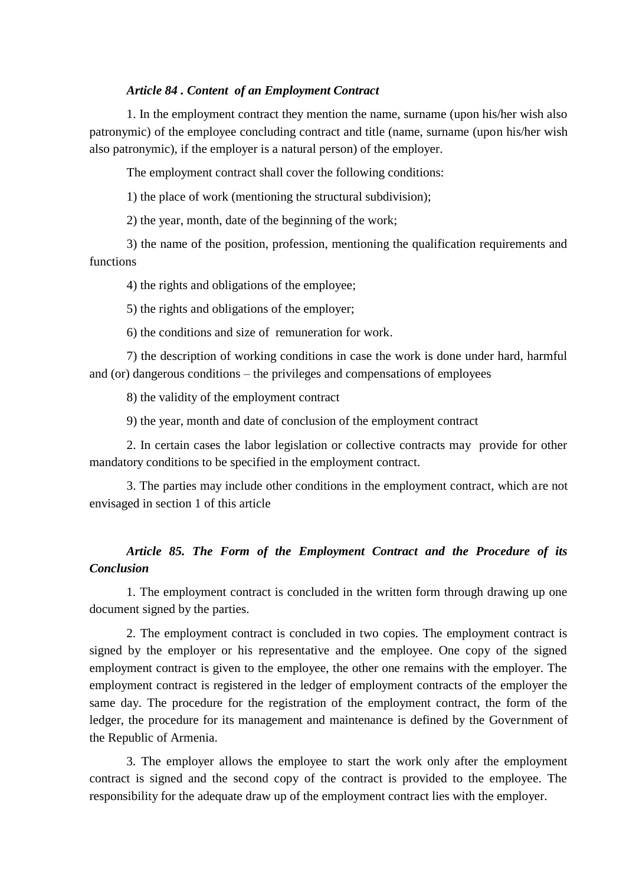#### *Article 84 . Content of an Employment Contract*

1. In the employment contract they mention the name, surname (upon his/her wish also patronymic) of the employee concluding contract and title (name, surname (upon his/her wish also patronymic), if the employer is a natural person) of the employer.

The employment contract shall cover the following conditions:

1) the place of work (mentioning the structural subdivision);

2) the year, month, date of the beginning of the work;

3) the name of the position, profession, mentioning the qualification requirements and functions

4) the rights and obligations of the employee;

5) the rights and obligations of the employer;

6) the conditions and size of remuneration for work.

7) the description of working conditions in case the work is done under hard, harmful and (or) dangerous conditions – the privileges and compensations of employees

8) the validity of the employment contract

9) the year, month and date of conclusion of the employment contract

2. In certain cases the labor legislation or collective contracts may provide for other mandatory conditions to be specified in the employment contract.

3. The parties may include other conditions in the employment contract, which are not envisaged in section 1 of this article

### *Article 85. The Form of the Employment Contract and the Procedure of its Conclusion*

1. The employment contract is concluded in the written form through drawing up one document signed by the parties.

2. The employment contract is concluded in two copies. The employment contract is signed by the employer or his representative and the employee. One copy of the signed employment contract is given to the employee, the other one remains with the employer. The employment contract is registered in the ledger of employment contracts of the employer the same day. The procedure for the registration of the employment contract, the form of the ledger, the procedure for its management and maintenance is defined by the Government of the Republic of Armenia.

3. The employer allows the employee to start the work only after the employment contract is signed and the second copy of the contract is provided to the employee. The responsibility for the adequate draw up of the employment contract lies with the employer.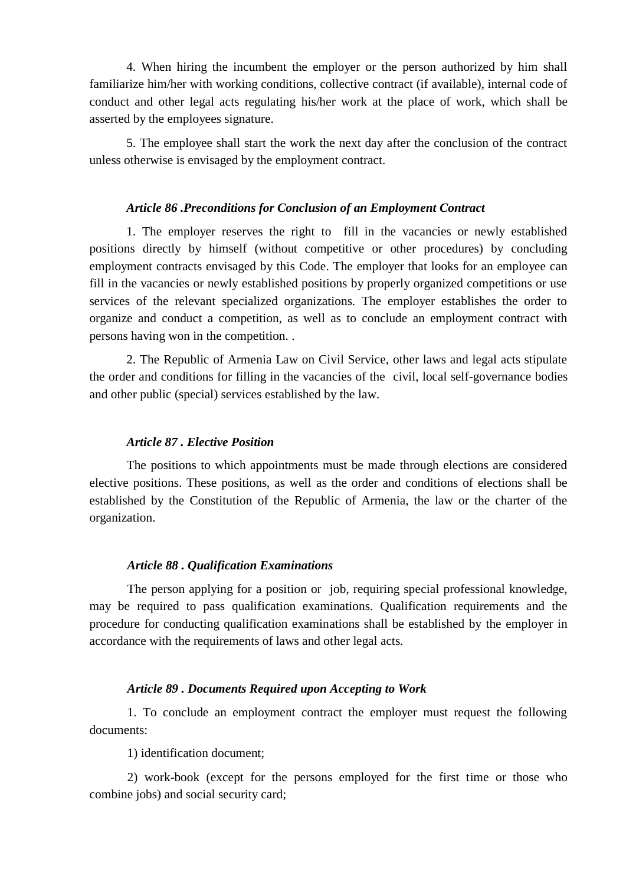4. When hiring the incumbent the employer or the person authorized by him shall familiarize him/her with working conditions, collective contract (if available), internal code of conduct and other legal acts regulating his/her work at the place of work, which shall be asserted by the employees signature.

5. The employee shall start the work the next day after the conclusion of the contract unless otherwise is envisaged by the employment contract.

#### *Article 86 .Preconditions for Conclusion of an Employment Contract*

1. The employer reserves the right to fill in the vacancies or newly established positions directly by himself (without competitive or other procedures) by concluding employment contracts envisaged by this Code. The employer that looks for an employee can fill in the vacancies or newly established positions by properly organized competitions or use services of the relevant specialized organizations. The employer establishes the order to organize and conduct a competition, as well as to conclude an employment contract with persons having won in the competition. .

2. The Republic of Armenia Law on Civil Service, other laws and legal acts stipulate the order and conditions for filling in the vacancies of the civil, local self-governance bodies and other public (special) services established by the law.

#### *Article 87 . Elective Position*

The positions to which appointments must be made through elections are considered elective positions. These positions, as well as the order and conditions of elections shall be established by the Constitution of the Republic of Armenia, the law or the charter of the organization.

#### *Article 88 . Qualification Examinations*

The person applying for a position or job, requiring special professional knowledge, may be required to pass qualification examinations. Qualification requirements and the procedure for conducting qualification examinations shall be established by the employer in accordance with the requirements of laws and other legal acts.

#### *Article 89 . Documents Required upon Accepting to Work*

1. To conclude an employment contract the employer must request the following documents:

1) identification document;

2) work-book (except for the persons employed for the first time or those who combine jobs) and social security card;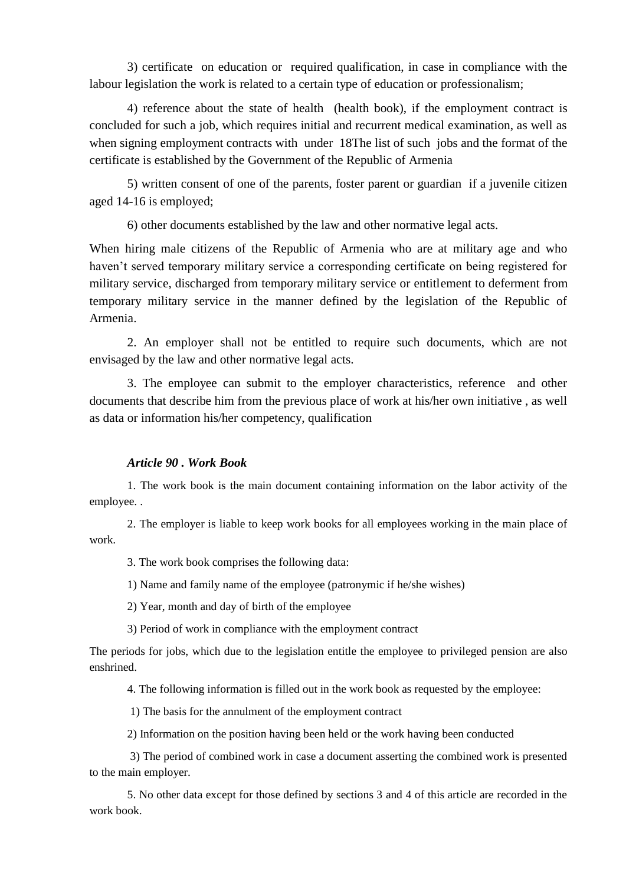3) certificate on education or required qualification, in case in compliance with the labour legislation the work is related to a certain type of education or professionalism;

4) reference about the state of health (health book), if the employment contract is concluded for such a job, which requires initial and recurrent medical examination, as well as when signing employment contracts with under 18The list of such jobs and the format of the certificate is established by the Government of the Republic of Armenia

5) written consent of one of the parents, foster parent or guardian if a juvenile citizen aged 14-16 is employed;

6) other documents established by the law and other normative legal acts.

When hiring male citizens of the Republic of Armenia who are at military age and who haven't served temporary military service a corresponding certificate on being registered for military service, discharged from temporary military service or entitlement to deferment from temporary military service in the manner defined by the legislation of the Republic of Armenia.

2. An employer shall not be entitled to require such documents, which are not envisaged by the law and other normative legal acts.

3. The employee can submit to the employer characteristics, reference and other documents that describe him from the previous place of work at his/her own initiative , as well as data or information his/her competency, qualification

#### *Article 90 . Work Book*

1. The work book is the main document containing information on the labor activity of the employee. .

2. The employer is liable to keep work books for all employees working in the main place of work.

3. The work book comprises the following data:

1) Name and family name of the employee (patronymic if he/she wishes)

2) Year, month and day of birth of the employee

3) Period of work in compliance with the employment contract

The periods for jobs, which due to the legislation entitle the employee to privileged pension are also enshrined.

4. The following information is filled out in the work book as requested by the employee:

1) The basis for the annulment of the employment contract

2) Information on the position having been held or the work having been conducted

3) The period of combined work in case a document asserting the combined work is presented to the main employer.

5. No other data except for those defined by sections 3 and 4 of this article are recorded in the work book.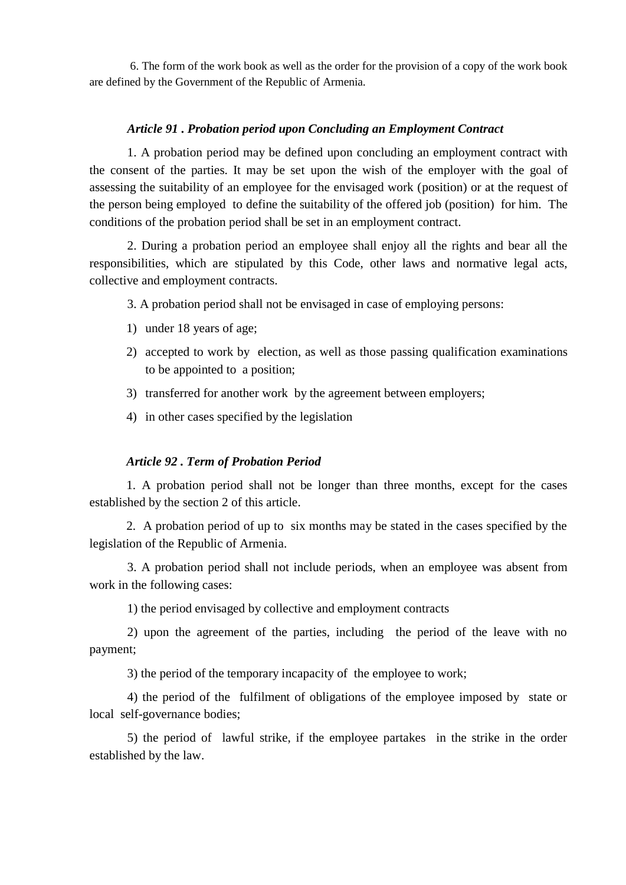6. The form of the work book as well as the order for the provision of a copy of the work book are defined by the Government of the Republic of Armenia.

### *Article 91 . Probation period upon Concluding an Employment Contract*

1. A probation period may be defined upon concluding an employment contract with the consent of the parties. It may be set upon the wish of the employer with the goal of assessing the suitability of an employee for the envisaged work (position) or at the request of the person being employed to define the suitability of the offered job (position) for him. The conditions of the probation period shall be set in an employment contract.

2. During a probation period an employee shall enjoy all the rights and bear all the responsibilities, which are stipulated by this Code, other laws and normative legal acts, collective and employment contracts.

3. A probation period shall not be envisaged in case of employing persons:

- 1) under 18 years of age;
- 2) accepted to work by election, as well as those passing qualification examinations to be appointed to a position;
- 3) transferred for another work by the agreement between employers;
- 4) in other cases specified by the legislation

### *Article 92 . Term of Probation Period*

1. A probation period shall not be longer than three months, except for the cases established by the section 2 of this article.

2. A probation period of up to six months may be stated in the cases specified by the legislation of the Republic of Armenia.

3. A probation period shall not include periods, when an employee was absent from work in the following cases:

1) the period envisaged by collective and employment contracts

2) upon the agreement of the parties, including the period of the leave with no payment;

3) the period of the temporary incapacity of the employee to work;

4) the period of the fulfilment of obligations of the employee imposed by state or local self-governance bodies;

5) the period of lawful strike, if the employee partakes in the strike in the order established by the law.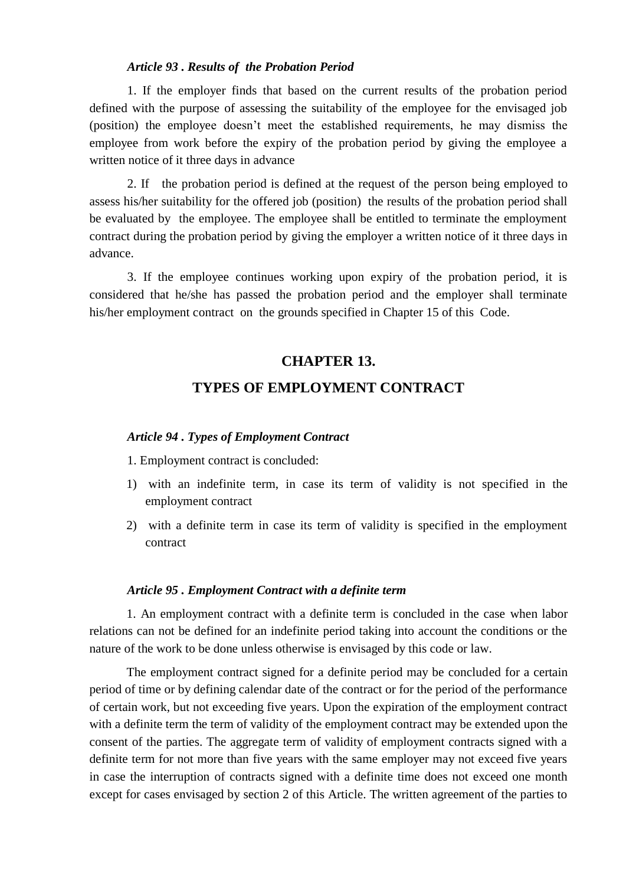#### *Article 93 . Results of the Probation Period*

1. If the employer finds that based on the current results of the probation period defined with the purpose of assessing the suitability of the employee for the envisaged job (position) the employee doesn't meet the established requirements, he may dismiss the employee from work before the expiry of the probation period by giving the employee a written notice of it three days in advance

2. If the probation period is defined at the request of the person being employed to assess his/her suitability for the offered job (position) the results of the probation period shall be evaluated by the employee. The employee shall be entitled to terminate the employment contract during the probation period by giving the employer a written notice of it three days in advance.

3. If the employee continues working upon expiry of the probation period, it is considered that he/she has passed the probation period and the employer shall terminate his/her employment contract on the grounds specified in Chapter 15 of this Code.

# **CHAPTER 13. TYPES OF EMPLOYMENT CONTRACT**

#### *Article 94 . Types of Employment Contract*

1. Employment contract is concluded:

- 1) with an indefinite term, in case its term of validity is not specified in the employment contract
- 2) with a definite term in case its term of validity is specified in the employment contract

#### *Article 95 . Employment Contract with a definite term*

1. An employment contract with a definite term is concluded in the case when labor relations can not be defined for an indefinite period taking into account the conditions or the nature of the work to be done unless otherwise is envisaged by this code or law.

The employment contract signed for a definite period may be concluded for a certain period of time or by defining calendar date of the contract or for the period of the performance of certain work, but not exceeding five years. Upon the expiration of the employment contract with a definite term the term of validity of the employment contract may be extended upon the consent of the parties. The aggregate term of validity of employment contracts signed with a definite term for not more than five years with the same employer may not exceed five years in case the interruption of contracts signed with a definite time does not exceed one month except for cases envisaged by section 2 of this Article. The written agreement of the parties to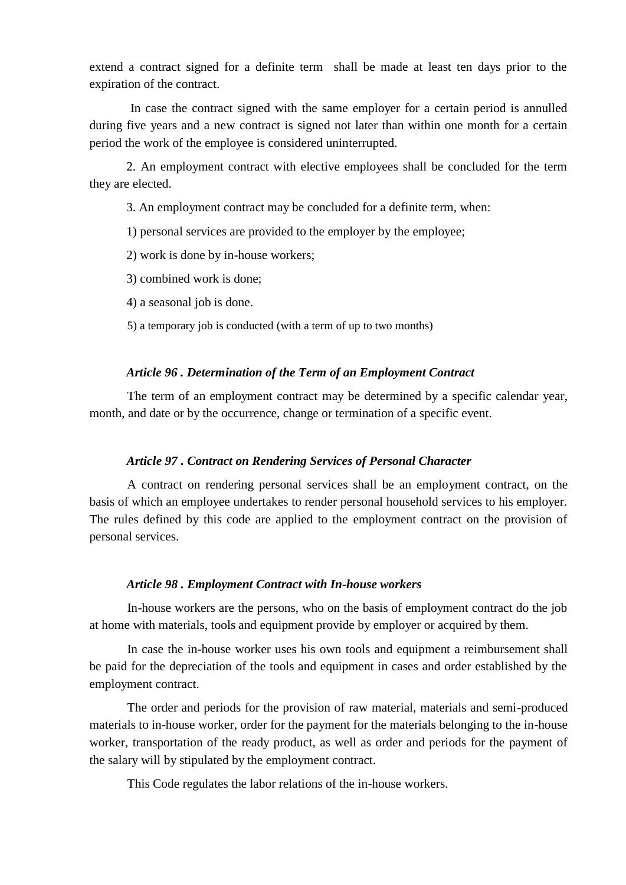extend a contract signed for a definite term shall be made at least ten days prior to the expiration of the contract.

In case the contract signed with the same employer for a certain period is annulled during five years and a new contract is signed not later than within one month for a certain period the work of the employee is considered uninterrupted.

2. An employment contract with elective employees shall be concluded for the term they are elected.

3. An employment contract may be concluded for a definite term, when:

1) personal services are provided to the employer by the employee;

2) work is done by in-house workers;

3) combined work is done;

4) a seasonal job is done.

5) a temporary job is conducted (with a term of up to two months)

### *Article 96 . Determination of the Term of an Employment Contract*

The term of an employment contract may be determined by a specific calendar year, month, and date or by the occurrence, change or termination of a specific event.

#### *Article 97 . Contract on Rendering Services of Personal Character*

A contract on rendering personal services shall be an employment contract, on the basis of which an employee undertakes to render personal household services to his employer. The rules defined by this code are applied to the employment contract on the provision of personal services.

#### *Article 98 . Employment Contract with In-house workers*

In-house workers are the persons, who on the basis of employment contract do the job at home with materials, tools and equipment provide by employer or acquired by them.

In case the in-house worker uses his own tools and equipment a reimbursement shall be paid for the depreciation of the tools and equipment in cases and order established by the employment contract.

The order and periods for the provision of raw material, materials and semi-produced materials to in-house worker, order for the payment for the materials belonging to the in-house worker, transportation of the ready product, as well as order and periods for the payment of the salary will by stipulated by the employment contract.

This Code regulates the labor relations of the in-house workers.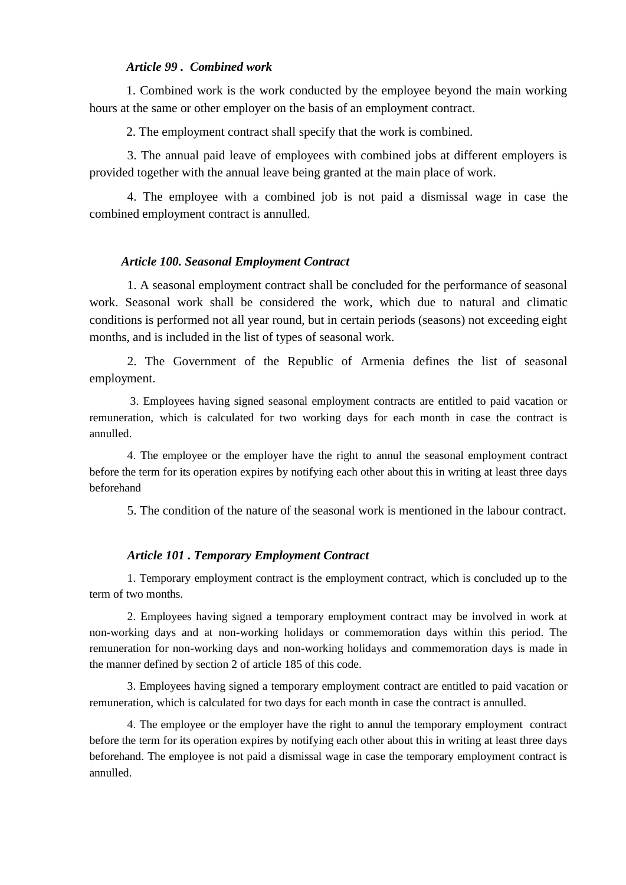## *Article 99 . Combined work*

1. Combined work is the work conducted by the employee beyond the main working hours at the same or other employer on the basis of an employment contract.

2. The employment contract shall specify that the work is combined.

3. The annual paid leave of employees with combined jobs at different employers is provided together with the annual leave being granted at the main place of work.

4. The employee with a combined job is not paid a dismissal wage in case the combined employment contract is annulled.

#### *Article 100. Seasonal Employment Contract*

1. A seasonal employment contract shall be concluded for the performance of seasonal work. Seasonal work shall be considered the work, which due to natural and climatic conditions is performed not all year round, but in certain periods (seasons) not exceeding eight months, and is included in the list of types of seasonal work.

2. The Government of the Republic of Armenia defines the list of seasonal employment.

3. Employees having signed seasonal employment contracts are entitled to paid vacation or remuneration, which is calculated for two working days for each month in case the contract is annulled.

4. The employee or the employer have the right to annul the seasonal employment contract before the term for its operation expires by notifying each other about this in writing at least three days beforehand

5. The condition of the nature of the seasonal work is mentioned in the labour contract.

#### *Article 101 . Temporary Employment Contract*

1. Temporary employment contract is the employment contract, which is concluded up to the term of two months.

2. Employees having signed a temporary employment contract may be involved in work at non-working days and at non-working holidays or commemoration days within this period. The remuneration for non-working days and non-working holidays and commemoration days is made in the manner defined by section 2 of article 185 of this code.

3. Employees having signed a temporary employment contract are entitled to paid vacation or remuneration, which is calculated for two days for each month in case the contract is annulled.

4. The employee or the employer have the right to annul the temporary employment contract before the term for its operation expires by notifying each other about this in writing at least three days beforehand. The employee is not paid a dismissal wage in case the temporary employment contract is annulled.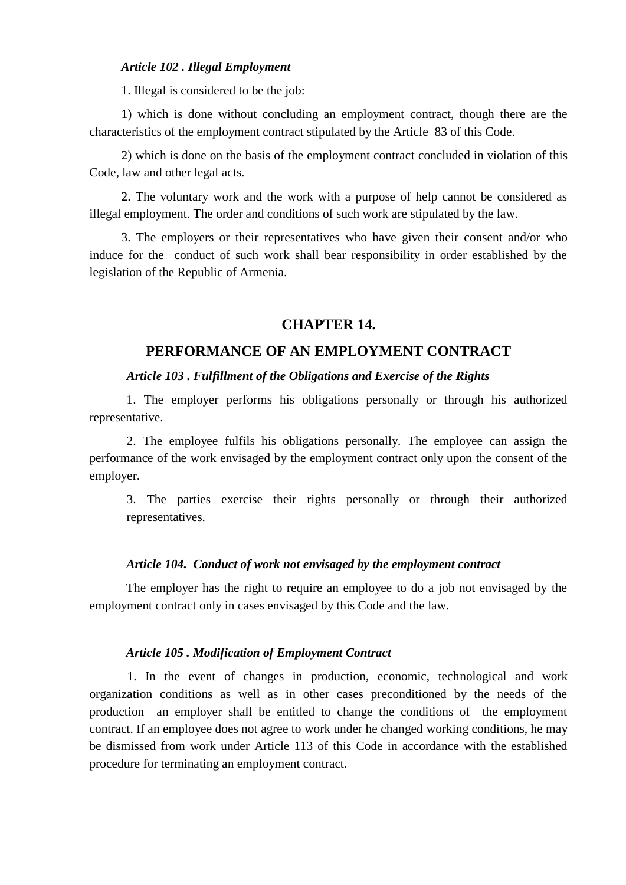#### *Article 102 . Illegal Employment*

1. Illegal is considered to be the job:

1) which is done without concluding an employment contract, though there are the characteristics of the employment contract stipulated by the Article 83 of this Code.

2) which is done on the basis of the employment contract concluded in violation of this Code, law and other legal acts.

2. The voluntary work and the work with a purpose of help cannot be considered as illegal employment. The order and conditions of such work are stipulated by the law.

3. The employers or their representatives who have given their consent and/or who induce for the conduct of such work shall bear responsibility in order established by the legislation of the Republic of Armenia.

## **CHAPTER 14.**

## **PERFORMANCE OF AN EMPLOYMENT CONTRACT**

# *Article 103 . Fulfillment of the Obligations and Exercise of the Rights*

1. The employer performs his obligations personally or through his authorized representative.

2. The employee fulfils his obligations personally. The employee can assign the performance of the work envisaged by the employment contract only upon the consent of the employer.

3. The parties exercise their rights personally or through their authorized representatives.

## *Article 104. Conduct of work not envisaged by the employment contract*

The employer has the right to require an employee to do a job not envisaged by the employment contract only in cases envisaged by this Code and the law.

## *Article 105 . Modification of Employment Contract*

1. In the event of changes in production, economic, technological and work organization conditions as well as in other cases preconditioned by the needs of the production an employer shall be entitled to change the conditions of the employment contract. If an employee does not agree to work under he changed working conditions, he may be dismissed from work under Article 113 of this Code in accordance with the established procedure for terminating an employment contract.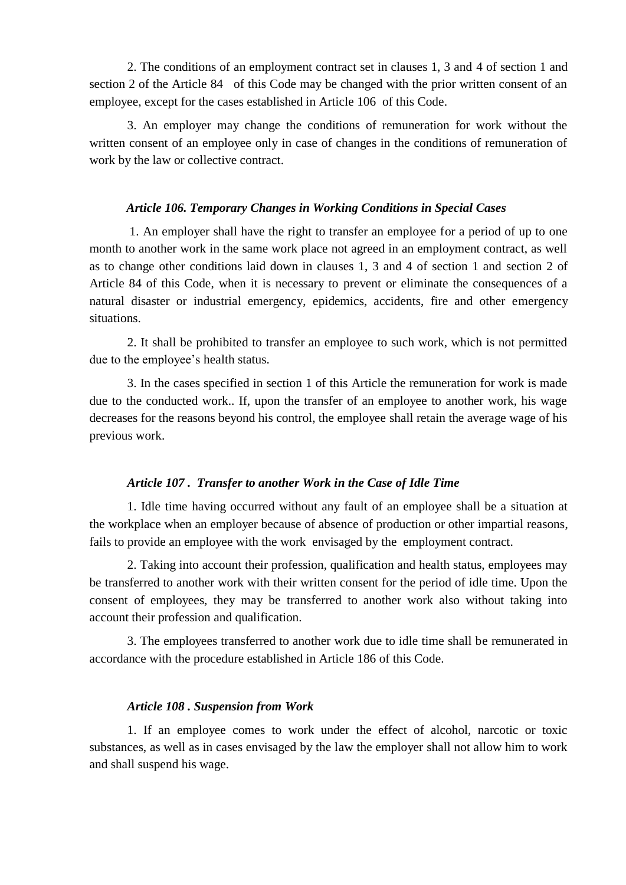2. The conditions of an employment contract set in clauses 1, 3 and 4 of section 1 and section 2 of the Article 84 of this Code may be changed with the prior written consent of an employee, except for the cases established in Article 106 of this Code.

3. An employer may change the conditions of remuneration for work without the written consent of an employee only in case of changes in the conditions of remuneration of work by the law or collective contract.

## *Article 106. Temporary Changes in Working Conditions in Special Cases*

1. An employer shall have the right to transfer an employee for a period of up to one month to another work in the same work place not agreed in an employment contract, as well as to change other conditions laid down in clauses 1, 3 and 4 of section 1 and section 2 of Article 84 of this Code, when it is necessary to prevent or eliminate the consequences of a natural disaster or industrial emergency, epidemics, accidents, fire and other emergency situations.

2. It shall be prohibited to transfer an employee to such work, which is not permitted due to the employee's health status.

3. In the cases specified in section 1 of this Article the remuneration for work is made due to the conducted work.. If, upon the transfer of an employee to another work, his wage decreases for the reasons beyond his control, the employee shall retain the average wage of his previous work.

### *Article 107 . Transfer to another Work in the Case of Idle Time*

1. Idle time having occurred without any fault of an employee shall be a situation at the workplace when an employer because of absence of production or other impartial reasons, fails to provide an employee with the work envisaged by the employment contract.

2. Taking into account their profession, qualification and health status, employees may be transferred to another work with their written consent for the period of idle time. Upon the consent of employees, they may be transferred to another work also without taking into account their profession and qualification.

3. The employees transferred to another work due to idle time shall be remunerated in accordance with the procedure established in Article 186 of this Code.

#### *Article 108 . Suspension from Work*

1. If an employee comes to work under the effect of alcohol, narcotic or toxic substances, as well as in cases envisaged by the law the employer shall not allow him to work and shall suspend his wage.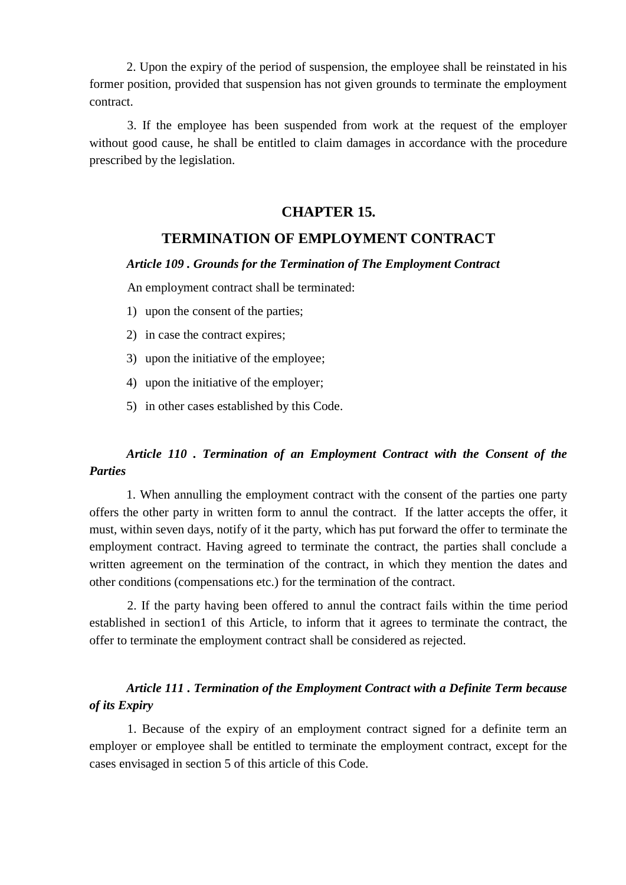2. Upon the expiry of the period of suspension, the employee shall be reinstated in his former position, provided that suspension has not given grounds to terminate the employment contract.

3. If the employee has been suspended from work at the request of the employer without good cause, he shall be entitled to claim damages in accordance with the procedure prescribed by the legislation.

## **CHAPTER 15.**

## **TERMINATION OF EMPLOYMENT CONTRACT**

## *Article 109 . Grounds for the Termination of The Employment Contract*

An employment contract shall be terminated:

- 1) upon the consent of the parties;
- 2) in case the contract expires;
- 3) upon the initiative of the employee;
- 4) upon the initiative of the employer;
- 5) in other cases established by this Code.

# *Article 110 . Termination of an Employment Contract with the Consent of the Parties*

1. When annulling the employment contract with the consent of the parties one party offers the other party in written form to annul the contract. If the latter accepts the offer, it must, within seven days, notify of it the party, which has put forward the offer to terminate the employment contract. Having agreed to terminate the contract, the parties shall conclude a written agreement on the termination of the contract, in which they mention the dates and other conditions (compensations etc.) for the termination of the contract.

2. If the party having been offered to annul the contract fails within the time period established in section1 of this Article, to inform that it agrees to terminate the contract, the offer to terminate the employment contract shall be considered as rejected.

# *Article 111 . Termination of the Employment Contract with a Definite Term because of its Expiry*

1. Because of the expiry of an employment contract signed for a definite term an employer or employee shall be entitled to terminate the employment contract, except for the cases envisaged in section 5 of this article of this Code.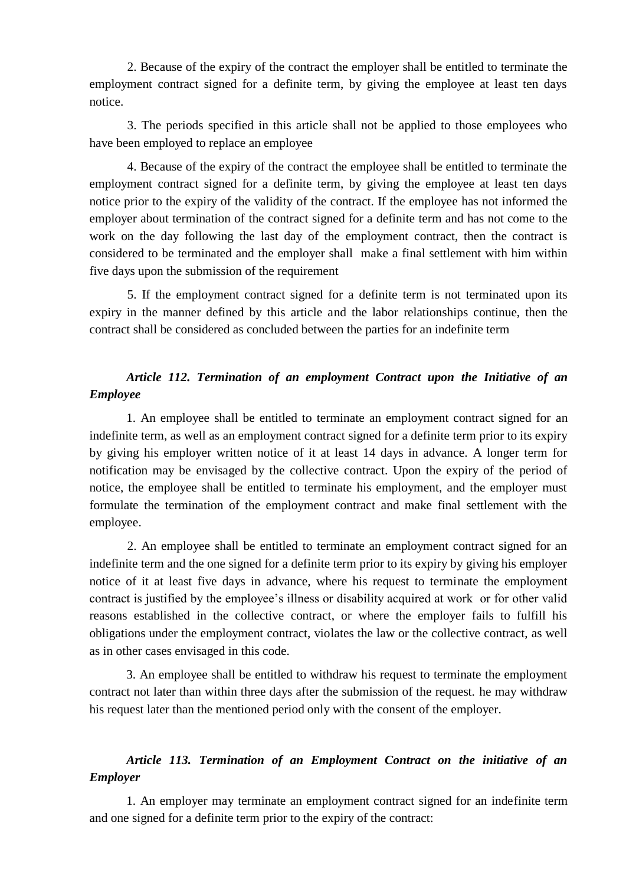2. Because of the expiry of the contract the employer shall be entitled to terminate the employment contract signed for a definite term, by giving the employee at least ten days notice.

3. The periods specified in this article shall not be applied to those employees who have been employed to replace an employee

4. Because of the expiry of the contract the employee shall be entitled to terminate the employment contract signed for a definite term, by giving the employee at least ten days notice prior to the expiry of the validity of the contract. If the employee has not informed the employer about termination of the contract signed for a definite term and has not come to the work on the day following the last day of the employment contract, then the contract is considered to be terminated and the employer shall make a final settlement with him within five days upon the submission of the requirement

5. If the employment contract signed for a definite term is not terminated upon its expiry in the manner defined by this article and the labor relationships continue, then the contract shall be considered as concluded between the parties for an indefinite term

# *Article 112. Termination of an employment Contract upon the Initiative of an Employee*

1. An employee shall be entitled to terminate an employment contract signed for an indefinite term, as well as an employment contract signed for a definite term prior to its expiry by giving his employer written notice of it at least 14 days in advance. A longer term for notification may be envisaged by the collective contract. Upon the expiry of the period of notice, the employee shall be entitled to terminate his employment, and the employer must formulate the termination of the employment contract and make final settlement with the employee.

2. An employee shall be entitled to terminate an employment contract signed for an indefinite term and the one signed for a definite term prior to its expiry by giving his employer notice of it at least five days in advance, where his request to terminate the employment contract is justified by the employee's illness or disability acquired at work or for other valid reasons established in the collective contract, or where the employer fails to fulfill his obligations under the employment contract, violates the law or the collective contract, as well as in other cases envisaged in this code.

3. An employee shall be entitled to withdraw his request to terminate the employment contract not later than within three days after the submission of the request. he may withdraw his request later than the mentioned period only with the consent of the employer.

# *Article 113. Termination of an Employment Contract on the initiative of an Employer*

1. An employer may terminate an employment contract signed for an indefinite term and one signed for a definite term prior to the expiry of the contract: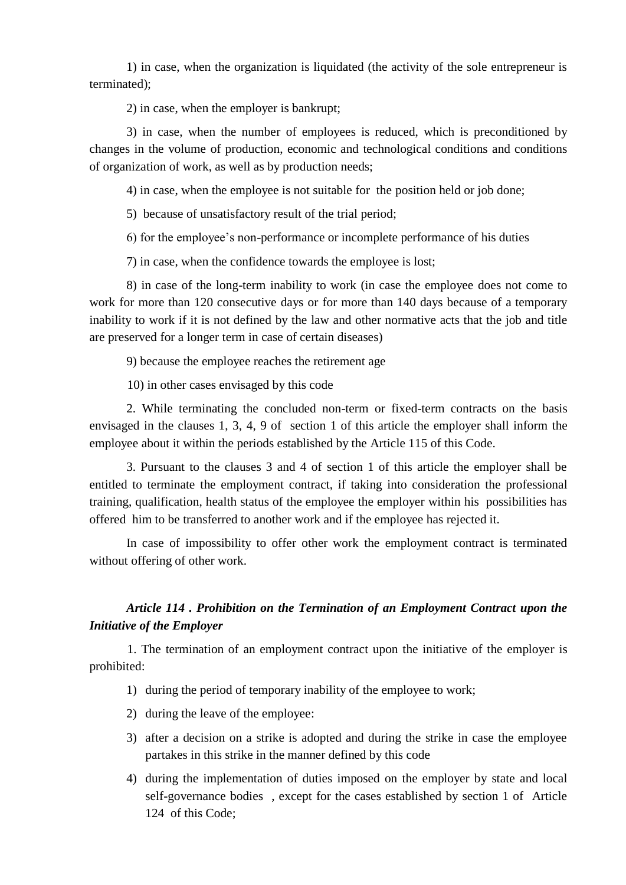1) in case, when the organization is liquidated (the activity of the sole entrepreneur is terminated);

2) in case, when the employer is bankrupt;

3) in case, when the number of employees is reduced, which is preconditioned by changes in the volume of production, economic and technological conditions and conditions of organization of work, as well as by production needs;

4) in case, when the employee is not suitable for the position held or job done;

5) because of unsatisfactory result of the trial period;

6) for the employee's non-performance or incomplete performance of his duties

7) in case, when the confidence towards the employee is lost;

8) in case of the long-term inability to work (in case the employee does not come to work for more than 120 consecutive days or for more than 140 days because of a temporary inability to work if it is not defined by the law and other normative acts that the job and title are preserved for a longer term in case of certain diseases)

9) because the employee reaches the retirement age

10) in other cases envisaged by this code

2. While terminating the concluded non-term or fixed-term contracts on the basis envisaged in the clauses 1, 3, 4, 9 of section 1 of this article the employer shall inform the employee about it within the periods established by the Article 115 of this Code.

3. Pursuant to the clauses 3 and 4 of section 1 of this article the employer shall be entitled to terminate the employment contract, if taking into consideration the professional training, qualification, health status of the employee the employer within his possibilities has offered him to be transferred to another work and if the employee has rejected it.

In case of impossibility to offer other work the employment contract is terminated without offering of other work.

# *Article 114 . Prohibition on the Termination of an Employment Contract upon the Initiative of the Employer*

1. The termination of an employment contract upon the initiative of the employer is prohibited:

1) during the period of temporary inability of the employee to work;

- 2) during the leave of the employee:
- 3) after a decision on a strike is adopted and during the strike in case the employee partakes in this strike in the manner defined by this code
- 4) during the implementation of duties imposed on the employer by state and local self-governance bodies , except for the cases established by section 1 of Article 124 of this Code;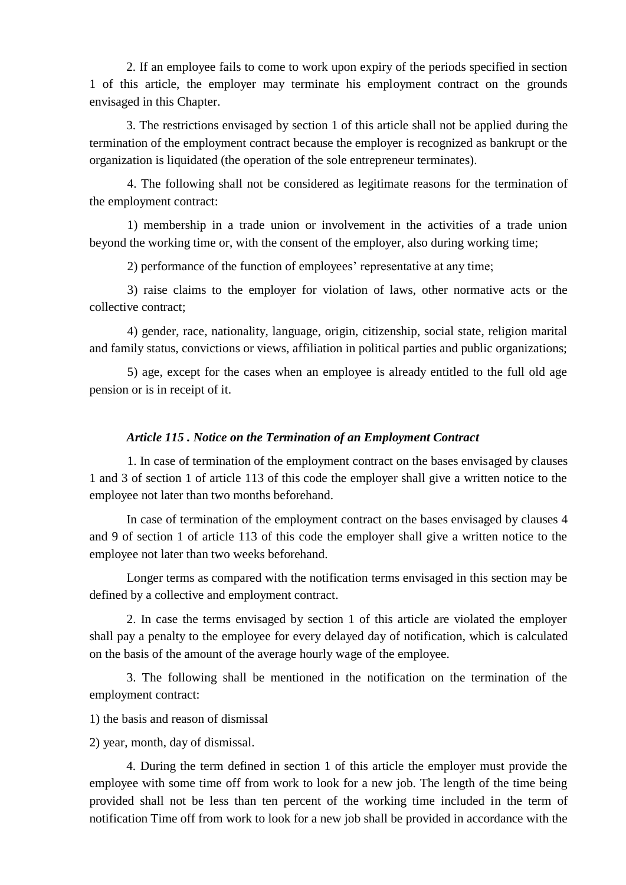2. If an employee fails to come to work upon expiry of the periods specified in section 1 of this article, the employer may terminate his employment contract on the grounds envisaged in this Chapter.

3. The restrictions envisaged by section 1 of this article shall not be applied during the termination of the employment contract because the employer is recognized as bankrupt or the organization is liquidated (the operation of the sole entrepreneur terminates).

4. The following shall not be considered as legitimate reasons for the termination of the employment contract:

1) membership in a trade union or involvement in the activities of a trade union beyond the working time or, with the consent of the employer, also during working time;

2) performance of the function of employees' representative at any time;

3) raise claims to the employer for violation of laws, other normative acts or the collective contract;

4) gender, race, nationality, language, origin, citizenship, social state, religion marital and family status, convictions or views, affiliation in political parties and public organizations;

5) age, except for the cases when an employee is already entitled to the full old age pension or is in receipt of it.

## *Article 115 . Notice on the Termination of an Employment Contract*

1. In case of termination of the employment contract on the bases envisaged by clauses 1 and 3 of section 1 of article 113 of this code the employer shall give a written notice to the employee not later than two months beforehand.

In case of termination of the employment contract on the bases envisaged by clauses 4 and 9 of section 1 of article 113 of this code the employer shall give a written notice to the employee not later than two weeks beforehand.

Longer terms as compared with the notification terms envisaged in this section may be defined by a collective and employment contract.

2. In case the terms envisaged by section 1 of this article are violated the employer shall pay a penalty to the employee for every delayed day of notification, which is calculated on the basis of the amount of the average hourly wage of the employee.

3. The following shall be mentioned in the notification on the termination of the employment contract:

1) the basis and reason of dismissal

2) year, month, day of dismissal.

4. During the term defined in section 1 of this article the employer must provide the employee with some time off from work to look for a new job. The length of the time being provided shall not be less than ten percent of the working time included in the term of notification Time off from work to look for a new job shall be provided in accordance with the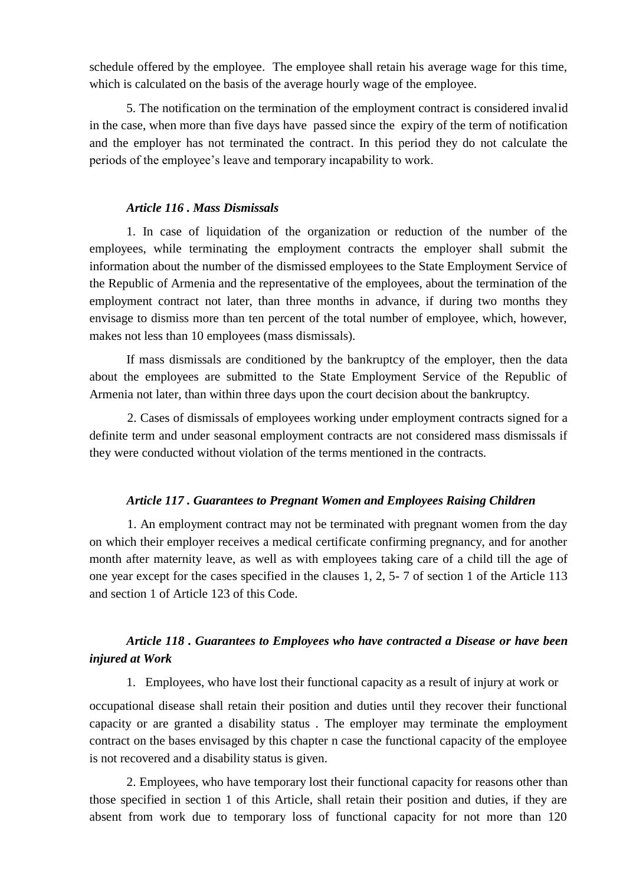schedule offered by the employee. The employee shall retain his average wage for this time, which is calculated on the basis of the average hourly wage of the employee.

5. The notification on the termination of the employment contract is considered invalid in the case, when more than five days have passed since the expiry of the term of notification and the employer has not terminated the contract. In this period they do not calculate the periods of the employee's leave and temporary incapability to work.

### *Article 116 . Mass Dismissals*

1. In case of liquidation of the organization or reduction of the number of the employees, while terminating the employment contracts the employer shall submit the information about the number of the dismissed employees to the State Employment Service of the Republic of Armenia and the representative of the employees, about the termination of the employment contract not later, than three months in advance, if during two months they envisage to dismiss more than ten percent of the total number of employee, which, however, makes not less than 10 employees (mass dismissals).

If mass dismissals are conditioned by the bankruptcy of the employer, then the data about the employees are submitted to the State Employment Service of the Republic of Armenia not later, than within three days upon the court decision about the bankruptcy.

2. Cases of dismissals of employees working under employment contracts signed for a definite term and under seasonal employment contracts are not considered mass dismissals if they were conducted without violation of the terms mentioned in the contracts.

### *Article 117 . Guarantees to Pregnant Women and Employees Raising Children*

1. An employment contract may not be terminated with pregnant women from the day on which their employer receives a medical certificate confirming pregnancy, and for another month after maternity leave, as well as with employees taking care of a child till the age of one year except for the cases specified in the clauses 1, 2, 5- 7 of section 1 of the Article 113 and section 1 of Article 123 of this Code.

# *Article 118 . Guarantees to Employees who have contracted a Disease or have been injured at Work*

1. Employees, who have lost their functional capacity as a result of injury at work or

occupational disease shall retain their position and duties until they recover their functional capacity or are granted a disability status. The employer may terminate the employment contract on the bases envisaged by this chapter n case the functional capacity of the employee is not recovered and a disability status is given.

2. Employees, who have temporary lost their functional capacity for reasons other than those specified in section 1 of this Article, shall retain their position and duties, if they are absent from work due to temporary loss of functional capacity for not more than 120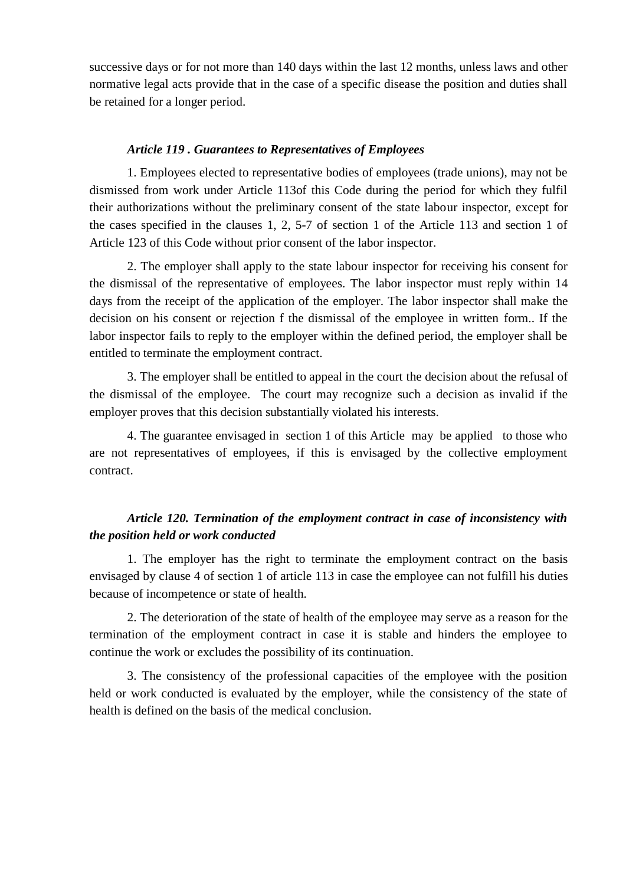successive days or for not more than 140 days within the last 12 months, unless laws and other normative legal acts provide that in the case of a specific disease the position and duties shall be retained for a longer period.

## *Article 119 . Guarantees to Representatives of Employees*

1. Employees elected to representative bodies of employees (trade unions), may not be dismissed from work under Article 113of this Code during the period for which they fulfil their authorizations without the preliminary consent of the state labour inspector, except for the cases specified in the clauses 1, 2, 5-7 of section 1 of the Article 113 and section 1 of Article 123 of this Code without prior consent of the labor inspector.

2. The employer shall apply to the state labour inspector for receiving his consent for the dismissal of the representative of employees. The labor inspector must reply within 14 days from the receipt of the application of the employer. The labor inspector shall make the decision on his consent or rejection f the dismissal of the employee in written form.. If the labor inspector fails to reply to the employer within the defined period, the employer shall be entitled to terminate the employment contract.

3. The employer shall be entitled to appeal in the court the decision about the refusal of the dismissal of the employee. The court may recognize such a decision as invalid if the employer proves that this decision substantially violated his interests.

4. The guarantee envisaged in section 1 of this Article may be applied to those who are not representatives of employees, if this is envisaged by the collective employment contract.

# *Article 120. Termination of the employment contract in case of inconsistency with the position held or work conducted*

1. The employer has the right to terminate the employment contract on the basis envisaged by clause 4 of section 1 of article 113 in case the employee can not fulfill his duties because of incompetence or state of health.

2. The deterioration of the state of health of the employee may serve as a reason for the termination of the employment contract in case it is stable and hinders the employee to continue the work or excludes the possibility of its continuation.

3. The consistency of the professional capacities of the employee with the position held or work conducted is evaluated by the employer, while the consistency of the state of health is defined on the basis of the medical conclusion.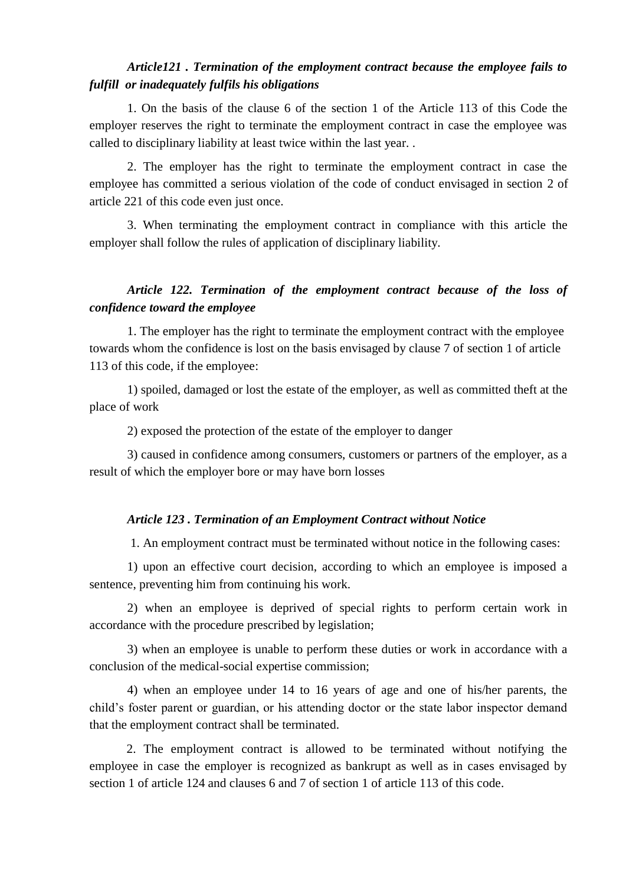# *Article121 . Termination of the employment contract because the employee fails to fulfill or inadequately fulfils his obligations*

1. On the basis of the clause 6 of the section 1 of the Article 113 of this Code the employer reserves the right to terminate the employment contract in case the employee was called to disciplinary liability at least twice within the last year. .

2. The employer has the right to terminate the employment contract in case the employee has committed a serious violation of the code of conduct envisaged in section 2 of article 221 of this code even just once.

3. When terminating the employment contract in compliance with this article the employer shall follow the rules of application of disciplinary liability.

# *Article 122. Termination of the employment contract because of the loss of confidence toward the employee*

1. The employer has the right to terminate the employment contract with the employee towards whom the confidence is lost on the basis envisaged by clause 7 of section 1 of article 113 of this code, if the employee:

1) spoiled, damaged or lost the estate of the employer, as well as committed theft at the place of work

2) exposed the protection of the estate of the employer to danger

3) caused in confidence among consumers, customers or partners of the employer, as a result of which the employer bore or may have born losses

## *Article 123 . Termination of an Employment Contract without Notice*

1. An employment contract must be terminated without notice in the following cases:

1) upon an effective court decision, according to which an employee is imposed a sentence, preventing him from continuing his work.

2) when an employee is deprived of special rights to perform certain work in accordance with the procedure prescribed by legislation;

3) when an employee is unable to perform these duties or work in accordance with a conclusion of the medical-social expertise commission;

4) when an employee under 14 to 16 years of age and one of his/her parents, the child's foster parent or guardian, or his attending doctor or the state labor inspector demand that the employment contract shall be terminated.

2. The employment contract is allowed to be terminated without notifying the employee in case the employer is recognized as bankrupt as well as in cases envisaged by section 1 of article 124 and clauses 6 and 7 of section 1 of article 113 of this code.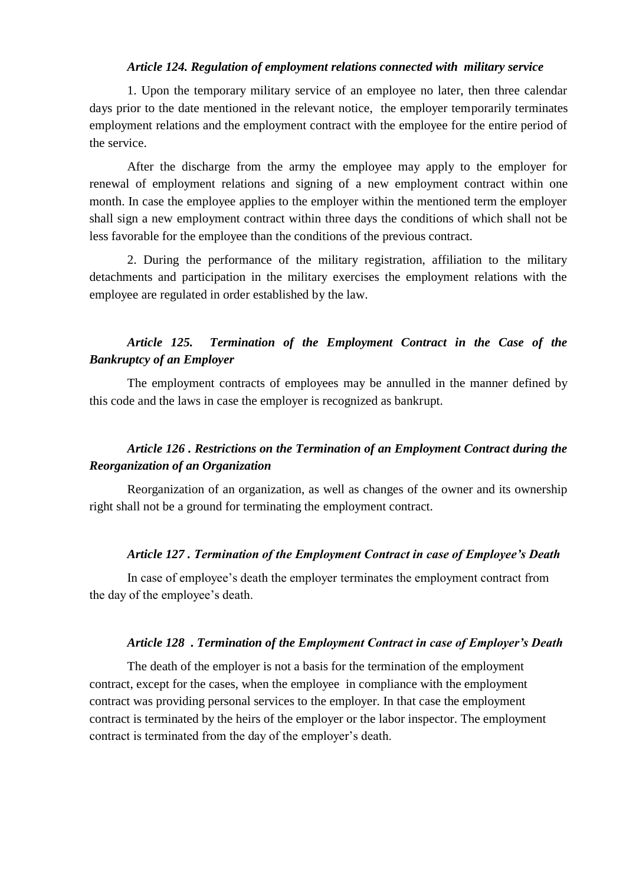## *Article 124. Regulation of employment relations connected with military service*

1. Upon the temporary military service of an employee no later, then three calendar days prior to the date mentioned in the relevant notice, the employer temporarily terminates employment relations and the employment contract with the employee for the entire period of the service.

After the discharge from the army the employee may apply to the employer for renewal of employment relations and signing of a new employment contract within one month. In case the employee applies to the employer within the mentioned term the employer shall sign a new employment contract within three days the conditions of which shall not be less favorable for the employee than the conditions of the previous contract.

2. During the performance of the military registration, affiliation to the military detachments and participation in the military exercises the employment relations with the employee are regulated in order established by the law.

## *Article 125. Termination of the Employment Contract in the Case of the Bankruptcy of an Employer*

The employment contracts of employees may be annulled in the manner defined by this code and the laws in case the employer is recognized as bankrupt.

# *Article 126 . Restrictions on the Termination of an Employment Contract during the Reorganization of an Organization*

Reorganization of an organization, as well as changes of the owner and its ownership right shall not be a ground for terminating the employment contract.

### *Article 127 . Termination of the Employment Contract in case of Employee's Death*

In case of employee's death the employer terminates the employment contract from the day of the employee's death.

#### *Article 128 . Termination of the Employment Contract in case of Employer's Death*

The death of the employer is not a basis for the termination of the employment contract, except for the cases, when the employee in compliance with the employment contract was providing personal services to the employer. In that case the employment contract is terminated by the heirs of the employer or the labor inspector. The employment contract is terminated from the day of the employer's death.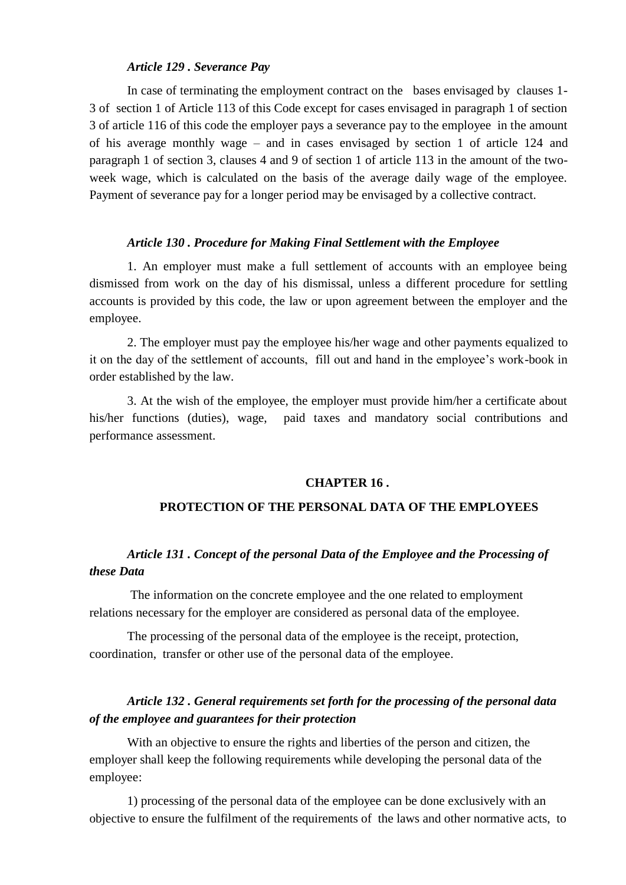### *Article 129 . Severance Pay*

In case of terminating the employment contract on the bases envisaged by clauses 1- 3 of section 1 of Article 113 of this Code except for cases envisaged in paragraph 1 of section 3 of article 116 of this code the employer pays a severance pay to the employee in the amount of his average monthly wage – and in cases envisaged by section 1 of article 124 and paragraph 1 of section 3, clauses 4 and 9 of section 1 of article 113 in the amount of the twoweek wage, which is calculated on the basis of the average daily wage of the employee. Payment of severance pay for a longer period may be envisaged by a collective contract.

#### *Article 130 . Procedure for Making Final Settlement with the Employee*

1. An employer must make a full settlement of accounts with an employee being dismissed from work on the day of his dismissal, unless a different procedure for settling accounts is provided by this code, the law or upon agreement between the employer and the employee.

2. The employer must pay the employee his/her wage and other payments equalized to it on the day of the settlement of accounts, fill out and hand in the employee's work-book in order established by the law.

3. At the wish of the employee, the employer must provide him/her a certificate about his/her functions (duties), wage, paid taxes and mandatory social contributions and performance assessment.

## **CHAPTER 16 .**

## **PROTECTION OF THE PERSONAL DATA OF THE EMPLOYEES**

## *Article 131 . Concept of the personal Data of the Employee and the Processing of these Data*

The information on the concrete employee and the one related to employment relations necessary for the employer are considered as personal data of the employee.

The processing of the personal data of the employee is the receipt, protection, coordination, transfer or other use of the personal data of the employee.

## *Article 132 . General requirements set forth for the processing of the personal data of the employee and guarantees for their protection*

With an objective to ensure the rights and liberties of the person and citizen, the employer shall keep the following requirements while developing the personal data of the employee:

1) processing of the personal data of the employee can be done exclusively with an objective to ensure the fulfilment of the requirements of the laws and other normative acts, to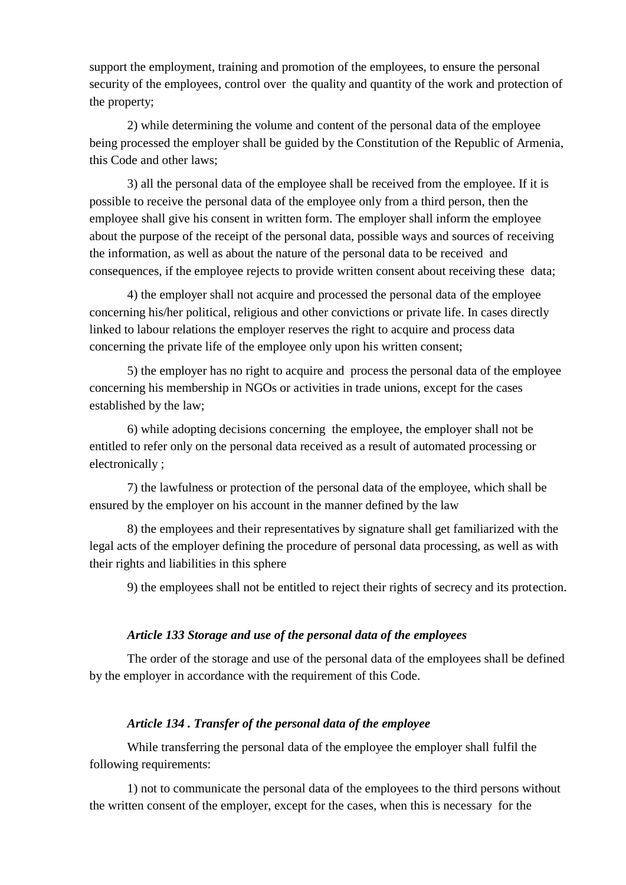support the employment, training and promotion of the employees, to ensure the personal security of the employees, control over the quality and quantity of the work and protection of the property;

2) while determining the volume and content of the personal data of the employee being processed the employer shall be guided by the Constitution of the Republic of Armenia, this Code and other laws;

3) all the personal data of the employee shall be received from the employee. If it is possible to receive the personal data of the employee only from a third person, then the employee shall give his consent in written form. The employer shall inform the employee about the purpose of the receipt of the personal data, possible ways and sources of receiving the information, as well as about the nature of the personal data to be received and consequences, if the employee rejects to provide written consent about receiving these data;

4) the employer shall not acquire and processed the personal data of the employee concerning his/her political, religious and other convictions or private life. In cases directly linked to labour relations the employer reserves the right to acquire and process data concerning the private life of the employee only upon his written consent;

5) the employer has no right to acquire and process the personal data of the employee concerning his membership in NGOs or activities in trade unions, except for the cases established by the law;

6) while adopting decisions concerning the employee, the employer shall not be entitled to refer only on the personal data received as a result of automated processing or electronically ;

7) the lawfulness or protection of the personal data of the employee, which shall be ensured by the employer on his account in the manner defined by the law

8) the employees and their representatives by signature shall get familiarized with the legal acts of the employer defining the procedure of personal data processing, as well as with their rights and liabilities in this sphere

9) the employees shall not be entitled to reject their rights of secrecy and its protection.

## *Article 133 Storage and use of the personal data of the employees*

The order of the storage and use of the personal data of the employees shall be defined by the employer in accordance with the requirement of this Code.

## *Article 134 . Transfer of the personal data of the employee*

While transferring the personal data of the employee the employer shall fulfil the following requirements:

1) not to communicate the personal data of the employees to the third persons without the written consent of the employer, except for the cases, when this is necessary for the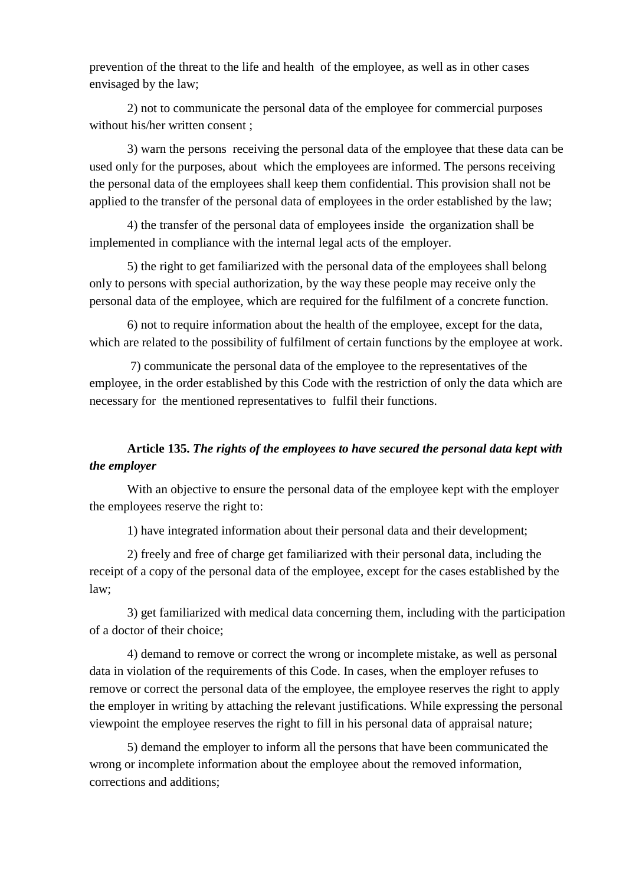prevention of the threat to the life and health of the employee, as well as in other cases envisaged by the law;

2) not to communicate the personal data of the employee for commercial purposes without his/her written consent ;

3) warn the persons receiving the personal data of the employee that these data can be used only for the purposes, about which the employees are informed. The persons receiving the personal data of the employees shall keep them confidential. This provision shall not be applied to the transfer of the personal data of employees in the order established by the law;

4) the transfer of the personal data of employees inside the organization shall be implemented in compliance with the internal legal acts of the employer.

5) the right to get familiarized with the personal data of the employees shall belong only to persons with special authorization, by the way these people may receive only the personal data of the employee, which are required for the fulfilment of a concrete function.

6) not to require information about the health of the employee, except for the data, which are related to the possibility of fulfilment of certain functions by the employee at work.

7) communicate the personal data of the employee to the representatives of the employee, in the order established by this Code with the restriction of only the data which are necessary for the mentioned representatives to fulfil their functions.

# **Article 135.** *The rights of the employees to have secured the personal data kept with the employer*

With an objective to ensure the personal data of the employee kept with the employer the employees reserve the right to:

1) have integrated information about their personal data and their development;

2) freely and free of charge get familiarized with their personal data, including the receipt of a copy of the personal data of the employee, except for the cases established by the law;

3) get familiarized with medical data concerning them, including with the participation of a doctor of their choice;

4) demand to remove or correct the wrong or incomplete mistake, as well as personal data in violation of the requirements of this Code. In cases, when the employer refuses to remove or correct the personal data of the employee, the employee reserves the right to apply the employer in writing by attaching the relevant justifications. While expressing the personal viewpoint the employee reserves the right to fill in his personal data of appraisal nature;

5) demand the employer to inform all the persons that have been communicated the wrong or incomplete information about the employee about the removed information, corrections and additions;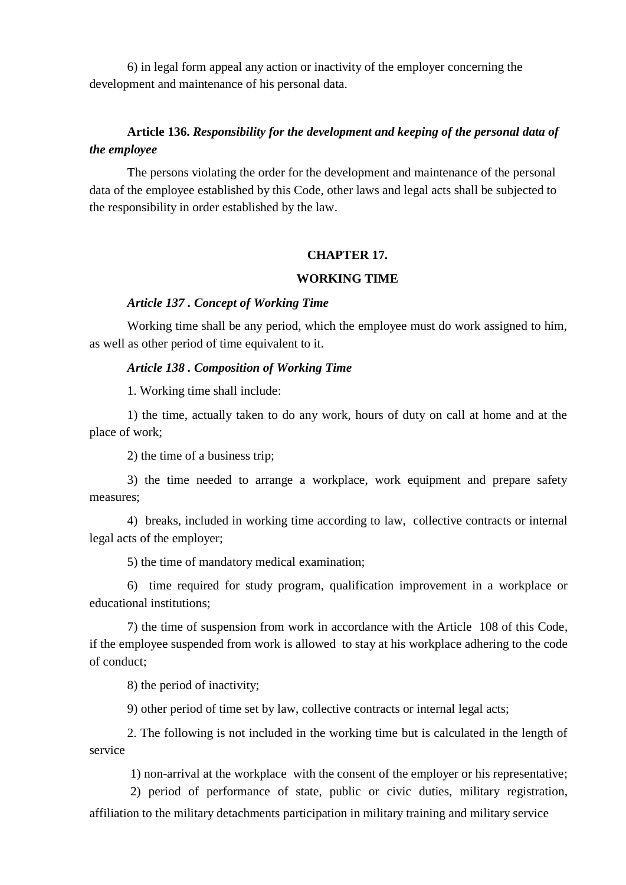6) in legal form appeal any action or inactivity of the employer concerning the development and maintenance of his personal data.

# **Article 136.** *Responsibility for the development and keeping of the personal data of the employee*

The persons violating the order for the development and maintenance of the personal data of the employee established by this Code, other laws and legal acts shall be subjected to the responsibility in order established by the law.

## **CHAPTER 17.**

### **WORKING TIME**

## *Article 137 . Concept of Working Time*

Working time shall be any period, which the employee must do work assigned to him, as well as other period of time equivalent to it.

### *Article 138 . Composition of Working Time*

1. Working time shall include:

1) the time, actually taken to do any work, hours of duty on call at home and at the place of work;

2) the time of a business trip;

3) the time needed to arrange a workplace, work equipment and prepare safety measures;

4) breaks, included in working time according to law, collective contracts or internal legal acts of the employer;

5) the time of mandatory medical examination;

6) time required for study program, qualification improvement in a workplace or educational institutions;

7) the time of suspension from work in accordance with the Article 108 of this Code, if the employee suspended from work is allowed to stay at his workplace adhering to the code of conduct;

8) the period of inactivity;

9) other period of time set by law, collective contracts or internal legal acts;

2. The following is not included in the working time but is calculated in the length of service

1) non-arrival at the workplace with the consent of the employer or his representative;

2) period of performance of state, public or civic duties, military registration,

affiliation to the military detachments participation in military training and military service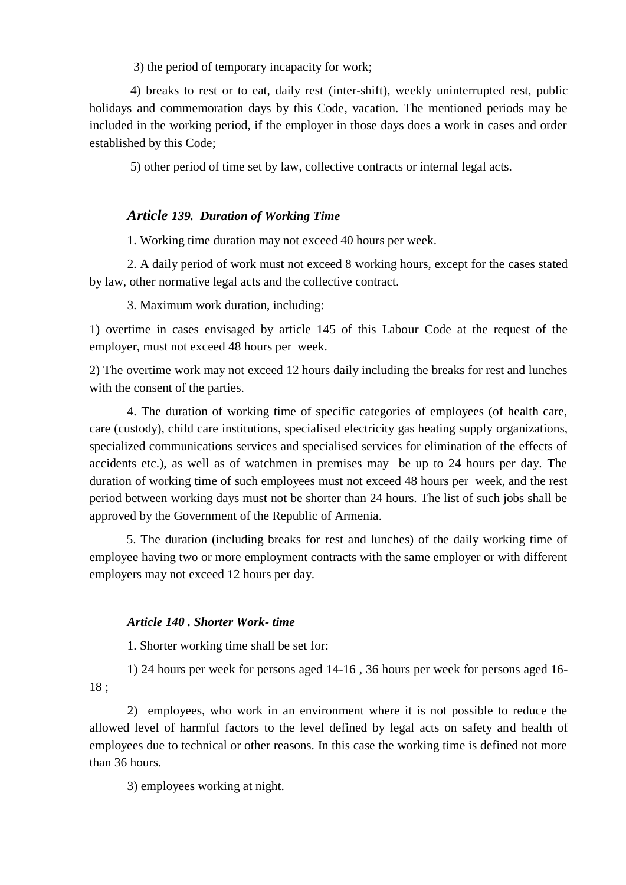3) the period of temporary incapacity for work;

4) breaks to rest or to eat, daily rest (inter-shift), weekly uninterrupted rest, public holidays and commemoration days by this Code, vacation. The mentioned periods may be included in the working period, if the employer in those days does a work in cases and order established by this Code;

5) other period of time set by law, collective contracts or internal legal acts.

## *Article 139. Duration of Working Time*

1. Working time duration may not exceed 40 hours per week.

2. A daily period of work must not exceed 8 working hours, except for the cases stated by law, other normative legal acts and the collective contract.

3. Maximum work duration, including:

1) overtime in cases envisaged by article 145 of this Labour Code at the request of the employer, must not exceed 48 hours per week.

2) The overtime work may not exceed 12 hours daily including the breaks for rest and lunches with the consent of the parties.

4. The duration of working time of specific categories of employees (of health care, care (custody), child care institutions, specialised electricity gas heating supply organizations, specialized communications services and specialised services for elimination of the effects of accidents etc.), as well as of watchmen in premises may be up to 24 hours per day. The duration of working time of such employees must not exceed 48 hours per week, and the rest period between working days must not be shorter than 24 hours. The list of such jobs shall be approved by the Government of the Republic of Armenia.

5. The duration (including breaks for rest and lunches) of the daily working time of employee having two or more employment contracts with the same employer or with different employers may not exceed 12 hours per day.

#### *Article 140 . Shorter Work- time*

1. Shorter working time shall be set for:

1) 24 hours per week for persons aged 14-16 , 36 hours per week for persons aged 16- 18 ;

2) employees, who work in an environment where it is not possible to reduce the allowed level of harmful factors to the level defined by legal acts on safety and health of employees due to technical or other reasons. In this case the working time is defined not more than 36 hours.

3) employees working at night.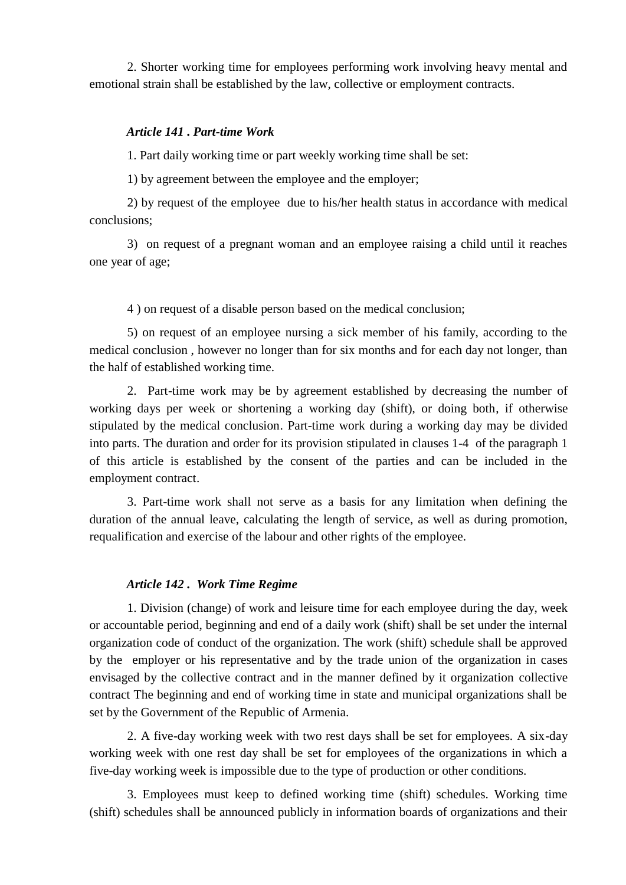2. Shorter working time for employees performing work involving heavy mental and emotional strain shall be established by the law, collective or employment contracts.

## *Article 141 . Part-time Work*

1. Part daily working time or part weekly working time shall be set:

1) by agreement between the employee and the employer;

2) by request of the employee due to his/her health status in accordance with medical conclusions;

3) on request of a pregnant woman and an employee raising a child until it reaches one year of age;

4 ) on request of a disable person based on the medical conclusion;

5) on request of an employee nursing a sick member of his family, according to the medical conclusion , however no longer than for six months and for each day not longer, than the half of established working time.

2. Part-time work may be by agreement established by decreasing the number of working days per week or shortening a working day (shift), or doing both, if otherwise stipulated by the medical conclusion. Part-time work during a working day may be divided into parts. The duration and order for its provision stipulated in clauses 1-4 of the paragraph 1 of this article is established by the consent of the parties and can be included in the employment contract.

3. Part-time work shall not serve as a basis for any limitation when defining the duration of the annual leave, calculating the length of service, as well as during promotion, requalification and exercise of the labour and other rights of the employee.

### *Article 142 . Work Time Regime*

1. Division (change) of work and leisure time for each employee during the day, week or accountable period, beginning and end of a daily work (shift) shall be set under the internal organization code of conduct of the organization. The work (shift) schedule shall be approved by the employer or his representative and by the trade union of the organization in cases envisaged by the collective contract and in the manner defined by it organization collective contract The beginning and end of working time in state and municipal organizations shall be set by the Government of the Republic of Armenia.

2. A five-day working week with two rest days shall be set for employees. A six-day working week with one rest day shall be set for employees of the organizations in which a five-day working week is impossible due to the type of production or other conditions.

3. Employees must keep to defined working time (shift) schedules. Working time (shift) schedules shall be announced publicly in information boards of organizations and their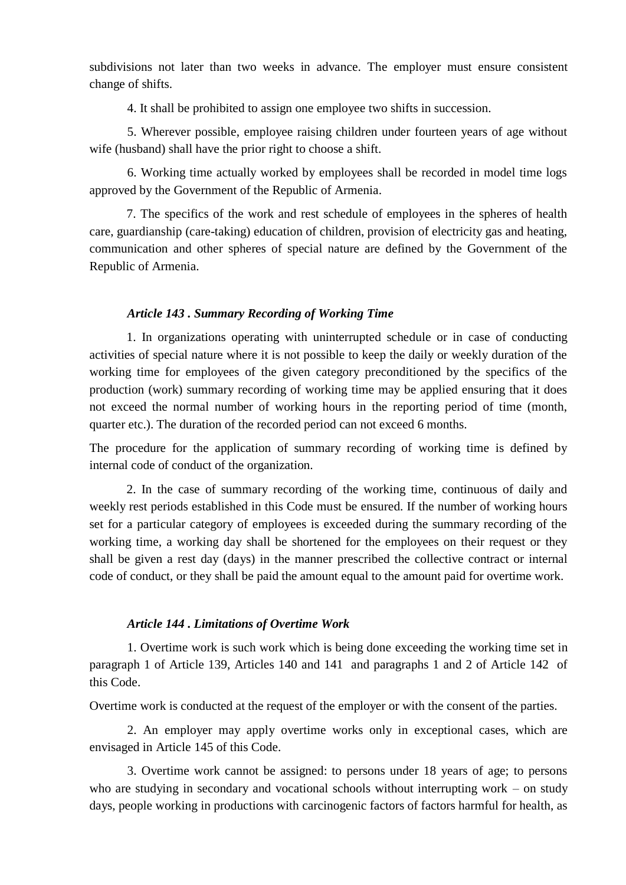subdivisions not later than two weeks in advance. The employer must ensure consistent change of shifts.

4. It shall be prohibited to assign one employee two shifts in succession.

5. Wherever possible, employee raising children under fourteen years of age without wife (husband) shall have the prior right to choose a shift.

6. Working time actually worked by employees shall be recorded in model time logs approved by the Government of the Republic of Armenia.

7. The specifics of the work and rest schedule of employees in the spheres of health care, guardianship (care-taking) education of children, provision of electricity gas and heating, communication and other spheres of special nature are defined by the Government of the Republic of Armenia.

## *Article 143 . Summary Recording of Working Time*

1. In organizations operating with uninterrupted schedule or in case of conducting activities of special nature where it is not possible to keep the daily or weekly duration of the working time for employees of the given category preconditioned by the specifics of the production (work) summary recording of working time may be applied ensuring that it does not exceed the normal number of working hours in the reporting period of time (month, quarter etc.). The duration of the recorded period can not exceed 6 months.

The procedure for the application of summary recording of working time is defined by internal code of conduct of the organization.

2. In the case of summary recording of the working time, continuous of daily and weekly rest periods established in this Code must be ensured. If the number of working hours set for a particular category of employees is exceeded during the summary recording of the working time, a working day shall be shortened for the employees on their request or they shall be given a rest day (days) in the manner prescribed the collective contract or internal code of conduct, or they shall be paid the amount equal to the amount paid for overtime work.

## *Article 144 . Limitations of Overtime Work*

1. Overtime work is such work which is being done exceeding the working time set in paragraph 1 of Article 139, Articles 140 and 141 and paragraphs 1 and 2 of Article 142 of this Code.

Overtime work is conducted at the request of the employer or with the consent of the parties.

2. An employer may apply overtime works only in exceptional cases, which are envisaged in Article 145 of this Code.

3. Overtime work cannot be assigned: to persons under 18 years of age; to persons who are studying in secondary and vocational schools without interrupting work – on study days, people working in productions with carcinogenic factors of factors harmful for health, as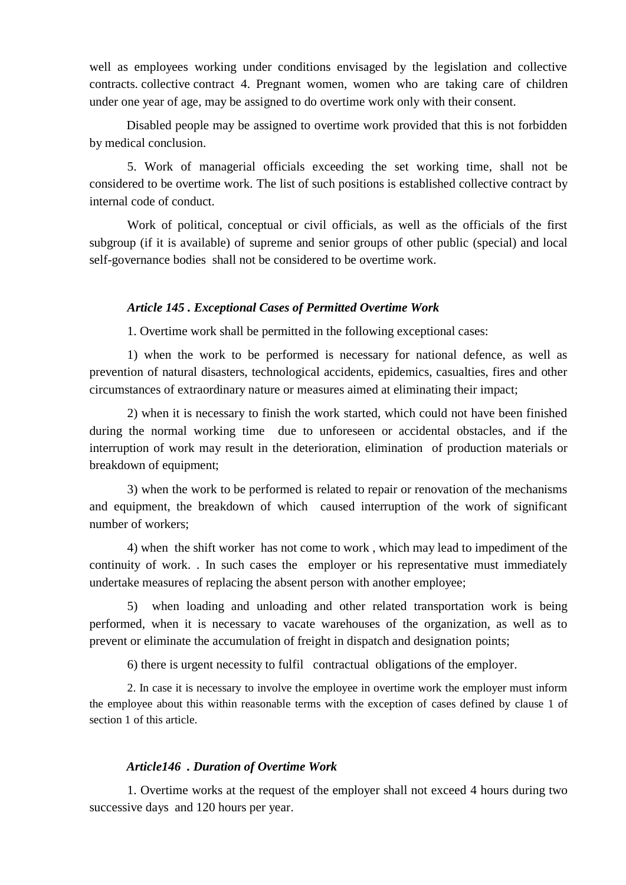well as employees working under conditions envisaged by the legislation and collective contracts. collective contract 4. Pregnant women, women who are taking care of children under one year of age, may be assigned to do overtime work only with their consent.

Disabled people may be assigned to overtime work provided that this is not forbidden by medical conclusion.

5. Work of managerial officials exceeding the set working time, shall not be considered to be overtime work. The list of such positions is established collective contract by internal code of conduct.

Work of political, conceptual or civil officials, as well as the officials of the first subgroup (if it is available) of supreme and senior groups of other public (special) and local self-governance bodies shall not be considered to be overtime work.

## *Article 145 . Exceptional Cases of Permitted Overtime Work*

1. Overtime work shall be permitted in the following exceptional cases:

1) when the work to be performed is necessary for national defence, as well as prevention of natural disasters, technological accidents, epidemics, casualties, fires and other circumstances of extraordinary nature or measures aimed at eliminating their impact;

2) when it is necessary to finish the work started, which could not have been finished during the normal working time due to unforeseen or accidental obstacles, and if the interruption of work may result in the deterioration, elimination of production materials or breakdown of equipment;

3) when the work to be performed is related to repair or renovation of the mechanisms and equipment, the breakdown of which caused interruption of the work of significant number of workers;

4) when the shift worker has not come to work , which may lead to impediment of the continuity of work. . In such cases the employer or his representative must immediately undertake measures of replacing the absent person with another employee;

5) when loading and unloading and other related transportation work is being performed, when it is necessary to vacate warehouses of the organization, as well as to prevent or eliminate the accumulation of freight in dispatch and designation points;

6) there is urgent necessity to fulfil contractual obligations of the employer.

2. In case it is necessary to involve the employee in overtime work the employer must inform the employee about this within reasonable terms with the exception of cases defined by clause 1 of section 1 of this article.

## *Article146 . Duration of Overtime Work*

1. Overtime works at the request of the employer shall not exceed 4 hours during two successive days and 120 hours per year.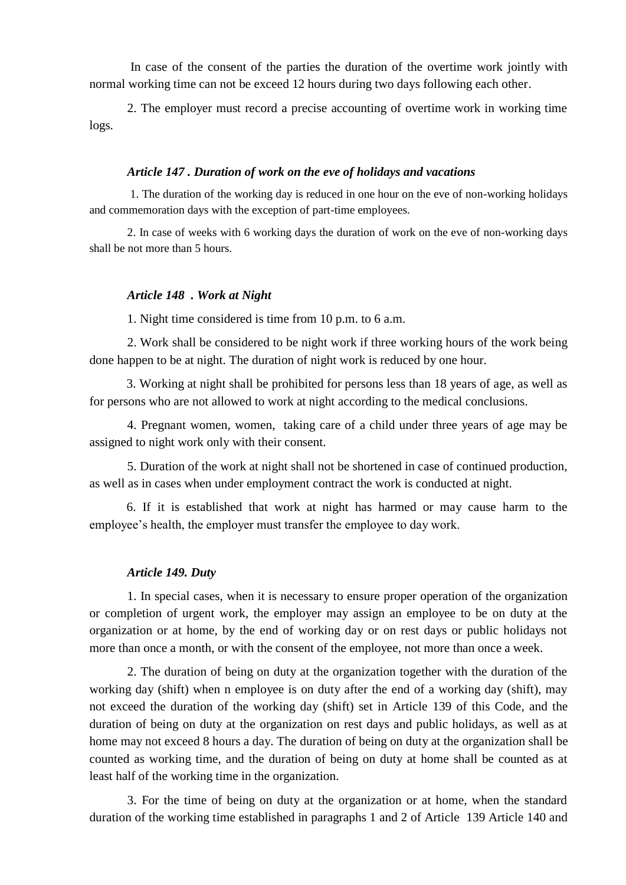In case of the consent of the parties the duration of the overtime work jointly with normal working time can not be exceed 12 hours during two days following each other.

2. The employer must record a precise accounting of overtime work in working time logs.

### *Article 147 . Duration of work on the eve of holidays and vacations*

1. The duration of the working day is reduced in one hour on the eve of non-working holidays and commemoration days with the exception of part-time employees.

2. In case of weeks with 6 working days the duration of work on the eve of non-working days shall be not more than 5 hours.

## *Article 148 . Work at Night*

1. Night time considered is time from 10 p.m. to 6 a.m.

2. Work shall be considered to be night work if three working hours of the work being done happen to be at night. The duration of night work is reduced by one hour.

3. Working at night shall be prohibited for persons less than 18 years of age, as well as for persons who are not allowed to work at night according to the medical conclusions.

4. Pregnant women, women, taking care of a child under three years of age may be assigned to night work only with their consent.

5. Duration of the work at night shall not be shortened in case of continued production, as well as in cases when under employment contract the work is conducted at night.

6. If it is established that work at night has harmed or may cause harm to the employee's health, the employer must transfer the employee to day work.

### *Article 149. Duty*

1. In special cases, when it is necessary to ensure proper operation of the organization or completion of urgent work, the employer may assign an employee to be on duty at the organization or at home, by the end of working day or on rest days or public holidays not more than once a month, or with the consent of the employee, not more than once a week.

2. The duration of being on duty at the organization together with the duration of the working day (shift) when n employee is on duty after the end of a working day (shift), may not exceed the duration of the working day (shift) set in Article 139 of this Code, and the duration of being on duty at the organization on rest days and public holidays, as well as at home may not exceed 8 hours a day. The duration of being on duty at the organization shall be counted as working time, and the duration of being on duty at home shall be counted as at least half of the working time in the organization.

3. For the time of being on duty at the organization or at home, when the standard duration of the working time established in paragraphs 1 and 2 of Article 139 Article 140 and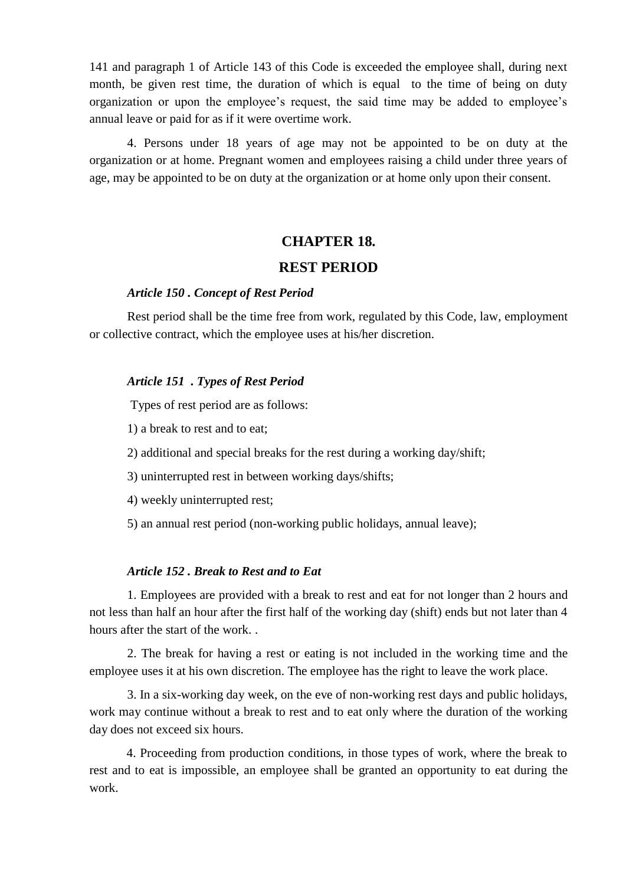141 and paragraph 1 of Article 143 of this Code is exceeded the employee shall, during next month, be given rest time, the duration of which is equal to the time of being on duty organization or upon the employee's request, the said time may be added to employee's annual leave or paid for as if it were overtime work.

4. Persons under 18 years of age may not be appointed to be on duty at the organization or at home. Pregnant women and employees raising a child under three years of age, may be appointed to be on duty at the organization or at home only upon their consent.

## **CHAPTER 18.**

## **REST PERIOD**

## *Article 150 . Concept of Rest Period*

Rest period shall be the time free from work, regulated by this Code, law, employment or collective contract, which the employee uses at his/her discretion.

## *Article 151 . Types of Rest Period*

Types of rest period are as follows:

1) a break to rest and to eat;

2) additional and special breaks for the rest during a working day/shift;

3) uninterrupted rest in between working days/shifts;

4) weekly uninterrupted rest;

5) an annual rest period (non-working public holidays, annual leave);

## *Article 152 . Break to Rest and to Eat*

1. Employees are provided with a break to rest and eat for not longer than 2 hours and not less than half an hour after the first half of the working day (shift) ends but not later than 4 hours after the start of the work. .

2. The break for having a rest or eating is not included in the working time and the employee uses it at his own discretion. The employee has the right to leave the work place.

3. In a six-working day week, on the eve of non-working rest days and public holidays, work may continue without a break to rest and to eat only where the duration of the working day does not exceed six hours.

4. Proceeding from production conditions, in those types of work, where the break to rest and to eat is impossible, an employee shall be granted an opportunity to eat during the work.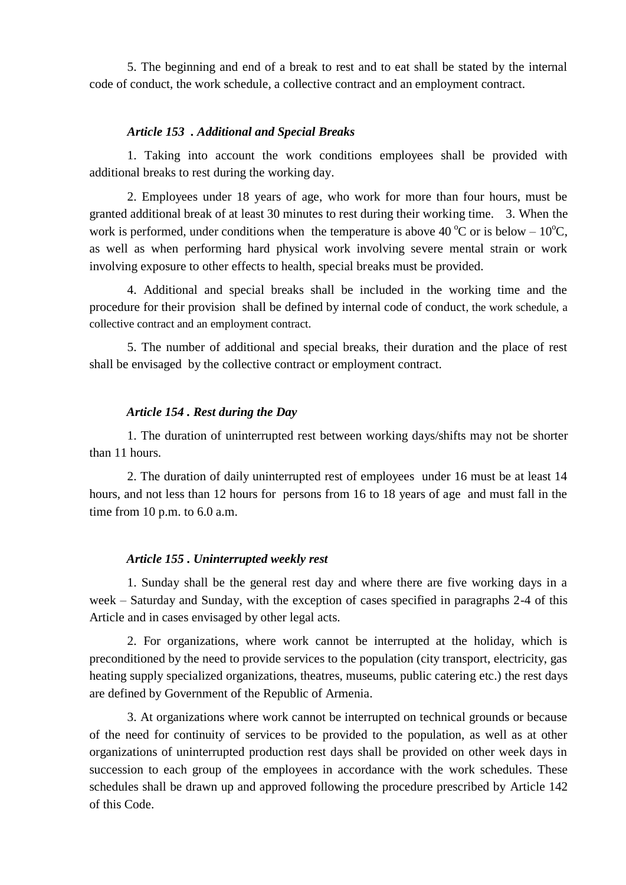5. The beginning and end of a break to rest and to eat shall be stated by the internal code of conduct, the work schedule, a collective contract and an employment contract.

### *Article 153 . Additional and Special Breaks*

1. Taking into account the work conditions employees shall be provided with additional breaks to rest during the working day.

2. Employees under 18 years of age, who work for more than four hours, must be granted additional break of at least 30 minutes to rest during their working time. 3. When the work is performed, under conditions when the temperature is above 40 °C or is below –  $10^{\circ}$ C, as well as when performing hard physical work involving severe mental strain or work involving exposure to other effects to health, special breaks must be provided.

4. Additional and special breaks shall be included in the working time and the procedure for their provision shall be defined by internal code of conduct, the work schedule, a collective contract and an employment contract.

5. The number of additional and special breaks, their duration and the place of rest shall be envisaged by the collective contract or employment contract.

## *Article 154 . Rest during the Day*

1. The duration of uninterrupted rest between working days/shifts may not be shorter than 11 hours.

2. The duration of daily uninterrupted rest of employees under 16 must be at least 14 hours, and not less than 12 hours for persons from 16 to 18 years of age and must fall in the time from 10 p.m. to 6.0 a.m.

## *Article 155 . Uninterrupted weekly rest*

1. Sunday shall be the general rest day and where there are five working days in a week – Saturday and Sunday, with the exception of cases specified in paragraphs 2-4 of this Article and in cases envisaged by other legal acts.

2. For organizations, where work cannot be interrupted at the holiday, which is preconditioned by the need to provide services to the population (city transport, electricity, gas heating supply specialized organizations, theatres, museums, public catering etc.) the rest days are defined by Government of the Republic of Armenia.

3. At organizations where work cannot be interrupted on technical grounds or because of the need for continuity of services to be provided to the population, as well as at other organizations of uninterrupted production rest days shall be provided on other week days in succession to each group of the employees in accordance with the work schedules. These schedules shall be drawn up and approved following the procedure prescribed by Article 142 of this Code.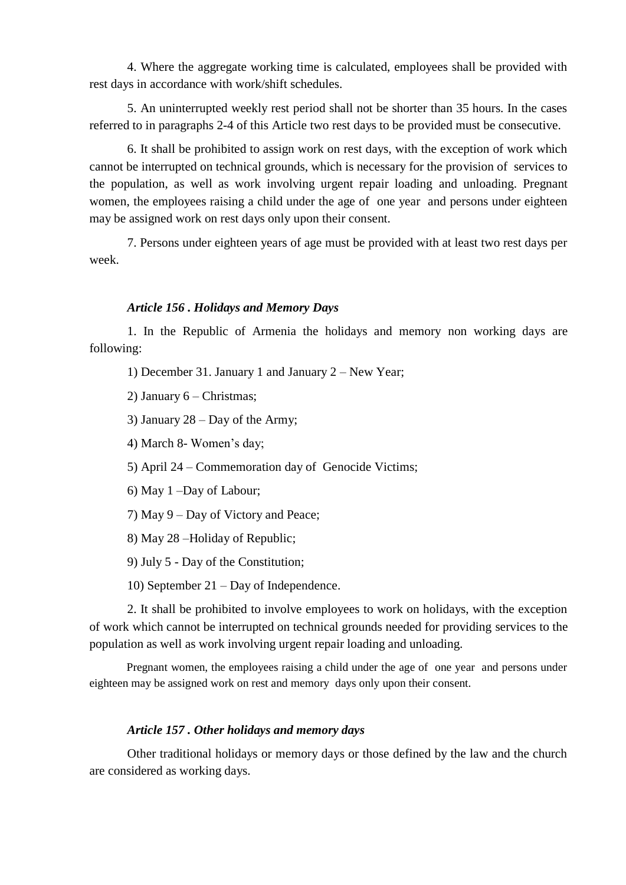4. Where the aggregate working time is calculated, employees shall be provided with rest days in accordance with work/shift schedules.

5. An uninterrupted weekly rest period shall not be shorter than 35 hours. In the cases referred to in paragraphs 2-4 of this Article two rest days to be provided must be consecutive.

6. It shall be prohibited to assign work on rest days, with the exception of work which cannot be interrupted on technical grounds, which is necessary for the provision of services to the population, as well as work involving urgent repair loading and unloading. Pregnant women, the employees raising a child under the age of one year and persons under eighteen may be assigned work on rest days only upon their consent.

7. Persons under eighteen years of age must be provided with at least two rest days per week.

## *Article 156 . Holidays and Memory Days*

1. In the Republic of Armenia the holidays and memory non working days are following:

1) December 31. January 1 and January 2 – New Year;

2) January 6 – Christmas;

3) January 28 – Day of the Army;

4) March 8- Women's day;

- 5) April 24 Commemoration day of Genocide Victims;
- 6) May 1 –Day of Labour;
- 7) May 9 Day of Victory and Peace;
- 8) May 28 –Holiday of Republic;
- 9) July 5 Day of the Constitution;
- 10) September 21 Day of Independence.

2. It shall be prohibited to involve employees to work on holidays, with the exception of work which cannot be interrupted on technical grounds needed for providing services to the population as well as work involving urgent repair loading and unloading.

Pregnant women, the employees raising a child under the age of one year and persons under eighteen may be assigned work on rest and memory days only upon their consent.

## *Article 157 . Other holidays and memory days*

Other traditional holidays or memory days or those defined by the law and the church are considered as working days.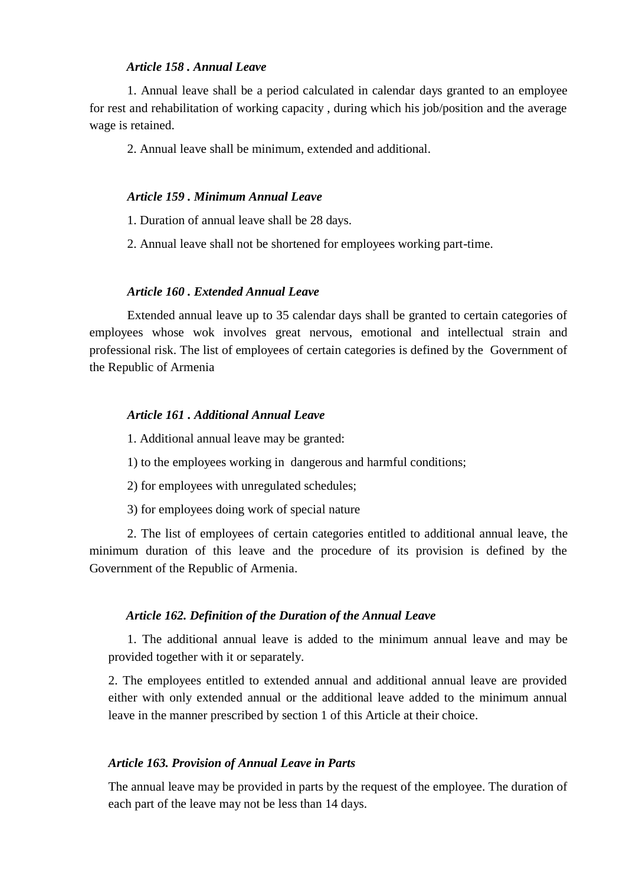## *Article 158 . Annual Leave*

1. Annual leave shall be a period calculated in calendar days granted to an employee for rest and rehabilitation of working capacity , during which his job/position and the average wage is retained.

2. Annual leave shall be minimum, extended and additional.

#### *Article 159 . Minimum Annual Leave*

1. Duration of annual leave shall be 28 days.

2. Annual leave shall not be shortened for employees working part-time.

#### *Article 160 . Extended Annual Leave*

Extended annual leave up to 35 calendar days shall be granted to certain categories of employees whose wok involves great nervous, emotional and intellectual strain and professional risk. The list of employees of certain categories is defined by the Government of the Republic of Armenia

#### *Article 161 . Additional Annual Leave*

1. Additional annual leave may be granted:

1) to the employees working in dangerous and harmful conditions;

2) for employees with unregulated schedules;

3) for employees doing work of special nature

2. The list of employees of certain categories entitled to additional annual leave, the minimum duration of this leave and the procedure of its provision is defined by the Government of the Republic of Armenia.

#### *Article 162. Definition of the Duration of the Annual Leave*

1. The additional annual leave is added to the minimum annual leave and may be provided together with it or separately.

2. The employees entitled to extended annual and additional annual leave are provided either with only extended annual or the additional leave added to the minimum annual leave in the manner prescribed by section 1 of this Article at their choice.

#### *Article 163. Provision of Annual Leave in Parts*

The annual leave may be provided in parts by the request of the employee. The duration of each part of the leave may not be less than 14 days.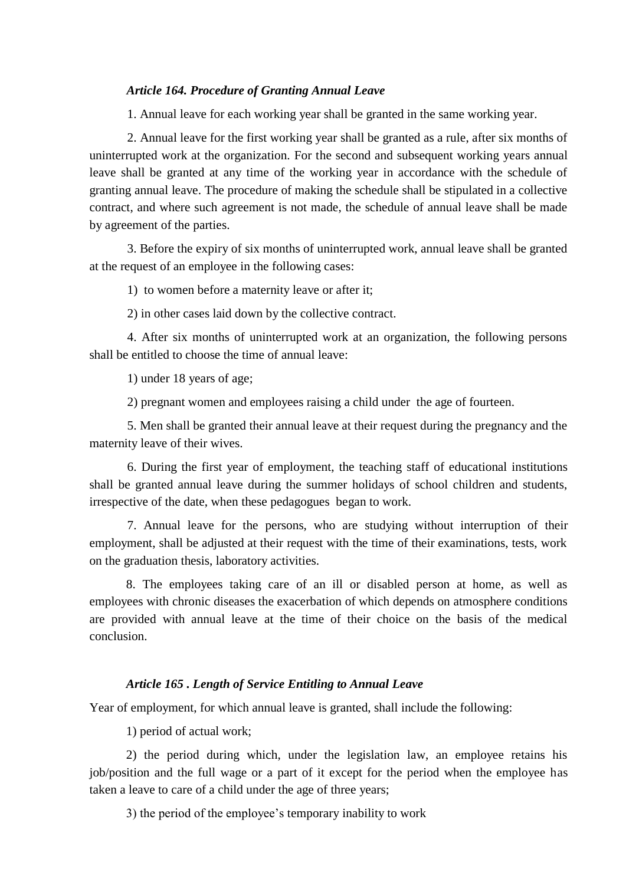## *Article 164. Procedure of Granting Annual Leave*

1. Annual leave for each working year shall be granted in the same working year.

2. Annual leave for the first working year shall be granted as a rule, after six months of uninterrupted work at the organization. For the second and subsequent working years annual leave shall be granted at any time of the working year in accordance with the schedule of granting annual leave. The procedure of making the schedule shall be stipulated in a collective contract, and where such agreement is not made, the schedule of annual leave shall be made by agreement of the parties.

3. Before the expiry of six months of uninterrupted work, annual leave shall be granted at the request of an employee in the following cases:

1) to women before a maternity leave or after it;

2) in other cases laid down by the collective contract.

4. After six months of uninterrupted work at an organization, the following persons shall be entitled to choose the time of annual leave:

1) under 18 years of age;

2) pregnant women and employees raising a child under the age of fourteen.

5. Men shall be granted their annual leave at their request during the pregnancy and the maternity leave of their wives.

6. During the first year of employment, the teaching staff of educational institutions shall be granted annual leave during the summer holidays of school children and students, irrespective of the date, when these pedagogues began to work.

7. Annual leave for the persons, who are studying without interruption of their employment, shall be adjusted at their request with the time of their examinations, tests, work on the graduation thesis, laboratory activities.

8. The employees taking care of an ill or disabled person at home, as well as employees with chronic diseases the exacerbation of which depends on atmosphere conditions are provided with annual leave at the time of their choice on the basis of the medical conclusion.

## *Article 165 . Length of Service Entitling to Annual Leave*

Year of employment, for which annual leave is granted, shall include the following:

1) period of actual work;

2) the period during which, under the legislation law, an employee retains his job/position and the full wage or a part of it except for the period when the employee has taken a leave to care of a child under the age of three years;

3) the period of the employee's temporary inability to work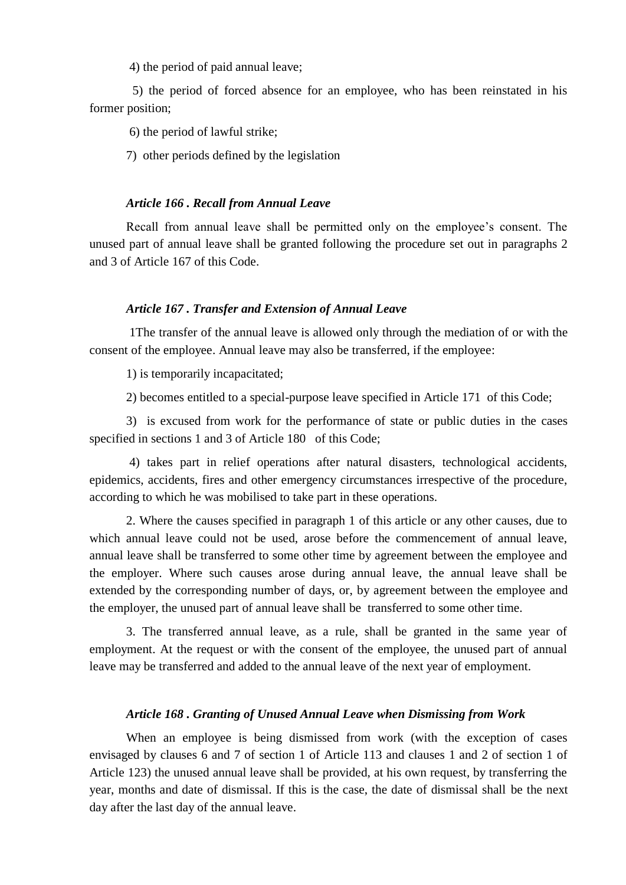4) the period of paid annual leave;

 5) the period of forced absence for an employee, who has been reinstated in his former position;

6) the period of lawful strike;

7) other periods defined by the legislation

### *Article 166 . Recall from Annual Leave*

Recall from annual leave shall be permitted only on the employee's consent. The unused part of annual leave shall be granted following the procedure set out in paragraphs 2 and 3 of Article 167 of this Code.

## *Article 167 . Transfer and Extension of Annual Leave*

1The transfer of the annual leave is allowed only through the mediation of or with the consent of the employee. Annual leave may also be transferred, if the employee:

1) is temporarily incapacitated;

2) becomes entitled to a special-purpose leave specified in Article 171 of this Code;

3) is excused from work for the performance of state or public duties in the cases specified in sections 1 and 3 of Article 180 of this Code;

4) takes part in relief operations after natural disasters, technological accidents, epidemics, accidents, fires and other emergency circumstances irrespective of the procedure, according to which he was mobilised to take part in these operations.

2. Where the causes specified in paragraph 1 of this article or any other causes, due to which annual leave could not be used, arose before the commencement of annual leave, annual leave shall be transferred to some other time by agreement between the employee and the employer. Where such causes arose during annual leave, the annual leave shall be extended by the corresponding number of days, or, by agreement between the employee and the employer, the unused part of annual leave shall be transferred to some other time.

3. The transferred annual leave, as a rule, shall be granted in the same year of employment. At the request or with the consent of the employee, the unused part of annual leave may be transferred and added to the annual leave of the next year of employment.

### *Article 168 . Granting of Unused Annual Leave when Dismissing from Work*

When an employee is being dismissed from work (with the exception of cases envisaged by clauses 6 and 7 of section 1 of Article 113 and clauses 1 and 2 of section 1 of Article 123) the unused annual leave shall be provided, at his own request, by transferring the year, months and date of dismissal. If this is the case, the date of dismissal shall be the next day after the last day of the annual leave.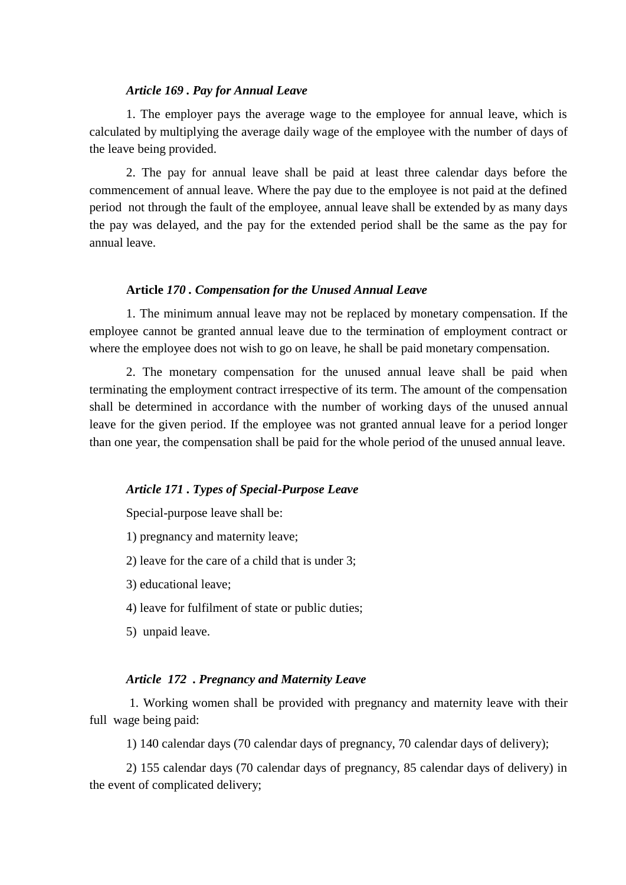### *Article 169 . Pay for Annual Leave*

1. The employer pays the average wage to the employee for annual leave, which is calculated by multiplying the average daily wage of the employee with the number of days of the leave being provided.

2. The pay for annual leave shall be paid at least three calendar days before the commencement of annual leave. Where the pay due to the employee is not paid at the defined period not through the fault of the employee, annual leave shall be extended by as many days the pay was delayed, and the pay for the extended period shall be the same as the pay for annual leave.

#### **Article** *170 . Compensation for the Unused Annual Leave*

1. The minimum annual leave may not be replaced by monetary compensation. If the employee cannot be granted annual leave due to the termination of employment contract or where the employee does not wish to go on leave, he shall be paid monetary compensation.

2. The monetary compensation for the unused annual leave shall be paid when terminating the employment contract irrespective of its term. The amount of the compensation shall be determined in accordance with the number of working days of the unused annual leave for the given period. If the employee was not granted annual leave for a period longer than one year, the compensation shall be paid for the whole period of the unused annual leave.

#### *Article 171 . Types of Special-Purpose Leave*

Special-purpose leave shall be:

1) pregnancy and maternity leave;

2) leave for the care of a child that is under 3;

3) educational leave;

4) leave for fulfilment of state or public duties;

5) unpaid leave.

### *Article 172 . Pregnancy and Maternity Leave*

1. Working women shall be provided with pregnancy and maternity leave with their full wage being paid:

1) 140 calendar days (70 calendar days of pregnancy, 70 calendar days of delivery);

2) 155 calendar days (70 calendar days of pregnancy, 85 calendar days of delivery) in the event of complicated delivery;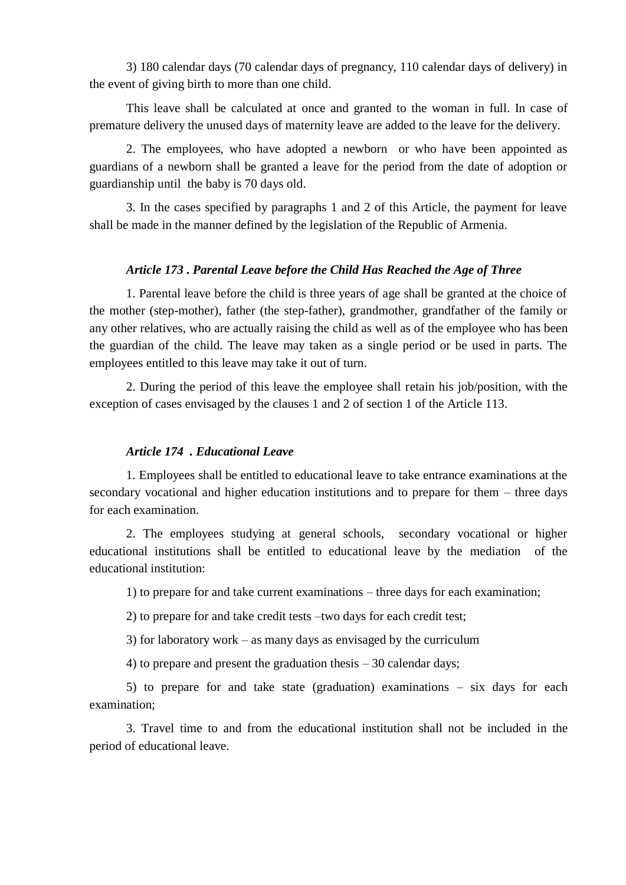3) 180 calendar days (70 calendar days of pregnancy, 110 calendar days of delivery) in the event of giving birth to more than one child.

This leave shall be calculated at once and granted to the woman in full. In case of premature delivery the unused days of maternity leave are added to the leave for the delivery.

2. The employees, who have adopted a newborn or who have been appointed as guardians of a newborn shall be granted a leave for the period from the date of adoption or guardianship until the baby is 70 days old.

3. In the cases specified by paragraphs 1 and 2 of this Article, the payment for leave shall be made in the manner defined by the legislation of the Republic of Armenia.

## *Article 173 . Parental Leave before the Child Has Reached the Age of Three*

1. Parental leave before the child is three years of age shall be granted at the choice of the mother (step-mother), father (the step-father), grandmother, grandfather of the family or any other relatives, who are actually raising the child as well as of the employee who has been the guardian of the child. The leave may taken as a single period or be used in parts. The employees entitled to this leave may take it out of turn.

2. During the period of this leave the employee shall retain his job/position, with the exception of cases envisaged by the clauses 1 and 2 of section 1 of the Article 113.

### *Article 174 . Educational Leave*

1. Employees shall be entitled to educational leave to take entrance examinations at the secondary vocational and higher education institutions and to prepare for them – three days for each examination.

2. The employees studying at general schools, secondary vocational or higher educational institutions shall be entitled to educational leave by the mediation of the educational institution:

1) to prepare for and take current examinations – three days for each examination;

2) to prepare for and take credit tests –two days for each credit test;

3) for laboratory work – as many days as envisaged by the curriculum

4) to prepare and present the graduation thesis – 30 calendar days;

5) to prepare for and take state (graduation) examinations – six days for each examination;

3. Travel time to and from the educational institution shall not be included in the period of educational leave.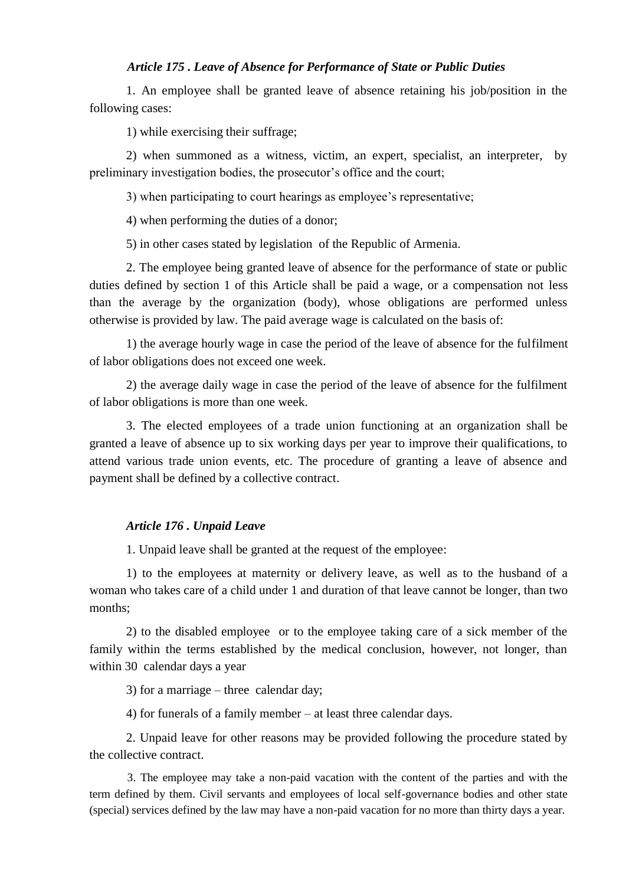## *Article 175 . Leave of Absence for Performance of State or Public Duties*

1. An employee shall be granted leave of absence retaining his job/position in the following cases:

1) while exercising their suffrage;

2) when summoned as a witness, victim, an expert, specialist, an interpreter, by preliminary investigation bodies, the prosecutor's office and the court;

3) when participating to court hearings as employee's representative;

4) when performing the duties of a donor;

5) in other cases stated by legislation of the Republic of Armenia.

2. The employee being granted leave of absence for the performance of state or public duties defined by section 1 of this Article shall be paid a wage, or a compensation not less than the average by the organization (body), whose obligations are performed unless otherwise is provided by law. The paid average wage is calculated on the basis of:

1) the average hourly wage in case the period of the leave of absence for the fulfilment of labor obligations does not exceed one week.

2) the average daily wage in case the period of the leave of absence for the fulfilment of labor obligations is more than one week.

3. The elected employees of a trade union functioning at an organization shall be granted a leave of absence up to six working days per year to improve their qualifications, to attend various trade union events, etc. The procedure of granting a leave of absence and payment shall be defined by a collective contract.

### *Article 176 . Unpaid Leave*

1. Unpaid leave shall be granted at the request of the employee:

1) to the employees at maternity or delivery leave, as well as to the husband of a woman who takes care of a child under 1 and duration of that leave cannot be longer, than two months;

2) to the disabled employee or to the employee taking care of a sick member of the family within the terms established by the medical conclusion, however, not longer, than within 30 calendar days a year

3) for a marriage – three calendar day;

4) for funerals of a family member – at least three calendar days.

2. Unpaid leave for other reasons may be provided following the procedure stated by the collective contract.

3. The employee may take a non-paid vacation with the content of the parties and with the term defined by them. Civil servants and employees of local self-governance bodies and other state (special) services defined by the law may have a non-paid vacation for no more than thirty days a year.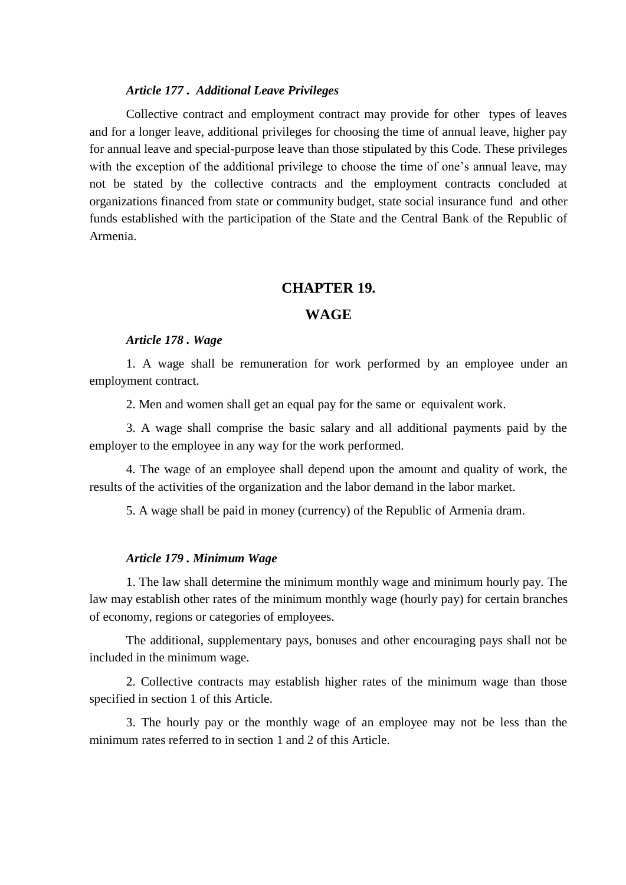#### *Article 177 . Additional Leave Privileges*

Collective contract and employment contract may provide for other types of leaves and for a longer leave, additional privileges for choosing the time of annual leave, higher pay for annual leave and special-purpose leave than those stipulated by this Code. These privileges with the exception of the additional privilege to choose the time of one's annual leave, may not be stated by the collective contracts and the employment contracts concluded at organizations financed from state or community budget, state social insurance fund and other funds established with the participation of the State and the Central Bank of the Republic of Armenia.

## **CHAPTER 19.**

## **WAGE**

#### *Article 178 . Wage*

1. A wage shall be remuneration for work performed by an employee under an employment contract.

2. Men and women shall get an equal pay for the same or equivalent work.

3. A wage shall comprise the basic salary and all additional payments paid by the employer to the employee in any way for the work performed.

4. The wage of an employee shall depend upon the amount and quality of work, the results of the activities of the organization and the labor demand in the labor market.

5. A wage shall be paid in money (currency) of the Republic of Armenia dram.

### *Article 179 . Minimum Wage*

1. The law shall determine the minimum monthly wage and minimum hourly pay. The law may establish other rates of the minimum monthly wage (hourly pay) for certain branches of economy, regions or categories of employees.

The additional, supplementary pays, bonuses and other encouraging pays shall not be included in the minimum wage.

2. Collective contracts may establish higher rates of the minimum wage than those specified in section 1 of this Article.

3. The hourly pay or the monthly wage of an employee may not be less than the minimum rates referred to in section 1 and 2 of this Article.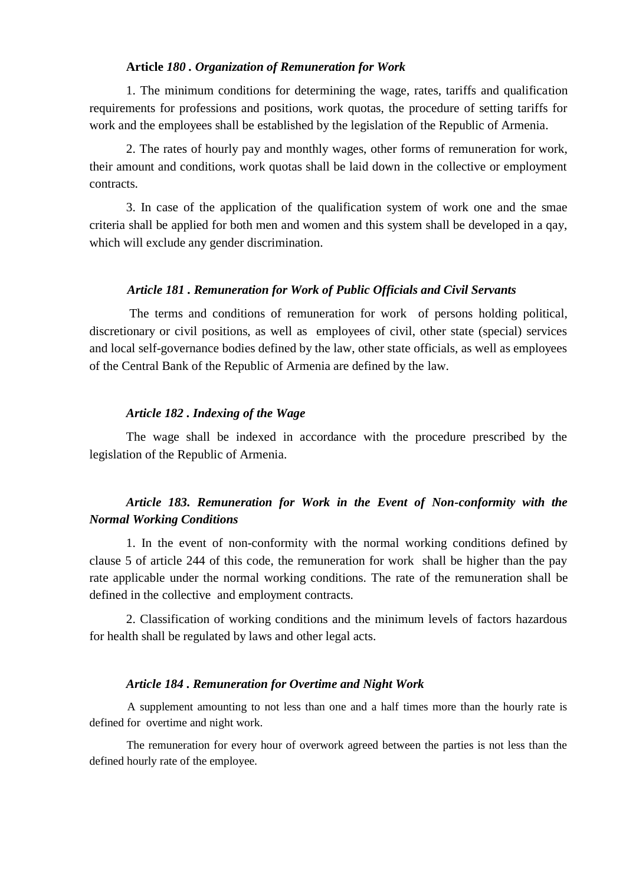### **Article** *180 . Organization of Remuneration for Work*

1. The minimum conditions for determining the wage, rates, tariffs and qualification requirements for professions and positions, work quotas, the procedure of setting tariffs for work and the employees shall be established by the legislation of the Republic of Armenia.

2. The rates of hourly pay and monthly wages, other forms of remuneration for work, their amount and conditions, work quotas shall be laid down in the collective or employment contracts.

3. In case of the application of the qualification system of work one and the smae criteria shall be applied for both men and women and this system shall be developed in a qay, which will exclude any gender discrimination.

#### *Article 181 . Remuneration for Work of Public Officials and Civil Servants*

The terms and conditions of remuneration for work of persons holding political, discretionary or civil positions, as well as employees of civil, other state (special) services and local self-governance bodies defined by the law, other state officials, as well as employees of the Central Bank of the Republic of Armenia are defined by the law.

### *Article 182 . Indexing of the Wage*

The wage shall be indexed in accordance with the procedure prescribed by the legislation of the Republic of Armenia.

# *Article 183. Remuneration for Work in the Event of Non-conformity with the Normal Working Conditions*

1. In the event of non-conformity with the normal working conditions defined by clause 5 of article 244 of this code, the remuneration for work shall be higher than the pay rate applicable under the normal working conditions. The rate of the remuneration shall be defined in the collective and employment contracts.

2. Classification of working conditions and the minimum levels of factors hazardous for health shall be regulated by laws and other legal acts.

#### *Article 184 . Remuneration for Overtime and Night Work*

A supplement amounting to not less than one and a half times more than the hourly rate is defined for overtime and night work.

The remuneration for every hour of overwork agreed between the parties is not less than the defined hourly rate of the employee.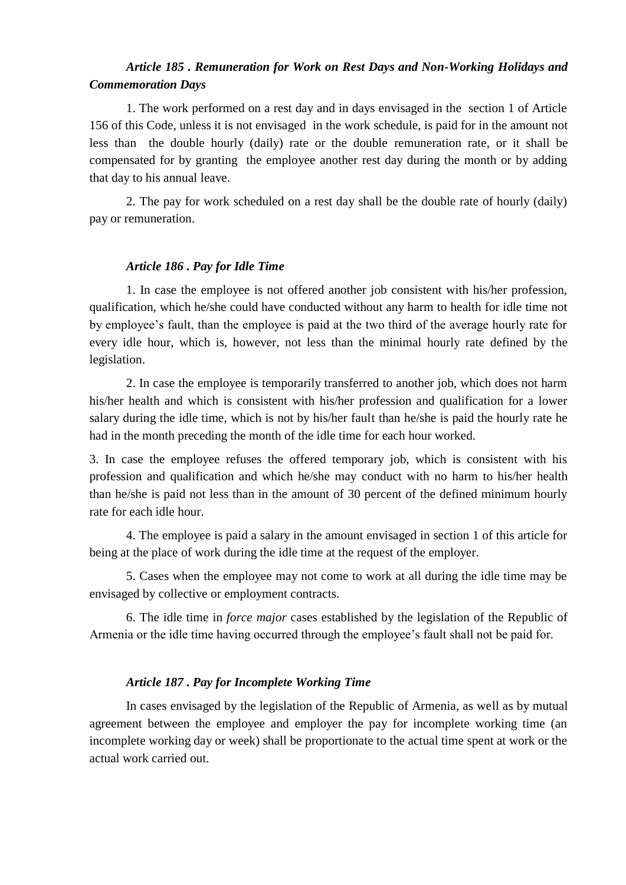# *Article 185 . Remuneration for Work on Rest Days and Non-Working Holidays and Commemoration Days*

1. The work performed on a rest day and in days envisaged in the section 1 of Article 156 of this Code, unless it is not envisaged in the work schedule, is paid for in the amount not less than the double hourly (daily) rate or the double remuneration rate, or it shall be compensated for by granting the employee another rest day during the month or by adding that day to his annual leave.

2. The pay for work scheduled on a rest day shall be the double rate of hourly (daily) pay or remuneration.

## *Article 186 . Pay for Idle Time*

1. In case the employee is not offered another job consistent with his/her profession, qualification, which he/she could have conducted without any harm to health for idle time not by employee's fault, than the employee is paid at the two third of the average hourly rate for every idle hour, which is, however, not less than the minimal hourly rate defined by the legislation.

2. In case the employee is temporarily transferred to another job, which does not harm his/her health and which is consistent with his/her profession and qualification for a lower salary during the idle time, which is not by his/her fault than he/she is paid the hourly rate he had in the month preceding the month of the idle time for each hour worked.

3. In case the employee refuses the offered temporary job, which is consistent with his profession and qualification and which he/she may conduct with no harm to his/her health than he/she is paid not less than in the amount of 30 percent of the defined minimum hourly rate for each idle hour.

4. The employee is paid a salary in the amount envisaged in section 1 of this article for being at the place of work during the idle time at the request of the employer.

5. Cases when the employee may not come to work at all during the idle time may be envisaged by collective or employment contracts.

6. The idle time in *force major* cases established by the legislation of the Republic of Armenia or the idle time having occurred through the employee's fault shall not be paid for.

## *Article 187 . Pay for Incomplete Working Time*

In cases envisaged by the legislation of the Republic of Armenia, as well as by mutual agreement between the employee and employer the pay for incomplete working time (an incomplete working day or week) shall be proportionate to the actual time spent at work or the actual work carried out.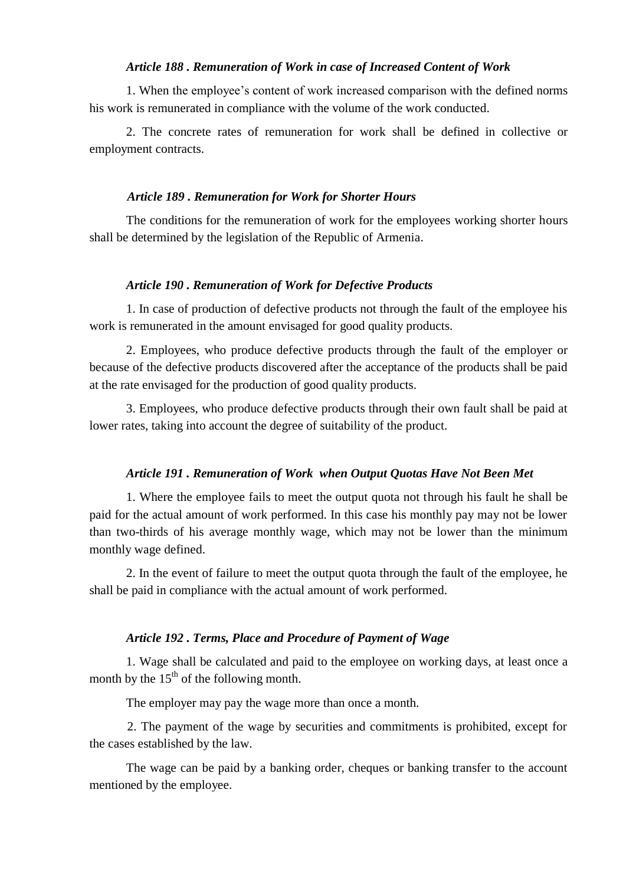## *Article 188 . Remuneration of Work in case of Increased Content of Work*

1. When the employee's content of work increased comparison with the defined norms his work is remunerated in compliance with the volume of the work conducted.

2. The concrete rates of remuneration for work shall be defined in collective or employment contracts.

#### *Article 189 . Remuneration for Work for Shorter Hours*

The conditions for the remuneration of work for the employees working shorter hours shall be determined by the legislation of the Republic of Armenia.

#### *Article 190 . Remuneration of Work for Defective Products*

1. In case of production of defective products not through the fault of the employee his work is remunerated in the amount envisaged for good quality products.

2. Employees, who produce defective products through the fault of the employer or because of the defective products discovered after the acceptance of the products shall be paid at the rate envisaged for the production of good quality products.

3. Employees, who produce defective products through their own fault shall be paid at lower rates, taking into account the degree of suitability of the product.

#### *Article 191 . Remuneration of Work when Output Quotas Have Not Been Met*

1. Where the employee fails to meet the output quota not through his fault he shall be paid for the actual amount of work performed. In this case his monthly pay may not be lower than two-thirds of his average monthly wage, which may not be lower than the minimum monthly wage defined.

2. In the event of failure to meet the output quota through the fault of the employee, he shall be paid in compliance with the actual amount of work performed.

## *Article 192 . Terms, Place and Procedure of Payment of Wage*

1. Wage shall be calculated and paid to the employee on working days, at least once a month by the  $15<sup>th</sup>$  of the following month.

The employer may pay the wage more than once a month.

2. The payment of the wage by securities and commitments is prohibited, except for the cases established by the law.

The wage can be paid by a banking order, cheques or banking transfer to the account mentioned by the employee.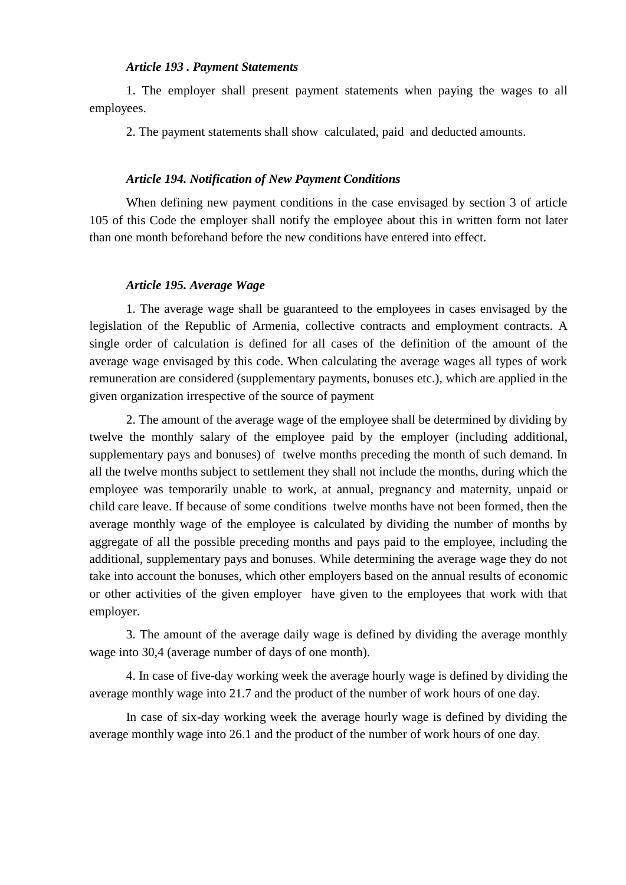#### *Article 193 . Payment Statements*

1. The employer shall present payment statements when paying the wages to all employees.

2. The payment statements shall show calculated, paid and deducted amounts.

### *Article 194. Notification of New Payment Conditions*

When defining new payment conditions in the case envisaged by section 3 of article 105 of this Code the employer shall notify the employee about this in written form not later than one month beforehand before the new conditions have entered into effect.

#### *Article 195. Average Wage*

1. The average wage shall be guaranteed to the employees in cases envisaged by the legislation of the Republic of Armenia, collective contracts and employment contracts. A single order of calculation is defined for all cases of the definition of the amount of the average wage envisaged by this code. When calculating the average wages all types of work remuneration are considered (supplementary payments, bonuses etc.), which are applied in the given organization irrespective of the source of payment

2. The amount of the average wage of the employee shall be determined by dividing by twelve the monthly salary of the employee paid by the employer (including additional, supplementary pays and bonuses) of twelve months preceding the month of such demand. In all the twelve months subject to settlement they shall not include the months, during which the employee was temporarily unable to work, at annual, pregnancy and maternity, unpaid or child care leave. If because of some conditions twelve months have not been formed, then the average monthly wage of the employee is calculated by dividing the number of months by aggregate of all the possible preceding months and pays paid to the employee, including the additional, supplementary pays and bonuses. While determining the average wage they do not take into account the bonuses, which other employers based on the annual results of economic or other activities of the given employer have given to the employees that work with that employer.

3. The amount of the average daily wage is defined by dividing the average monthly wage into 30,4 (average number of days of one month).

4. In case of five-day working week the average hourly wage is defined by dividing the average monthly wage into 21.7 and the product of the number of work hours of one day.

In case of six-day working week the average hourly wage is defined by dividing the average monthly wage into 26.1 and the product of the number of work hours of one day.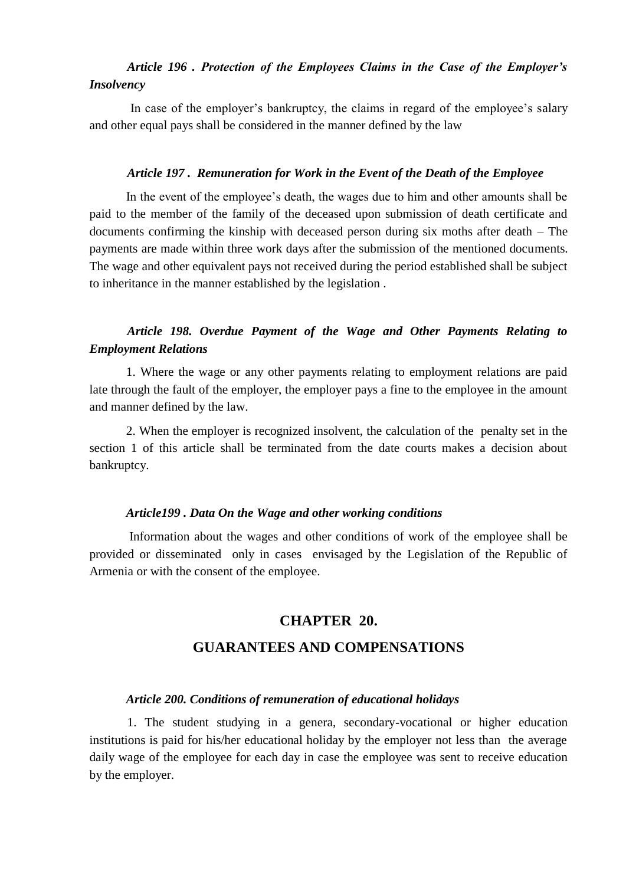# *Article 196 . Protection of the Employees Claims in the Case of the Employer's Insolvency*

In case of the employer's bankruptcy, the claims in regard of the employee's salary and other equal pays shall be considered in the manner defined by the law

#### *Article 197 . Remuneration for Work in the Event of the Death of the Employee*

In the event of the employee's death, the wages due to him and other amounts shall be paid to the member of the family of the deceased upon submission of death certificate and documents confirming the kinship with deceased person during six moths after death – The payments are made within three work days after the submission of the mentioned documents. The wage and other equivalent pays not received during the period established shall be subject to inheritance in the manner established by the legislation .

# *Article 198. Overdue Payment of the Wage and Other Payments Relating to Employment Relations*

1. Where the wage or any other payments relating to employment relations are paid late through the fault of the employer, the employer pays a fine to the employee in the amount and manner defined by the law.

2. When the employer is recognized insolvent, the calculation of the penalty set in the section 1 of this article shall be terminated from the date courts makes a decision about bankruptcy.

#### *Article199 . Data On the Wage and other working conditions*

Information about the wages and other conditions of work of the employee shall be provided or disseminated only in cases envisaged by the Legislation of the Republic of Armenia or with the consent of the employee.

## **CHAPTER 20.**

## **GUARANTEES AND COMPENSATIONS**

#### *Article 200. Conditions of remuneration of educational holidays*

1. The student studying in a genera, secondary-vocational or higher education institutions is paid for his/her educational holiday by the employer not less than the average daily wage of the employee for each day in case the employee was sent to receive education by the employer.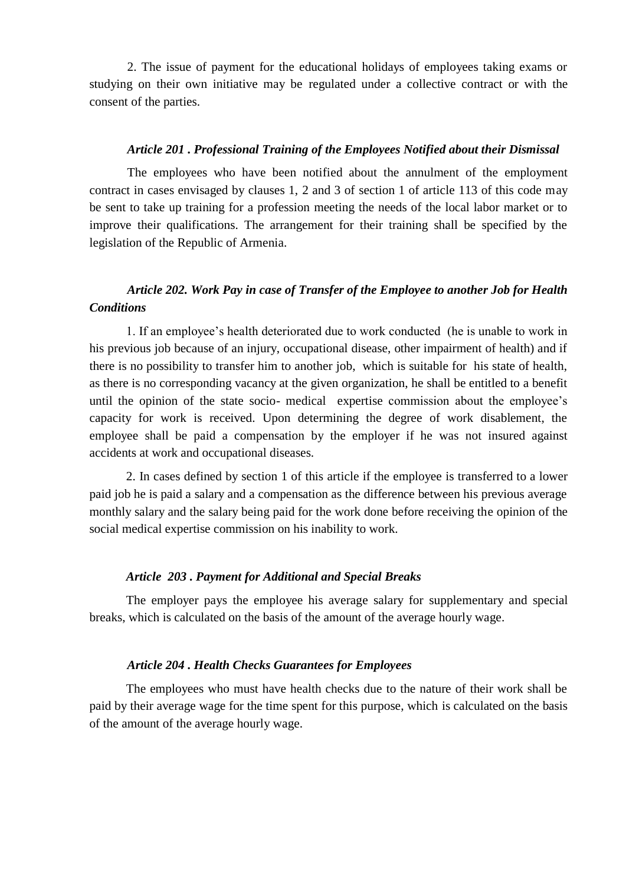2. The issue of payment for the educational holidays of employees taking exams or studying on their own initiative may be regulated under a collective contract or with the consent of the parties.

#### *Article 201 . Professional Training of the Employees Notified about their Dismissal*

The employees who have been notified about the annulment of the employment contract in cases envisaged by clauses 1, 2 and 3 of section 1 of article 113 of this code may be sent to take up training for a profession meeting the needs of the local labor market or to improve their qualifications. The arrangement for their training shall be specified by the legislation of the Republic of Armenia.

# *Article 202. Work Pay in case of Transfer of the Employee to another Job for Health Conditions*

1. If an employee's health deteriorated due to work conducted (he is unable to work in his previous job because of an injury, occupational disease, other impairment of health) and if there is no possibility to transfer him to another job, which is suitable for his state of health, as there is no corresponding vacancy at the given organization, he shall be entitled to a benefit until the opinion of the state socio- medical expertise commission about the employee's capacity for work is received. Upon determining the degree of work disablement, the employee shall be paid a compensation by the employer if he was not insured against accidents at work and occupational diseases.

2. In cases defined by section 1 of this article if the employee is transferred to a lower paid job he is paid a salary and a compensation as the difference between his previous average monthly salary and the salary being paid for the work done before receiving the opinion of the social medical expertise commission on his inability to work.

### *Article 203 . Payment for Additional and Special Breaks*

The employer pays the employee his average salary for supplementary and special breaks, which is calculated on the basis of the amount of the average hourly wage.

### *Article 204 . Health Checks Guarantees for Employees*

The employees who must have health checks due to the nature of their work shall be paid by their average wage for the time spent for this purpose, which is calculated on the basis of the amount of the average hourly wage.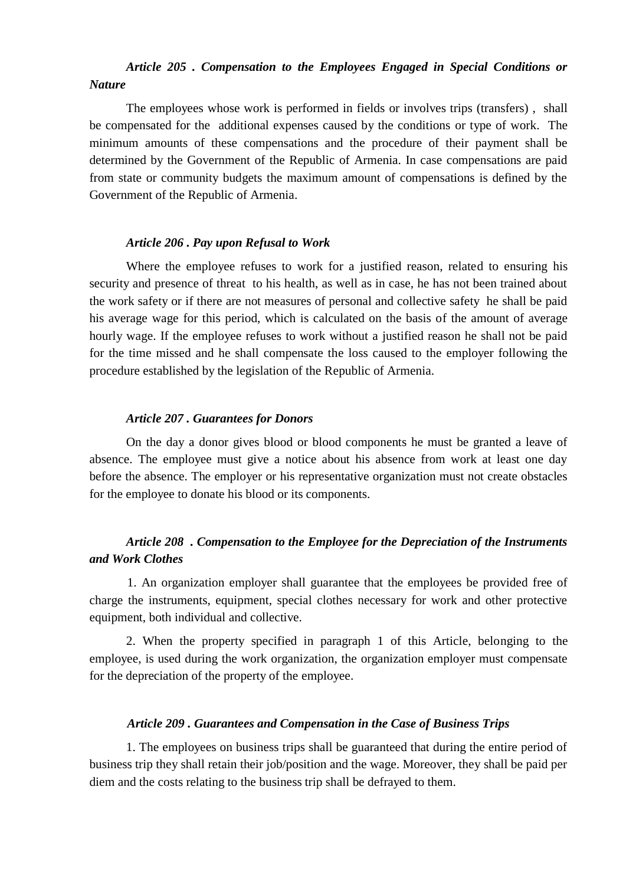# *Article 205 . Compensation to the Employees Engaged in Special Conditions or Nature*

The employees whose work is performed in fields or involves trips (transfers) , shall be compensated for the additional expenses caused by the conditions or type of work. The minimum amounts of these compensations and the procedure of their payment shall be determined by the Government of the Republic of Armenia. In case compensations are paid from state or community budgets the maximum amount of compensations is defined by the Government of the Republic of Armenia.

#### *Article 206 . Pay upon Refusal to Work*

Where the employee refuses to work for a justified reason, related to ensuring his security and presence of threat to his health, as well as in case, he has not been trained about the work safety or if there are not measures of personal and collective safety he shall be paid his average wage for this period, which is calculated on the basis of the amount of average hourly wage. If the employee refuses to work without a justified reason he shall not be paid for the time missed and he shall compensate the loss caused to the employer following the procedure established by the legislation of the Republic of Armenia.

#### *Article 207 . Guarantees for Donors*

On the day a donor gives blood or blood components he must be granted a leave of absence. The employee must give a notice about his absence from work at least one day before the absence. The employer or his representative organization must not create obstacles for the employee to donate his blood or its components.

# *Article 208 . Compensation to the Employee for the Depreciation of the Instruments and Work Clothes*

1. An organization employer shall guarantee that the employees be provided free of charge the instruments, equipment, special clothes necessary for work and other protective equipment, both individual and collective.

2. When the property specified in paragraph 1 of this Article, belonging to the employee, is used during the work organization, the organization employer must compensate for the depreciation of the property of the employee.

#### *Article 209 . Guarantees and Compensation in the Case of Business Trips*

1. The employees on business trips shall be guaranteed that during the entire period of business trip they shall retain their job/position and the wage. Moreover, they shall be paid per diem and the costs relating to the business trip shall be defrayed to them.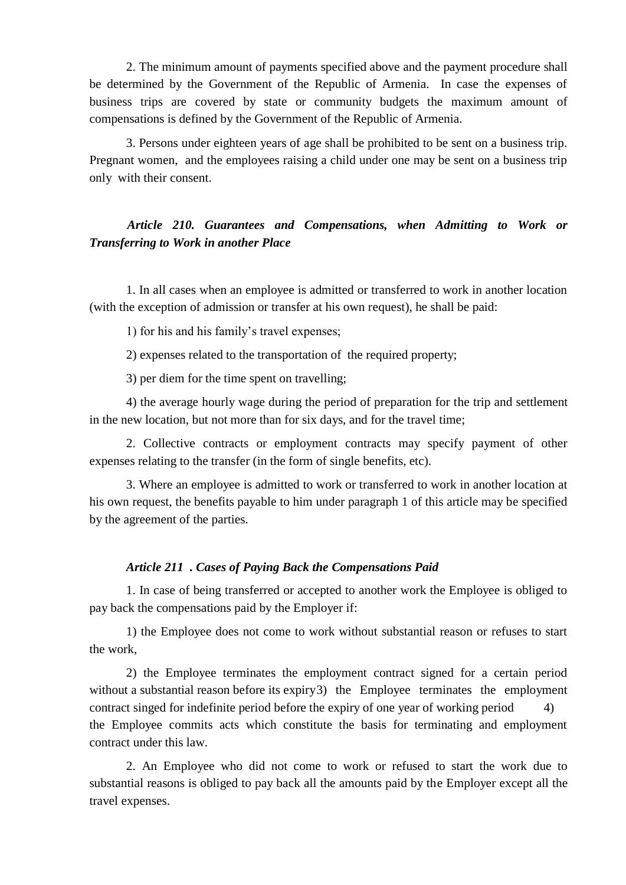2. The minimum amount of payments specified above and the payment procedure shall be determined by the Government of the Republic of Armenia. In case the expenses of business trips are covered by state or community budgets the maximum amount of compensations is defined by the Government of the Republic of Armenia.

3. Persons under eighteen years of age shall be prohibited to be sent on a business trip. Pregnant women, and the employees raising a child under one may be sent on a business trip only with their consent.

# *Article 210. Guarantees and Compensations, when Admitting to Work or Transferring to Work in another Place*

1. In all cases when an employee is admitted or transferred to work in another location (with the exception of admission or transfer at his own request), he shall be paid:

1) for his and his family's travel expenses;

2) expenses related to the transportation of the required property;

3) per diem for the time spent on travelling;

4) the average hourly wage during the period of preparation for the trip and settlement in the new location, but not more than for six days, and for the travel time;

2. Collective contracts or employment contracts may specify payment of other expenses relating to the transfer (in the form of single benefits, etc).

3. Where an employee is admitted to work or transferred to work in another location at his own request, the benefits payable to him under paragraph 1 of this article may be specified by the agreement of the parties.

# *Article 211 . Cases of Paying Back the Compensations Paid*

1. In case of being transferred or accepted to another work the Employee is obliged to pay back the compensations paid by the Employer if:

1) the Employee does not come to work without substantial reason or refuses to start the work,

2) the Employee terminates the employment contract signed for a certain period without a substantial reason before its expiry3) the Employee terminates the employment contract singed for indefinite period before the expiry of one year of working period 4) the Employee commits acts which constitute the basis for terminating and employment contract under this law.

2. An Employee who did not come to work or refused to start the work due to substantial reasons is obliged to pay back all the amounts paid by the Employer except all the travel expenses.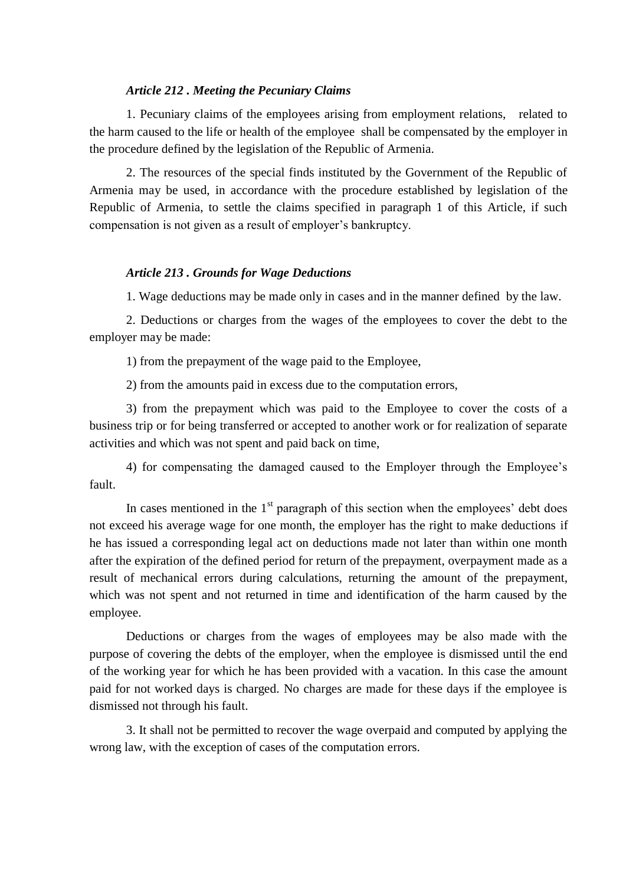#### *Article 212 . Meeting the Pecuniary Claims*

1. Pecuniary claims of the employees arising from employment relations, related to the harm caused to the life or health of the employee shall be compensated by the employer in the procedure defined by the legislation of the Republic of Armenia.

2. The resources of the special finds instituted by the Government of the Republic of Armenia may be used, in accordance with the procedure established by legislation of the Republic of Armenia, to settle the claims specified in paragraph 1 of this Article, if such compensation is not given as a result of employer's bankruptcy.

# *Article 213 . Grounds for Wage Deductions*

1. Wage deductions may be made only in cases and in the manner defined by the law.

2. Deductions or charges from the wages of the employees to cover the debt to the employer may be made:

1) from the prepayment of the wage paid to the Employee,

2) from the amounts paid in excess due to the computation errors,

3) from the prepayment which was paid to the Employee to cover the costs of a business trip or for being transferred or accepted to another work or for realization of separate activities and which was not spent and paid back on time,

4) for compensating the damaged caused to the Employer through the Employee's fault.

In cases mentioned in the  $1<sup>st</sup>$  paragraph of this section when the employees' debt does not exceed his average wage for one month, the employer has the right to make deductions if he has issued a corresponding legal act on deductions made not later than within one month after the expiration of the defined period for return of the prepayment, overpayment made as a result of mechanical errors during calculations, returning the amount of the prepayment, which was not spent and not returned in time and identification of the harm caused by the employee.

Deductions or charges from the wages of employees may be also made with the purpose of covering the debts of the employer, when the employee is dismissed until the end of the working year for which he has been provided with a vacation. In this case the amount paid for not worked days is charged. No charges are made for these days if the employee is dismissed not through his fault.

3. It shall not be permitted to recover the wage overpaid and computed by applying the wrong law, with the exception of cases of the computation errors.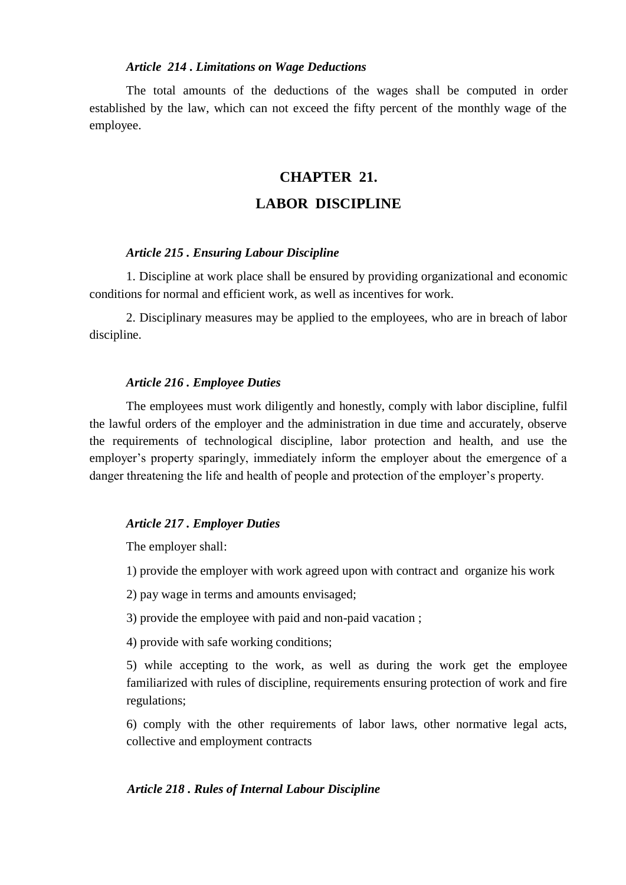### *Article 214 . Limitations on Wage Deductions*

The total amounts of the deductions of the wages shall be computed in order established by the law, which can not exceed the fifty percent of the monthly wage of the employee.

# **CHAPTER 21.**

# **LABOR DISCIPLINE**

#### *Article 215 . Ensuring Labour Discipline*

1. Discipline at work place shall be ensured by providing organizational and economic conditions for normal and efficient work, as well as incentives for work.

2. Disciplinary measures may be applied to the employees, who are in breach of labor discipline.

#### *Article 216 . Employee Duties*

The employees must work diligently and honestly, comply with labor discipline, fulfil the lawful orders of the employer and the administration in due time and accurately, observe the requirements of technological discipline, labor protection and health, and use the employer's property sparingly, immediately inform the employer about the emergence of a danger threatening the life and health of people and protection of the employer's property.

### *Article 217 . Employer Duties*

The employer shall:

1) provide the employer with work agreed upon with contract and organize his work

2) pay wage in terms and amounts envisaged;

3) provide the employee with paid and non-paid vacation ;

4) provide with safe working conditions;

5) while accepting to the work, as well as during the work get the employee familiarized with rules of discipline, requirements ensuring protection of work and fire regulations;

6) comply with the other requirements of labor laws, other normative legal acts, collective and employment contracts

### *Article 218 . Rules of Internal Labour Discipline*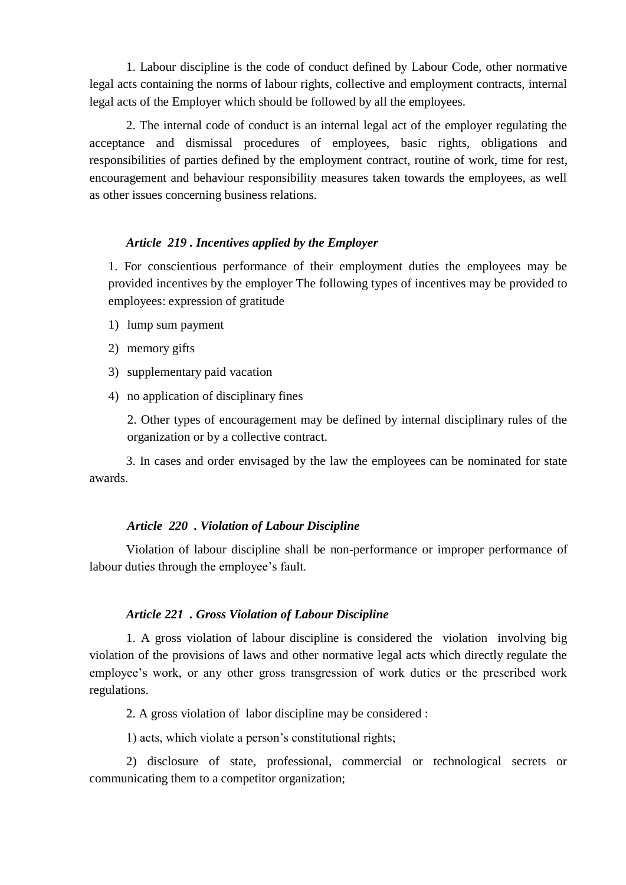1. Labour discipline is the code of conduct defined by Labour Code, other normative legal acts containing the norms of labour rights, collective and employment contracts, internal legal acts of the Employer which should be followed by all the employees.

2. The internal code of conduct is an internal legal act of the employer regulating the acceptance and dismissal procedures of employees, basic rights, obligations and responsibilities of parties defined by the employment contract, routine of work, time for rest, encouragement and behaviour responsibility measures taken towards the employees, as well as other issues concerning business relations.

### *Article 219 . Incentives applied by the Employer*

1. For conscientious performance of their employment duties the employees may be provided incentives by the employer The following types of incentives may be provided to employees: expression of gratitude

- 1) lump sum payment
- 2) memory gifts
- 3) supplementary paid vacation
- 4) no application of disciplinary fines

2. Other types of encouragement may be defined by internal disciplinary rules of the organization or by a collective contract.

3. In cases and order envisaged by the law the employees can be nominated for state awards.

## *Article 220 . Violation of Labour Discipline*

Violation of labour discipline shall be non-performance or improper performance of labour duties through the employee's fault.

## *Article 221 . Gross Violation of Labour Discipline*

1. A gross violation of labour discipline is considered the violation involving big violation of the provisions of laws and other normative legal acts which directly regulate the employee's work, or any other gross transgression of work duties or the prescribed work regulations.

2. A gross violation of labor discipline may be considered :

1) acts, which violate a person's constitutional rights;

2) disclosure of state, professional, commercial or technological secrets or communicating them to a competitor organization;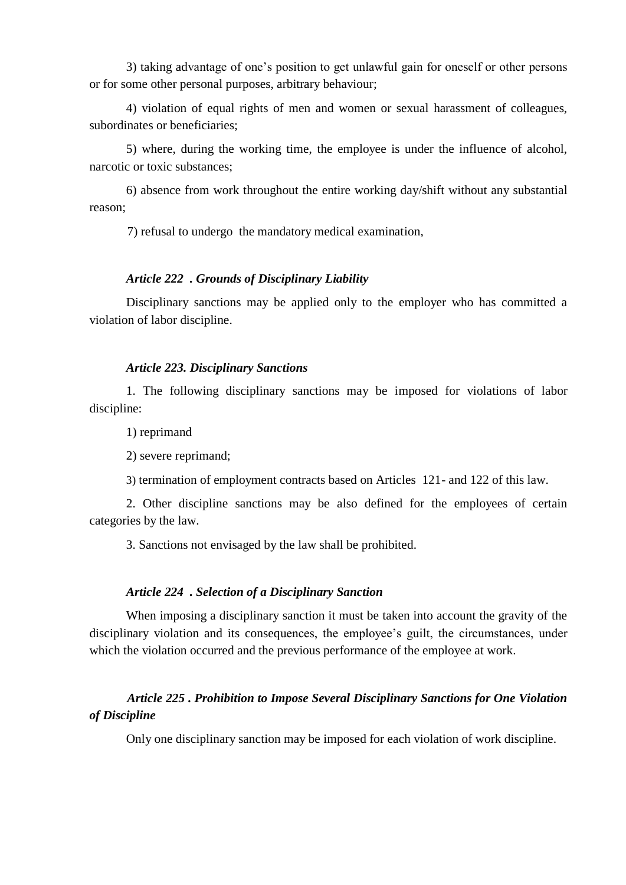3) taking advantage of one's position to get unlawful gain for oneself or other persons or for some other personal purposes, arbitrary behaviour;

4) violation of equal rights of men and women or sexual harassment of colleagues, subordinates or beneficiaries;

5) where, during the working time, the employee is under the influence of alcohol, narcotic or toxic substances;

6) absence from work throughout the entire working day/shift without any substantial reason;

7) refusal to undergo the mandatory medical examination,

## *Article 222 . Grounds of Disciplinary Liability*

Disciplinary sanctions may be applied only to the employer who has committed a violation of labor discipline.

# *Article 223. Disciplinary Sanctions*

1. The following disciplinary sanctions may be imposed for violations of labor discipline:

1) reprimand

2) severe reprimand;

3) termination of employment contracts based on Articles 121- and 122 of this law.

2. Other discipline sanctions may be also defined for the employees of certain categories by the law.

3. Sanctions not envisaged by the law shall be prohibited.

## *Article 224 . Selection of a Disciplinary Sanction*

When imposing a disciplinary sanction it must be taken into account the gravity of the disciplinary violation and its consequences, the employee's guilt, the circumstances, under which the violation occurred and the previous performance of the employee at work.

# *Article 225 . Prohibition to Impose Several Disciplinary Sanctions for One Violation of Discipline*

Only one disciplinary sanction may be imposed for each violation of work discipline.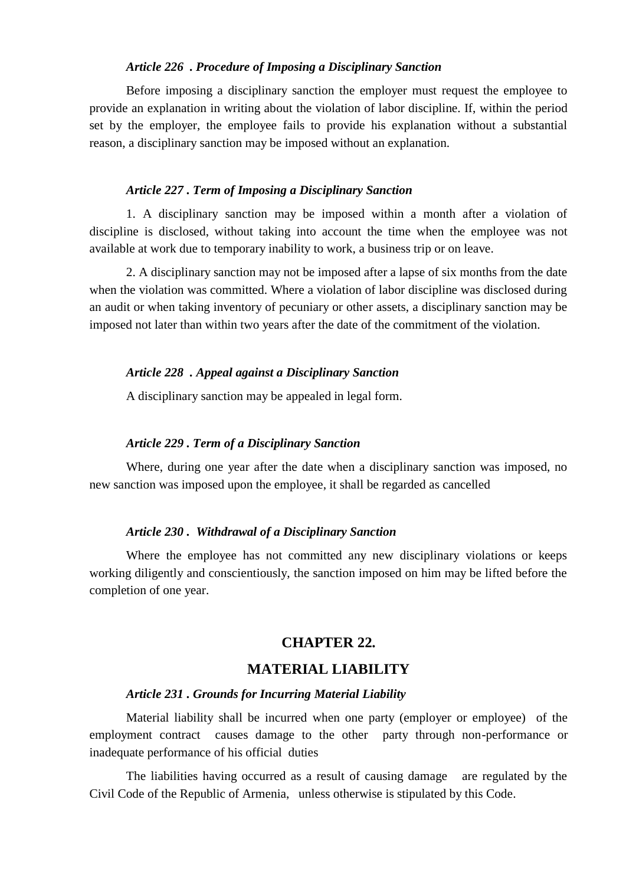## *Article 226 . Procedure of Imposing a Disciplinary Sanction*

Before imposing a disciplinary sanction the employer must request the employee to provide an explanation in writing about the violation of labor discipline. If, within the period set by the employer, the employee fails to provide his explanation without a substantial reason, a disciplinary sanction may be imposed without an explanation.

#### *Article 227 . Term of Imposing a Disciplinary Sanction*

1. A disciplinary sanction may be imposed within a month after a violation of discipline is disclosed, without taking into account the time when the employee was not available at work due to temporary inability to work, a business trip or on leave.

2. A disciplinary sanction may not be imposed after a lapse of six months from the date when the violation was committed. Where a violation of labor discipline was disclosed during an audit or when taking inventory of pecuniary or other assets, a disciplinary sanction may be imposed not later than within two years after the date of the commitment of the violation.

### *Article 228 . Appeal against a Disciplinary Sanction*

A disciplinary sanction may be appealed in legal form.

### *Article 229 . Term of a Disciplinary Sanction*

Where, during one year after the date when a disciplinary sanction was imposed, no new sanction was imposed upon the employee, it shall be regarded as cancelled

#### *Article 230 . Withdrawal of a Disciplinary Sanction*

Where the employee has not committed any new disciplinary violations or keeps working diligently and conscientiously, the sanction imposed on him may be lifted before the completion of one year.

# **CHAPTER 22.**

# **MATERIAL LIABILITY**

#### *Article 231 . Grounds for Incurring Material Liability*

Material liability shall be incurred when one party (employer or employee) of the employment contract causes damage to the other party through non-performance or inadequate performance of his official duties

The liabilities having occurred as a result of causing damage are regulated by the Civil Code of the Republic of Armenia, unless otherwise is stipulated by this Code.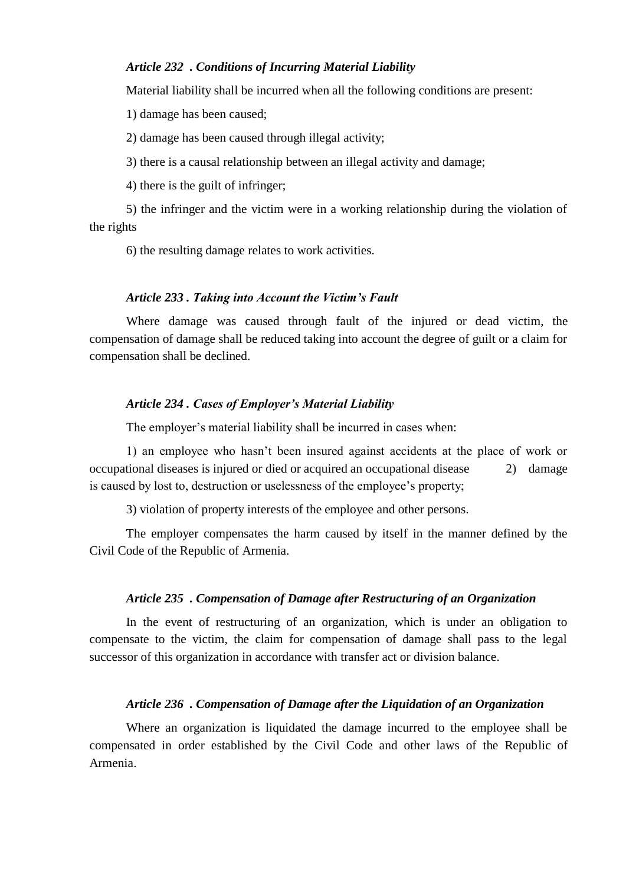# *Article 232 . Conditions of Incurring Material Liability*

Material liability shall be incurred when all the following conditions are present:

1) damage has been caused;

2) damage has been caused through illegal activity;

3) there is a causal relationship between an illegal activity and damage;

4) there is the guilt of infringer;

5) the infringer and the victim were in a working relationship during the violation of the rights

6) the resulting damage relates to work activities.

#### *Article 233 . Taking into Account the Victim's Fault*

Where damage was caused through fault of the injured or dead victim, the compensation of damage shall be reduced taking into account the degree of guilt or a claim for compensation shall be declined.

#### *Article 234 . Cases of Employer's Material Liability*

The employer's material liability shall be incurred in cases when:

1) an employee who hasn't been insured against accidents at the place of work or occupational diseases is injured or died or acquired an occupational disease 2) damage is caused by lost to, destruction or uselessness of the employee's property;

3) violation of property interests of the employee and other persons.

The employer compensates the harm caused by itself in the manner defined by the Civil Code of the Republic of Armenia.

#### *Article 235 . Compensation of Damage after Restructuring of an Organization*

In the event of restructuring of an organization, which is under an obligation to compensate to the victim, the claim for compensation of damage shall pass to the legal successor of this organization in accordance with transfer act or division balance.

#### *Article 236 . Compensation of Damage after the Liquidation of an Organization*

Where an organization is liquidated the damage incurred to the employee shall be compensated in order established by the Civil Code and other laws of the Republic of Armenia.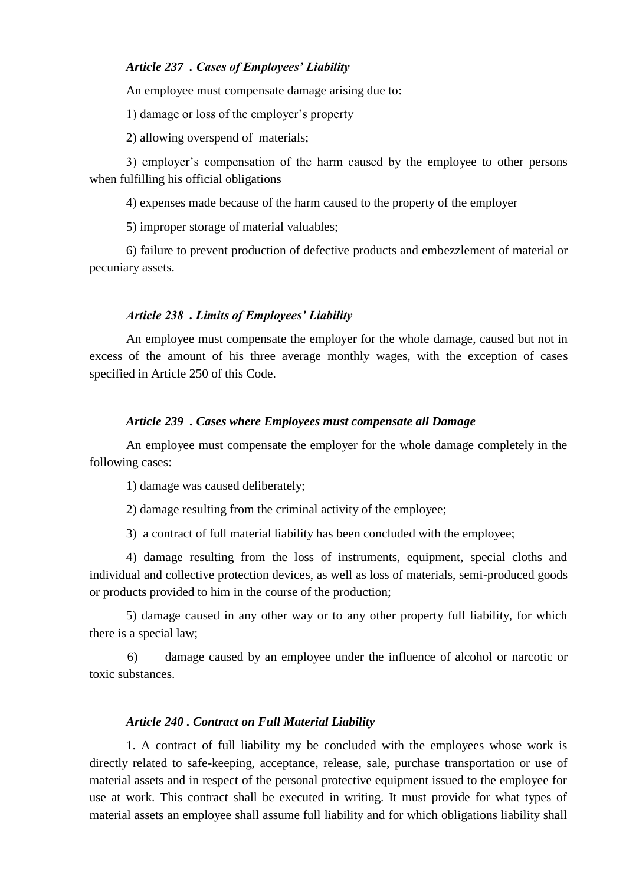# *Article 237 . Cases of Employees' Liability*

An employee must compensate damage arising due to:

1) damage or loss of the employer's property

2) allowing overspend of materials;

3) employer's compensation of the harm caused by the employee to other persons when fulfilling his official obligations

4) expenses made because of the harm caused to the property of the employer

5) improper storage of material valuables;

6) failure to prevent production of defective products and embezzlement of material or pecuniary assets.

#### *Article 238 . Limits of Employees' Liability*

An employee must compensate the employer for the whole damage, caused but not in excess of the amount of his three average monthly wages, with the exception of cases specified in Article 250 of this Code.

#### *Article 239 . Cases where Employees must compensate all Damage*

An employee must compensate the employer for the whole damage completely in the following cases:

1) damage was caused deliberately;

2) damage resulting from the criminal activity of the employee;

3) a contract of full material liability has been concluded with the employee;

4) damage resulting from the loss of instruments, equipment, special cloths and individual and collective protection devices, as well as loss of materials, semi-produced goods or products provided to him in the course of the production;

5) damage caused in any other way or to any other property full liability, for which there is a special law;

6) damage caused by an employee under the influence of alcohol or narcotic or toxic substances.

#### *Article 240 . Contract on Full Material Liability*

1. A contract of full liability my be concluded with the employees whose work is directly related to safe-keeping, acceptance, release, sale, purchase transportation or use of material assets and in respect of the personal protective equipment issued to the employee for use at work. This contract shall be executed in writing. It must provide for what types of material assets an employee shall assume full liability and for which obligations liability shall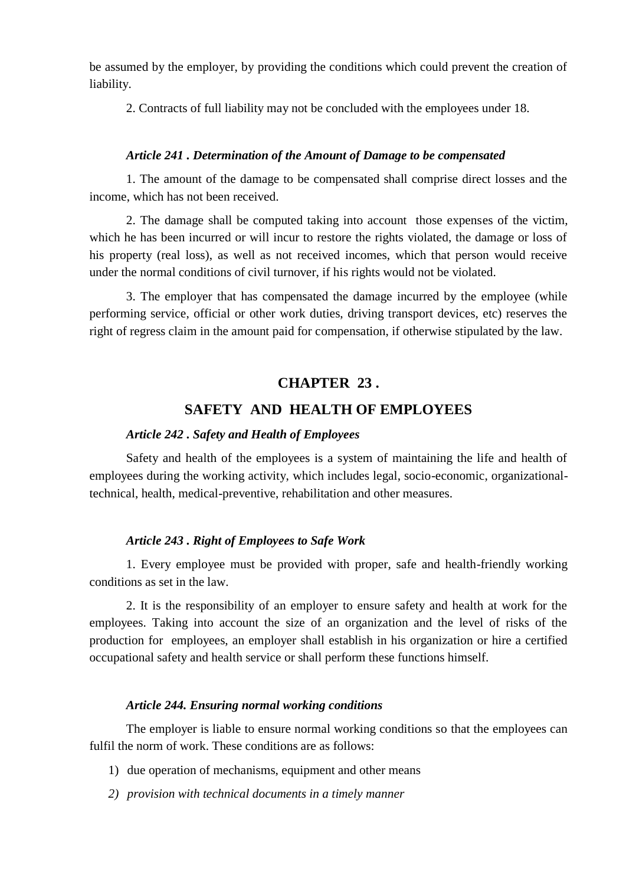be assumed by the employer, by providing the conditions which could prevent the creation of liability.

2. Contracts of full liability may not be concluded with the employees under 18.

## *Article 241 . Determination of the Amount of Damage to be compensated*

1. The amount of the damage to be compensated shall comprise direct losses and the income, which has not been received.

2. The damage shall be computed taking into account those expenses of the victim, which he has been incurred or will incur to restore the rights violated, the damage or loss of his property (real loss), as well as not received incomes, which that person would receive under the normal conditions of civil turnover, if his rights would not be violated.

3. The employer that has compensated the damage incurred by the employee (while performing service, official or other work duties, driving transport devices, etc) reserves the right of regress claim in the amount paid for compensation, if otherwise stipulated by the law.

# **CHAPTER 23 .**

# **SAFETY AND HEALTH OF EMPLOYEES**

# *Article 242 . Safety and Health of Employees*

Safety and health of the employees is a system of maintaining the life and health of employees during the working activity, which includes legal, socio-economic, organizationaltechnical, health, medical-preventive, rehabilitation and other measures.

## *Article 243 . Right of Employees to Safe Work*

1. Every employee must be provided with proper, safe and health-friendly working conditions as set in the law.

2. It is the responsibility of an employer to ensure safety and health at work for the employees. Taking into account the size of an organization and the level of risks of the production for employees, an employer shall establish in his organization or hire a certified occupational safety and health service or shall perform these functions himself.

#### *Article 244. Ensuring normal working conditions*

The employer is liable to ensure normal working conditions so that the employees can fulfil the norm of work. These conditions are as follows:

- 1) due operation of mechanisms, equipment and other means
- *2) provision with technical documents in a timely manner*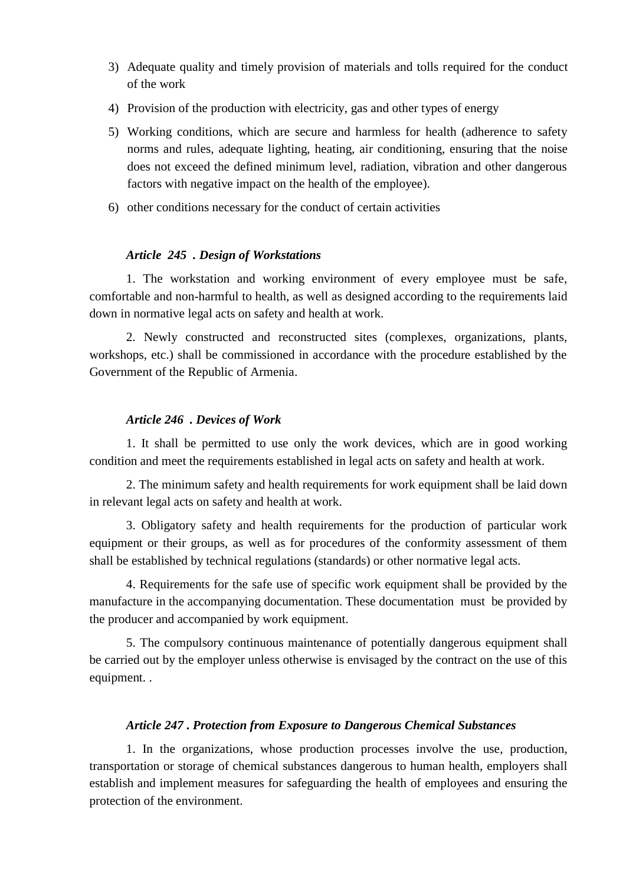- 3) Adequate quality and timely provision of materials and tolls required for the conduct of the work
- 4) Provision of the production with electricity, gas and other types of energy
- 5) Working conditions, which are secure and harmless for health (adherence to safety norms and rules, adequate lighting, heating, air conditioning, ensuring that the noise does not exceed the defined minimum level, radiation, vibration and other dangerous factors with negative impact on the health of the employee).
- 6) other conditions necessary for the conduct of certain activities

# *Article 245 . Design of Workstations*

1. The workstation and working environment of every employee must be safe, comfortable and non-harmful to health, as well as designed according to the requirements laid down in normative legal acts on safety and health at work.

2. Newly constructed and reconstructed sites (complexes, organizations, plants, workshops, etc.) shall be commissioned in accordance with the procedure established by the Government of the Republic of Armenia.

# *Article 246 . Devices of Work*

1. It shall be permitted to use only the work devices, which are in good working condition and meet the requirements established in legal acts on safety and health at work.

2. The minimum safety and health requirements for work equipment shall be laid down in relevant legal acts on safety and health at work.

3. Obligatory safety and health requirements for the production of particular work equipment or their groups, as well as for procedures of the conformity assessment of them shall be established by technical regulations (standards) or other normative legal acts.

4. Requirements for the safe use of specific work equipment shall be provided by the manufacture in the accompanying documentation. These documentation must be provided by the producer and accompanied by work equipment.

5. The compulsory continuous maintenance of potentially dangerous equipment shall be carried out by the employer unless otherwise is envisaged by the contract on the use of this equipment. .

## *Article 247 . Protection from Exposure to Dangerous Chemical Substances*

1. In the organizations, whose production processes involve the use, production, transportation or storage of chemical substances dangerous to human health, employers shall establish and implement measures for safeguarding the health of employees and ensuring the protection of the environment.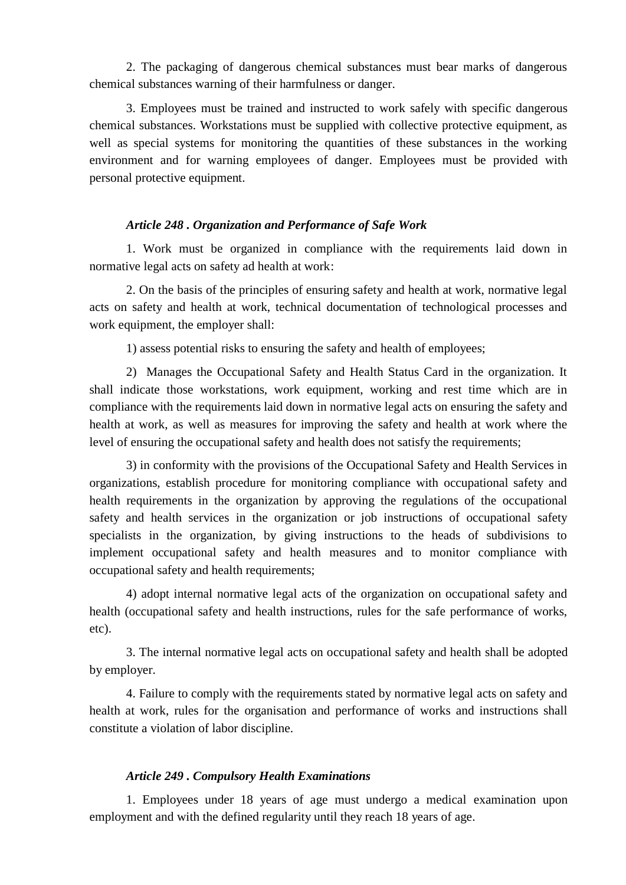2. The packaging of dangerous chemical substances must bear marks of dangerous chemical substances warning of their harmfulness or danger.

3. Employees must be trained and instructed to work safely with specific dangerous chemical substances. Workstations must be supplied with collective protective equipment, as well as special systems for monitoring the quantities of these substances in the working environment and for warning employees of danger. Employees must be provided with personal protective equipment.

## *Article 248 . Organization and Performance of Safe Work*

1. Work must be organized in compliance with the requirements laid down in normative legal acts on safety ad health at work:

2. On the basis of the principles of ensuring safety and health at work, normative legal acts on safety and health at work, technical documentation of technological processes and work equipment, the employer shall:

1) assess potential risks to ensuring the safety and health of employees;

2) Manages the Occupational Safety and Health Status Card in the organization. It shall indicate those workstations, work equipment, working and rest time which are in compliance with the requirements laid down in normative legal acts on ensuring the safety and health at work, as well as measures for improving the safety and health at work where the level of ensuring the occupational safety and health does not satisfy the requirements;

3) in conformity with the provisions of the Occupational Safety and Health Services in organizations, establish procedure for monitoring compliance with occupational safety and health requirements in the organization by approving the regulations of the occupational safety and health services in the organization or job instructions of occupational safety specialists in the organization, by giving instructions to the heads of subdivisions to implement occupational safety and health measures and to monitor compliance with occupational safety and health requirements;

4) adopt internal normative legal acts of the organization on occupational safety and health (occupational safety and health instructions, rules for the safe performance of works, etc).

3. The internal normative legal acts on occupational safety and health shall be adopted by employer.

4. Failure to comply with the requirements stated by normative legal acts on safety and health at work, rules for the organisation and performance of works and instructions shall constitute a violation of labor discipline.

### *Article 249 . Compulsory Health Examinations*

1. Employees under 18 years of age must undergo a medical examination upon employment and with the defined regularity until they reach 18 years of age.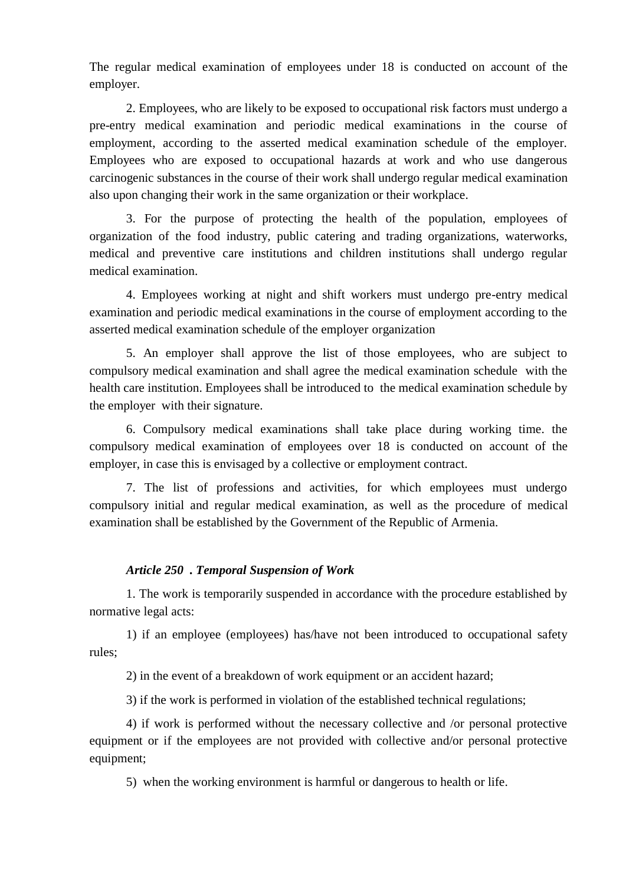The regular medical examination of employees under 18 is conducted on account of the employer.

2. Employees, who are likely to be exposed to occupational risk factors must undergo a pre-entry medical examination and periodic medical examinations in the course of employment, according to the asserted medical examination schedule of the employer. Employees who are exposed to occupational hazards at work and who use dangerous carcinogenic substances in the course of their work shall undergo regular medical examination also upon changing their work in the same organization or their workplace.

3. For the purpose of protecting the health of the population, employees of organization of the food industry, public catering and trading organizations, waterworks, medical and preventive care institutions and children institutions shall undergo regular medical examination.

4. Employees working at night and shift workers must undergo pre-entry medical examination and periodic medical examinations in the course of employment according to the asserted medical examination schedule of the employer organization

5. An employer shall approve the list of those employees, who are subject to compulsory medical examination and shall agree the medical examination schedule with the health care institution. Employees shall be introduced to the medical examination schedule by the employer with their signature.

6. Compulsory medical examinations shall take place during working time. the compulsory medical examination of employees over 18 is conducted on account of the employer, in case this is envisaged by a collective or employment contract.

7. The list of professions and activities, for which employees must undergo compulsory initial and regular medical examination, as well as the procedure of medical examination shall be established by the Government of the Republic of Armenia.

# *Article 250 . Temporal Suspension of Work*

1. The work is temporarily suspended in accordance with the procedure established by normative legal acts:

1) if an employee (employees) has/have not been introduced to occupational safety rules;

2) in the event of a breakdown of work equipment or an accident hazard;

3) if the work is performed in violation of the established technical regulations;

4) if work is performed without the necessary collective and /or personal protective equipment or if the employees are not provided with collective and/or personal protective equipment;

5) when the working environment is harmful or dangerous to health or life.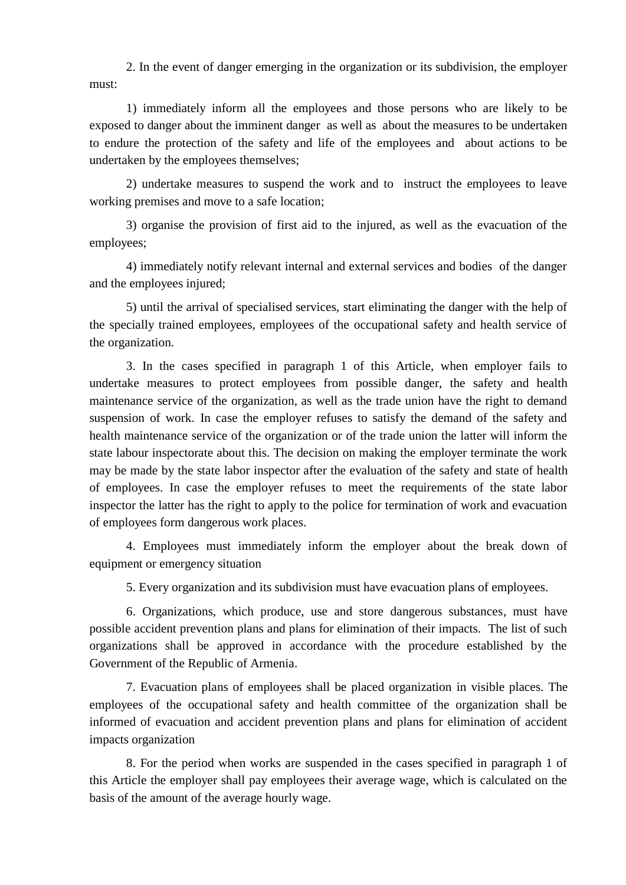2. In the event of danger emerging in the organization or its subdivision, the employer must:

1) immediately inform all the employees and those persons who are likely to be exposed to danger about the imminent danger as well as about the measures to be undertaken to endure the protection of the safety and life of the employees and about actions to be undertaken by the employees themselves;

2) undertake measures to suspend the work and to instruct the employees to leave working premises and move to a safe location;

3) organise the provision of first aid to the injured, as well as the evacuation of the employees;

4) immediately notify relevant internal and external services and bodies of the danger and the employees injured;

5) until the arrival of specialised services, start eliminating the danger with the help of the specially trained employees, employees of the occupational safety and health service of the organization.

3. In the cases specified in paragraph 1 of this Article, when employer fails to undertake measures to protect employees from possible danger, the safety and health maintenance service of the organization, as well as the trade union have the right to demand suspension of work. In case the employer refuses to satisfy the demand of the safety and health maintenance service of the organization or of the trade union the latter will inform the state labour inspectorate about this. The decision on making the employer terminate the work may be made by the state labor inspector after the evaluation of the safety and state of health of employees. In case the employer refuses to meet the requirements of the state labor inspector the latter has the right to apply to the police for termination of work and evacuation of employees form dangerous work places.

 4. Employees must immediately inform the employer about the break down of equipment or emergency situation

5. Every organization and its subdivision must have evacuation plans of employees.

6. Organizations, which produce, use and store dangerous substances, must have possible accident prevention plans and plans for elimination of their impacts. The list of such organizations shall be approved in accordance with the procedure established by the Government of the Republic of Armenia.

7. Evacuation plans of employees shall be placed organization in visible places. The employees of the occupational safety and health committee of the organization shall be informed of evacuation and accident prevention plans and plans for elimination of accident impacts organization

8. For the period when works are suspended in the cases specified in paragraph 1 of this Article the employer shall pay employees their average wage, which is calculated on the basis of the amount of the average hourly wage.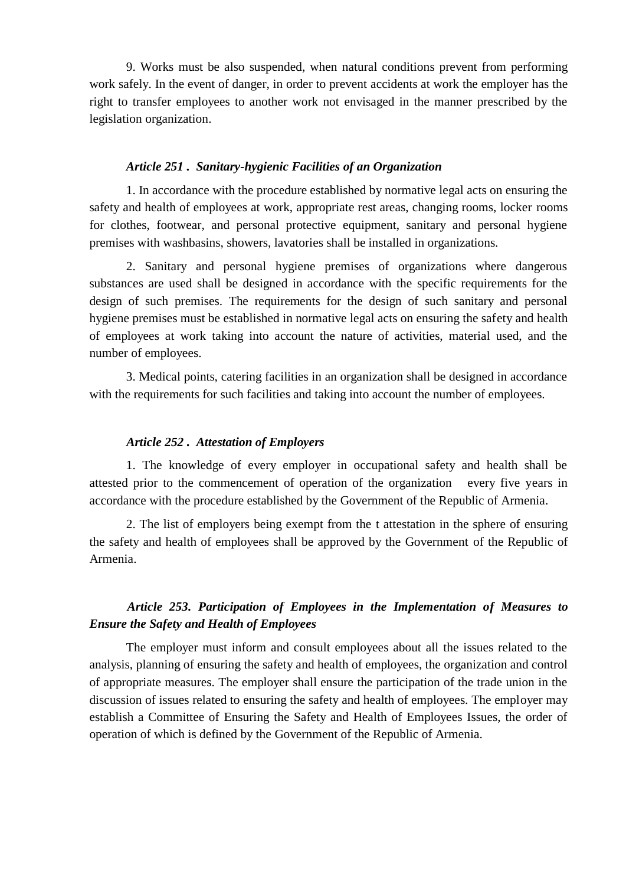9. Works must be also suspended, when natural conditions prevent from performing work safely. In the event of danger, in order to prevent accidents at work the employer has the right to transfer employees to another work not envisaged in the manner prescribed by the legislation organization.

## *Article 251 . Sanitary-hygienic Facilities of an Organization*

1. In accordance with the procedure established by normative legal acts on ensuring the safety and health of employees at work, appropriate rest areas, changing rooms, locker rooms for clothes, footwear, and personal protective equipment, sanitary and personal hygiene premises with washbasins, showers, lavatories shall be installed in organizations.

2. Sanitary and personal hygiene premises of organizations where dangerous substances are used shall be designed in accordance with the specific requirements for the design of such premises. The requirements for the design of such sanitary and personal hygiene premises must be established in normative legal acts on ensuring the safety and health of employees at work taking into account the nature of activities, material used, and the number of employees.

3. Medical points, catering facilities in an organization shall be designed in accordance with the requirements for such facilities and taking into account the number of employees.

#### *Article 252 . Attestation of Employers*

1. The knowledge of every employer in occupational safety and health shall be attested prior to the commencement of operation of the organization every five years in accordance with the procedure established by the Government of the Republic of Armenia.

2. The list of employers being exempt from the t attestation in the sphere of ensuring the safety and health of employees shall be approved by the Government of the Republic of Armenia.

# *Article 253. Participation of Employees in the Implementation of Measures to Ensure the Safety and Health of Employees*

The employer must inform and consult employees about all the issues related to the analysis, planning of ensuring the safety and health of employees, the organization and control of appropriate measures. The employer shall ensure the participation of the trade union in the discussion of issues related to ensuring the safety and health of employees. The employer may establish a Committee of Ensuring the Safety and Health of Employees Issues, the order of operation of which is defined by the Government of the Republic of Armenia.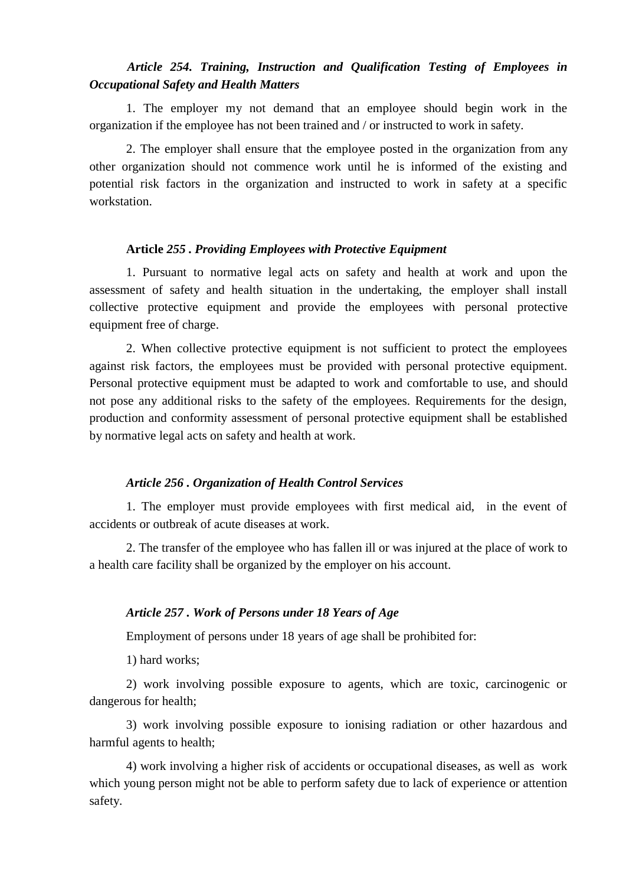# *Article 254. Training, Instruction and Qualification Testing of Employees in Occupational Safety and Health Matters*

1. The employer my not demand that an employee should begin work in the organization if the employee has not been trained and / or instructed to work in safety.

2. The employer shall ensure that the employee posted in the organization from any other organization should not commence work until he is informed of the existing and potential risk factors in the organization and instructed to work in safety at a specific workstation.

### **Article** *255 . Providing Employees with Protective Equipment*

1. Pursuant to normative legal acts on safety and health at work and upon the assessment of safety and health situation in the undertaking, the employer shall install collective protective equipment and provide the employees with personal protective equipment free of charge.

2. When collective protective equipment is not sufficient to protect the employees against risk factors, the employees must be provided with personal protective equipment. Personal protective equipment must be adapted to work and comfortable to use, and should not pose any additional risks to the safety of the employees. Requirements for the design, production and conformity assessment of personal protective equipment shall be established by normative legal acts on safety and health at work.

#### *Article 256 . Organization of Health Control Services*

1. The employer must provide employees with first medical aid, in the event of accidents or outbreak of acute diseases at work.

2. The transfer of the employee who has fallen ill or was injured at the place of work to a health care facility shall be organized by the employer on his account.

### *Article 257 . Work of Persons under 18 Years of Age*

Employment of persons under 18 years of age shall be prohibited for:

1) hard works;

2) work involving possible exposure to agents, which are toxic, carcinogenic or dangerous for health;

3) work involving possible exposure to ionising radiation or other hazardous and harmful agents to health;

4) work involving a higher risk of accidents or occupational diseases, as well as work which young person might not be able to perform safety due to lack of experience or attention safety.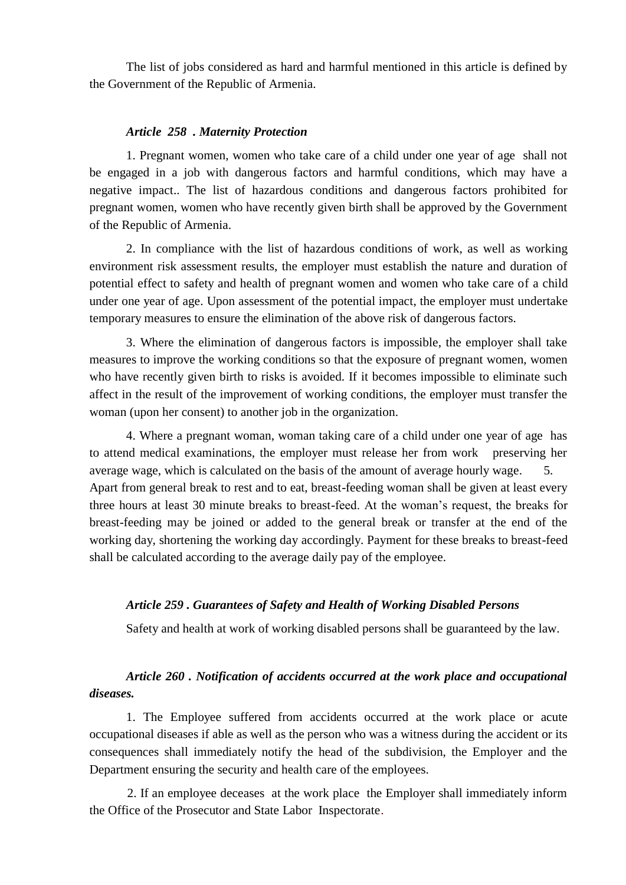The list of jobs considered as hard and harmful mentioned in this article is defined by the Government of the Republic of Armenia.

### *Article 258 . Maternity Protection*

1. Pregnant women, women who take care of a child under one year of age shall not be engaged in a job with dangerous factors and harmful conditions, which may have a negative impact.. The list of hazardous conditions and dangerous factors prohibited for pregnant women, women who have recently given birth shall be approved by the Government of the Republic of Armenia.

2. In compliance with the list of hazardous conditions of work, as well as working environment risk assessment results, the employer must establish the nature and duration of potential effect to safety and health of pregnant women and women who take care of a child under one year of age. Upon assessment of the potential impact, the employer must undertake temporary measures to ensure the elimination of the above risk of dangerous factors.

3. Where the elimination of dangerous factors is impossible, the employer shall take measures to improve the working conditions so that the exposure of pregnant women, women who have recently given birth to risks is avoided. If it becomes impossible to eliminate such affect in the result of the improvement of working conditions, the employer must transfer the woman (upon her consent) to another job in the organization.

4. Where a pregnant woman, woman taking care of a child under one year of age has to attend medical examinations, the employer must release her from work preserving her average wage, which is calculated on the basis of the amount of average hourly wage. 5. Apart from general break to rest and to eat, breast-feeding woman shall be given at least every three hours at least 30 minute breaks to breast-feed. At the woman's request, the breaks for breast-feeding may be joined or added to the general break or transfer at the end of the working day, shortening the working day accordingly. Payment for these breaks to breast-feed shall be calculated according to the average daily pay of the employee.

## *Article 259 . Guarantees of Safety and Health of Working Disabled Persons*

Safety and health at work of working disabled persons shall be guaranteed by the law.

# *Article 260 . Notification of accidents occurred at the work place and occupational diseases.*

1. The Employee suffered from accidents occurred at the work place or acute occupational diseases if able as well as the person who was a witness during the accident or its consequences shall immediately notify the head of the subdivision, the Employer and the Department ensuring the security and health care of the employees.

2. If an employee deceases at the work place the Employer shall immediately inform the Office of the Prosecutor and State Labor Inspectorate.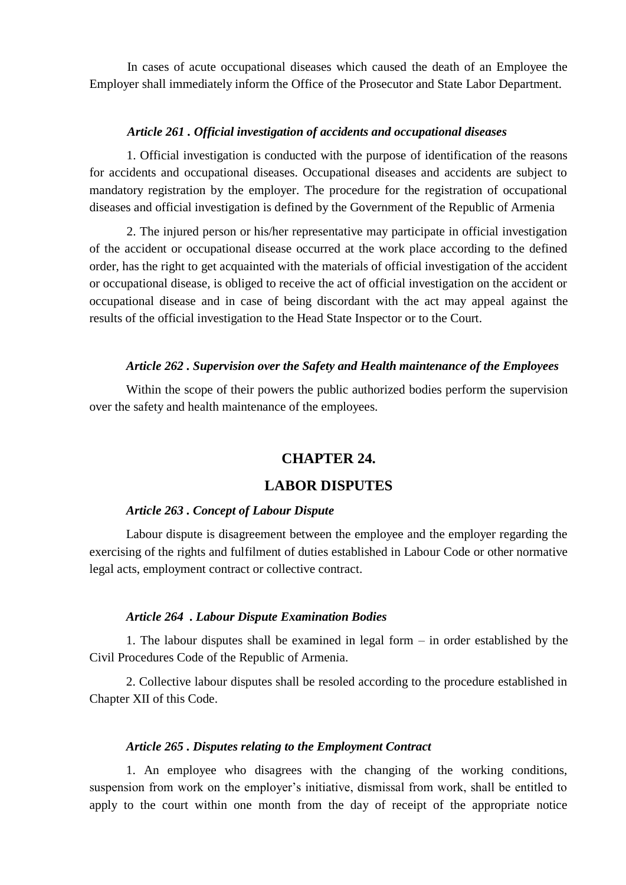In cases of acute occupational diseases which caused the death of an Employee the Employer shall immediately inform the Office of the Prosecutor and State Labor Department.

### *Article 261 . Official investigation of accidents and occupational diseases*

1. Official investigation is conducted with the purpose of identification of the reasons for accidents and occupational diseases. Occupational diseases and accidents are subject to mandatory registration by the employer. The procedure for the registration of occupational diseases and official investigation is defined by the Government of the Republic of Armenia

2. The injured person or his/her representative may participate in official investigation of the accident or occupational disease occurred at the work place according to the defined order, has the right to get acquainted with the materials of official investigation of the accident or occupational disease, is obliged to receive the act of official investigation on the accident or occupational disease and in case of being discordant with the act may appeal against the results of the official investigation to the Head State Inspector or to the Court.

### *Article 262 . Supervision over the Safety and Health maintenance of the Employees*

Within the scope of their powers the public authorized bodies perform the supervision over the safety and health maintenance of the employees.

# **CHAPTER 24.**

# **LABOR DISPUTES**

## *Article 263 . Concept of Labour Dispute*

Labour dispute is disagreement between the employee and the employer regarding the exercising of the rights and fulfilment of duties established in Labour Code or other normative legal acts, employment contract or collective contract.

#### *Article 264 . Labour Dispute Examination Bodies*

1. The labour disputes shall be examined in legal form – in order established by the Civil Procedures Code of the Republic of Armenia.

2. Collective labour disputes shall be resoled according to the procedure established in Chapter XII of this Code.

#### *Article 265 . Disputes relating to the Employment Contract*

1. An employee who disagrees with the changing of the working conditions, suspension from work on the employer's initiative, dismissal from work, shall be entitled to apply to the court within one month from the day of receipt of the appropriate notice